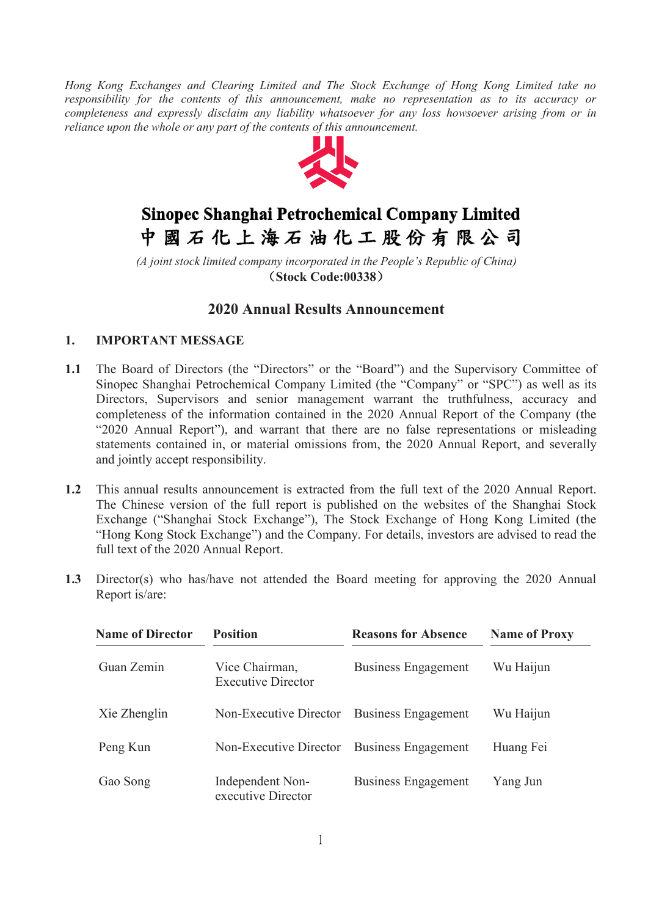*Hong Kong Exchanges and Clearing Limited and The Stock Exchange of Hong Kong Limited take no responsibility for the contents of this announcement, make no representation as to its accuracy or completeness and expressly disclaim any liability whatsoever for any loss howsoever arising from or in reliance upon the whole or any part of the contents of this announcement.*



# Sinopec Shanghai Petrochemical Company Limited 中國石化上海石油化工股份有限公司

*(A joint stock limited company incorporated in the People's Republic of China)* (**Stock Code:00338**)

# **2020 Annual Results Announcement**

## **1. IMPORTANT MESSAGE**

- **1.1** The Board of Directors (the "Directors" or the "Board") and the Supervisory Committee of Sinopec Shanghai Petrochemical Company Limited (the "Company" or "SPC") as well as its Directors, Supervisors and senior management warrant the truthfulness, accuracy and completeness of the information contained in the 2020 Annual Report of the Company (the "2020 Annual Report"), and warrant that there are no false representations or misleading statements contained in, or material omissions from, the 2020 Annual Report, and severally and jointly accept responsibility.
- **1.2** This annual results announcement is extracted from the full text of the 2020 Annual Report. The Chinese version of the full report is published on the websites of the Shanghai Stock Exchange ("Shanghai Stock Exchange"), The Stock Exchange of Hong Kong Limited (the "Hong Kong Stock Exchange") and the Company. For details, investors are advised to read the full text of the 2020 Annual Report.
- **1.3** Director(s) who has/have not attended the Board meeting for approving the 2020 Annual Report is/are:

| <b>Name of Director</b> | <b>Position</b>                             | <b>Reasons for Absence</b> | <b>Name of Proxy</b> |
|-------------------------|---------------------------------------------|----------------------------|----------------------|
| Guan Zemin              | Vice Chairman,<br><b>Executive Director</b> | <b>Business Engagement</b> | Wu Haijun            |
| Xie Zhenglin            | Non-Executive Director                      | <b>Business Engagement</b> | Wu Haijun            |
| Peng Kun                | Non-Executive Director                      | <b>Business Engagement</b> | Huang Fei            |
| Gao Song                | Independent Non-<br>executive Director      | <b>Business Engagement</b> | Yang Jun             |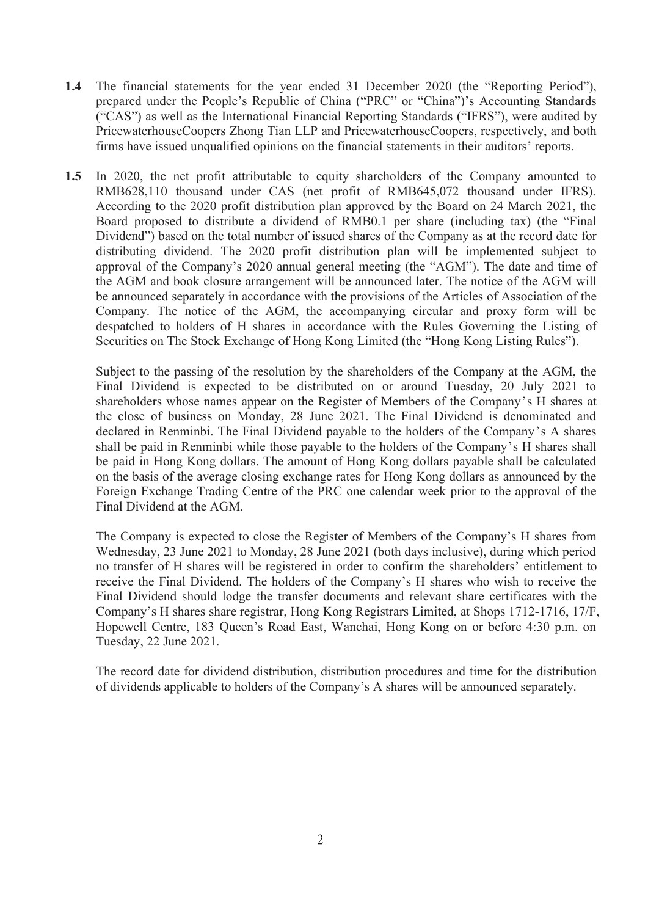- **1.4** The financial statements for the year ended 31 December 2020 (the "Reporting Period"), prepared under the People's Republic of China ("PRC" or "China")'s Accounting Standards ("CAS") as well as the International Financial Reporting Standards ("IFRS"), were audited by PricewaterhouseCoopers Zhong Tian LLP and PricewaterhouseCoopers, respectively, and both firms have issued unqualified opinions on the financial statements in their auditors' reports.
- 1.5 In 2020, the net profit attributable to equity shareholders of the Company amounted to RMB628,110 thousand under CAS (net profit of RMB645,072 thousand under IFRS). According to the 2020 profit distribution plan approved by the Board on 24 March 2021, the Board proposed to distribute a dividend of RMB0.1 per share (including tax) (the "Final Dividend") based on the total number of issued shares of the Company as at the record date for distributing dividend. The 2020 profit distribution plan will be implemented subject to approval of the Company's 2020 annual general meeting (the "AGM"). The date and time of the AGM and book closure arrangement will be announced later. The notice of the AGM will be announced separately in accordance with the provisions of the Articles of Association of the Company. The notice of the AGM, the accompanying circular and proxy form will be despatched to holders of H shares in accordance with the Rules Governing the Listing of Securities on The Stock Exchange of Hong Kong Limited (the "Hong Kong Listing Rules").

Subject to the passing of the resolution by the shareholders of the Company at the AGM, the Final Dividend is expected to be distributed on or around Tuesday, 20 July 2021 to shareholders whose names appear on the Register of Members of the Company's H shares at the close of business on Monday, 28 June 2021. The Final Dividend is denominated and declared in Renminbi. The Final Dividend payable to the holders of the Company's A shares shall be paid in Renminbi while those payable to the holders of the Company's H shares shall be paid in Hong Kong dollars. The amount of Hong Kong dollars payable shall be calculated on the basis of the average closing exchange rates for Hong Kong dollars as announced by the Foreign Exchange Trading Centre of the PRC one calendar week prior to the approval of the Final Dividend at the AGM.

The Company is expected to close the Register of Members of the Company's H shares from Wednesday, 23 June 2021 to Monday, 28 June 2021 (both days inclusive), during which period no transfer of H shares will be registered in order to confirm the shareholders' entitlement to receive the Final Dividend. The holders of the Company's H shares who wish to receive the Final Dividend should lodge the transfer documents and relevant share certificates with the Company's H shares share registrar, Hong Kong Registrars Limited, at Shops 1712-1716, 17/F, Hopewell Centre, 183 Queen's Road East, Wanchai, Hong Kong on or before 4:30 p.m. on Tuesday, 22 June 2021.

The record date for dividend distribution, distribution procedures and time for the distribution of dividends applicable to holders of the Company's A shares will be announced separately.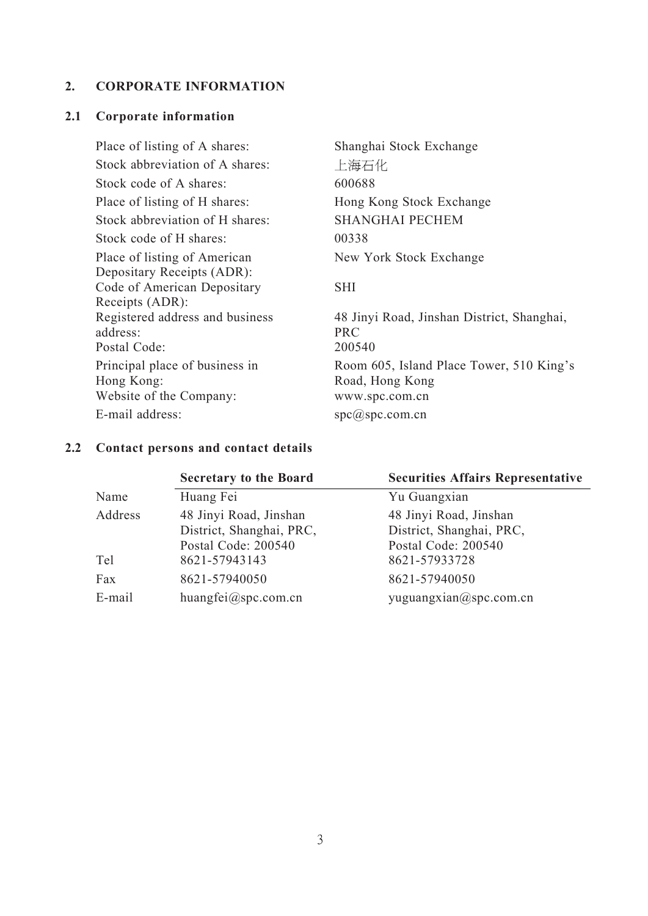## **2. CORPORATE INFORMATION**

#### **2.1 Corporate information**

Place of listing of A shares: Shanghai Stock Exchange Stock abbreviation of A shares: <br>
上海石化 Stock code of A shares: 600688 Place of listing of H shares: Hong Kong Stock Exchange Stock abbreviation of H shares: SHANGHAI PECHEM Stock code of H shares: 00338 Place of listing of American Depositary Receipts (ADR): Code of American Depositary Receipts (ADR): Registered address and business address: Postal Code: 200540 Principal place of business in Hong Kong: Website of the Company: [www.spc.com.cn](http://www.spc.com.cn/) E-mail address: [spc@spc.com.cn](mailto:spc@spc.com.cn)

New York Stock Exchange

#### SHI

48 Jinyi Road, Jinshan District, Shanghai, PRC Room 605, Island Place Tower, 510 King's Road, Hong Kong

## **2.2 Contact persons and contact details**

|         | <b>Secretary to the Board</b> | <b>Securities Affairs Representative</b> |
|---------|-------------------------------|------------------------------------------|
| Name    | Huang Fei                     | Yu Guangxian                             |
| Address | 48 Jinyi Road, Jinshan        | 48 Jinyi Road, Jinshan                   |
|         | District, Shanghai, PRC,      | District, Shanghai, PRC,                 |
|         | Postal Code: 200540           | Postal Code: 200540                      |
| Tel     | 8621-57943143                 | 8621-57933728                            |
| Fax     | 8621-57940050                 | 8621-57940050                            |
| E-mail  | huangfei@spc.com.cn           | yuguangxian@spc.com.cn                   |
|         |                               |                                          |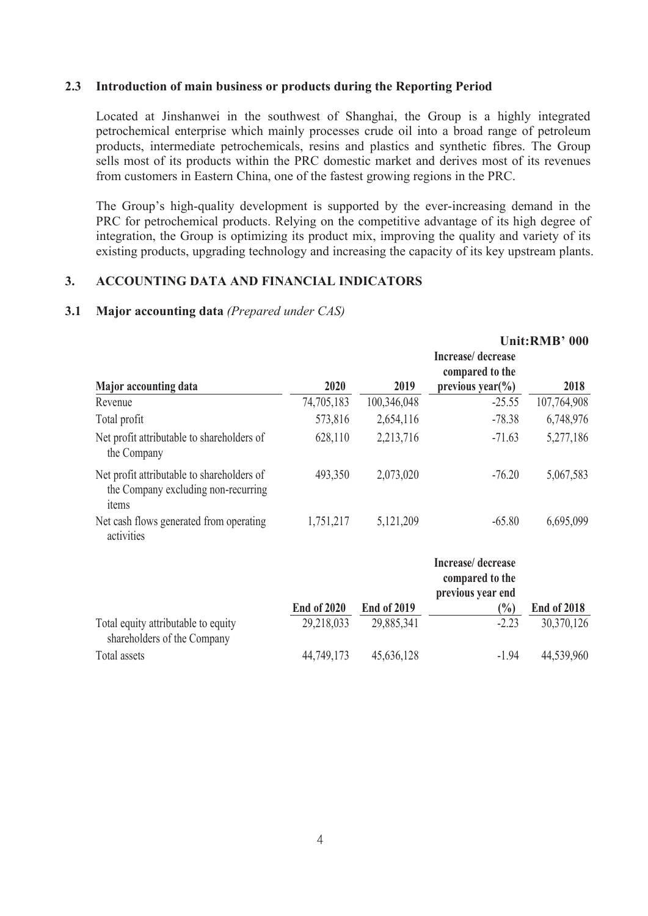## **2.3 Introduction of main business or products during the Reporting Period**

Located at Jinshanwei in the southwest of Shanghai, the Group is a highly integrated petrochemical enterprise which mainly processes crude oil into a broad range of petroleum products, intermediate petrochemicals, resins and plastics and synthetic fibres. The Group sells most of its products within the PRC domestic market and derives most of its revenues from customers in Eastern China, one of the fastest growing regions in the PRC.

The Group's high-quality development is supported by the ever-increasing demand in the PRC for petrochemical products. Relying on the competitive advantage of its high degree of integration, the Group is optimizing its product mix, improving the quality and variety of its existing products, upgrading technology and increasing the capacity of its key upstream plants.

## **3. ACCOUNTING DATA AND FINANCIAL INDICATORS**

#### **3.1 Major accounting data** *(Prepared under CAS)*

|                                                                                            |                    |                                                           |                                                               | Unit:RMB' 000                   |
|--------------------------------------------------------------------------------------------|--------------------|-----------------------------------------------------------|---------------------------------------------------------------|---------------------------------|
| Major accounting data                                                                      | 2020               | 2019                                                      | Increase/decrease<br>compared to the<br>previous year( $\%$ ) | 2018                            |
| Revenue                                                                                    | 74,705,183         | 100,346,048                                               | $-25.55$                                                      | 107,764,908                     |
| Total profit                                                                               | 573,816            | 2,654,116                                                 | $-78.38$                                                      | 6,748,976                       |
| Net profit attributable to shareholders of<br>the Company                                  | 628,110            | 2,213,716                                                 | $-71.63$                                                      | 5,277,186                       |
| Net profit attributable to shareholders of<br>the Company excluding non-recurring<br>items | 493,350            | 2,073,020                                                 | $-76.20$                                                      | 5,067,583                       |
| Net cash flows generated from operating<br>activities                                      | 1,751,217          | 5,121,209                                                 | $-65.80$                                                      | 6,695,099                       |
|                                                                                            |                    |                                                           | Increase/decrease<br>compared to the<br>previous year end     |                                 |
|                                                                                            | <b>End of 2020</b> | <b>End of 2019</b><br>$\wedge$ $\wedge$ $\wedge$ $\wedge$ | $\binom{0}{0}$<br>$\sim$ $\sim$                               | <b>End of 2018</b><br>0.0.00018 |

|                                     | LIIU VI ZVZV | Liiu vi zvi z | 170 I   | $LHUHUHUHUHUHUHUHUHUHUHUHUHUHUHUHUHUHUHUHUHUHUHUHUHUHUHUHUHUHUHU$ |
|-------------------------------------|--------------|---------------|---------|-------------------------------------------------------------------|
| Total equity attributable to equity | 29,218,033   | 29,885,341    | $-2.23$ | 30,370,126                                                        |
| shareholders of the Company         |              |               |         |                                                                   |
| Total assets                        | 44,749,173   | 45,636,128    | -1.94   | 44,539,960                                                        |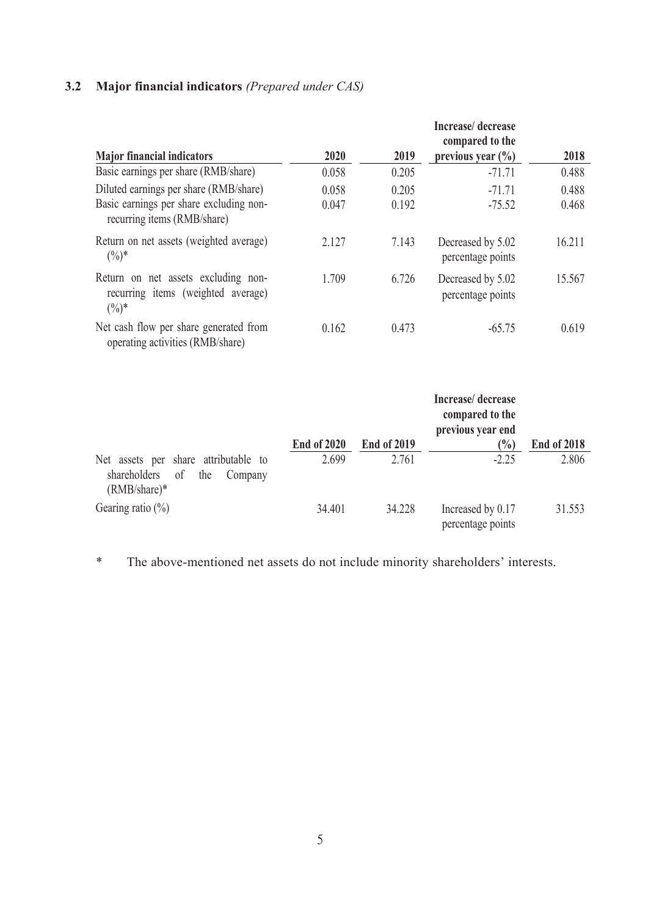# **3.2 Major financial indicators** *(Prepared under CAS)*

|                                                                                       |       |       | Increase/decrease<br>compared to the   |        |  |
|---------------------------------------------------------------------------------------|-------|-------|----------------------------------------|--------|--|
| <b>Major financial indicators</b>                                                     | 2020  | 2019  | previous year $(\% )$                  | 2018   |  |
| Basic earnings per share (RMB/share)                                                  | 0.058 | 0.205 | $-71.71$                               | 0.488  |  |
| Diluted earnings per share (RMB/share)                                                | 0.058 | 0.205 | $-71.71$                               | 0.488  |  |
| Basic earnings per share excluding non-<br>recurring items (RMB/share)                | 0.047 | 0.192 | $-75.52$                               | 0.468  |  |
| Return on net assets (weighted average)<br>$(0/0)*$                                   | 2.127 | 7.143 | Decreased by 5.02<br>percentage points | 16.211 |  |
| Return on net assets excluding non-<br>recurring items (weighted average)<br>$(\%)^*$ | 1.709 | 6.726 | Decreased by 5.02<br>percentage points | 15.567 |  |
| Net cash flow per share generated from<br>operating activities (RMB/share)            | 0.162 | 0.473 | $-65.75$                               | 0.619  |  |

|                                                                                                 |                    |                    | Increase/decrease<br>compared to the<br>previous year end |                    |  |
|-------------------------------------------------------------------------------------------------|--------------------|--------------------|-----------------------------------------------------------|--------------------|--|
|                                                                                                 | <b>End of 2020</b> | <b>End of 2019</b> | $\binom{0}{0}$                                            | <b>End of 2018</b> |  |
| Net assets per share attributable to<br>shareholders<br>of<br>the<br>Company<br>$(RMB/share)^*$ | 2.699              | 2.761              | $-2.25$                                                   | 2.806              |  |
| Gearing ratio $(\%)$                                                                            | 34.401             | 34.228             | Increased by 0.17<br>percentage points                    | 31.553             |  |

\* The above-mentioned net assets do not include minority shareholders' interests.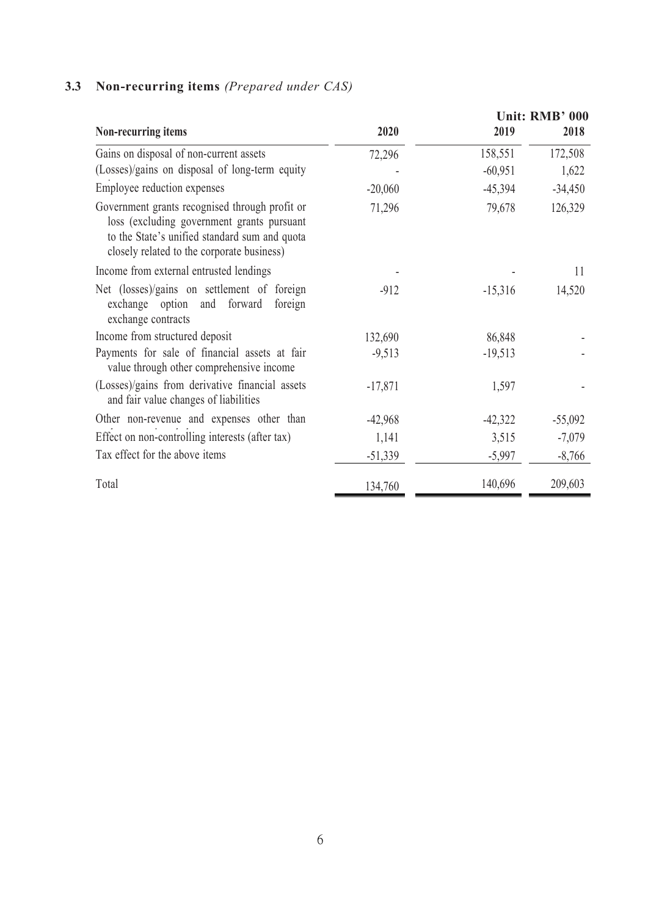|                                                                                                                                                                                             |           |           | Unit: RMB' 000 |
|---------------------------------------------------------------------------------------------------------------------------------------------------------------------------------------------|-----------|-----------|----------------|
| Non-recurring items                                                                                                                                                                         | 2020      | 2019      | 2018           |
| Gains on disposal of non-current assets                                                                                                                                                     | 72,296    | 158,551   | 172,508        |
| (Losses)/gains on disposal of long-term equity                                                                                                                                              |           | $-60,951$ | 1,622          |
| Employee reduction expenses                                                                                                                                                                 | $-20,060$ | $-45,394$ | $-34,450$      |
| Government grants recognised through profit or<br>loss (excluding government grants pursuant<br>to the State's unified standard sum and quota<br>closely related to the corporate business) | 71,296    | 79,678    | 126,329        |
| Income from external entrusted lendings                                                                                                                                                     |           |           | 11             |
| Net (losses)/gains on settlement of foreign<br>exchange option and forward foreign<br>exchange contracts                                                                                    | $-912$    | $-15,316$ | 14,520         |
| Income from structured deposit                                                                                                                                                              | 132,690   | 86,848    |                |
| Payments for sale of financial assets at fair<br>value through other comprehensive income                                                                                                   | $-9,513$  | $-19,513$ |                |
| (Losses)/gains from derivative financial assets<br>and fair value changes of liabilities                                                                                                    | $-17,871$ | 1,597     |                |
| Other non-revenue and expenses other than                                                                                                                                                   | $-42,968$ | $-42,322$ | $-55,092$      |
| Effect on non-controlling interests (after tax)                                                                                                                                             | 1,141     | 3,515     | $-7,079$       |
| Tax effect for the above items                                                                                                                                                              | $-51,339$ | $-5,997$  | $-8,766$       |
| Total                                                                                                                                                                                       | 134,760   | 140,696   | 209,603        |

# **3.3 Non-recurring items** *(Prepared under CAS)*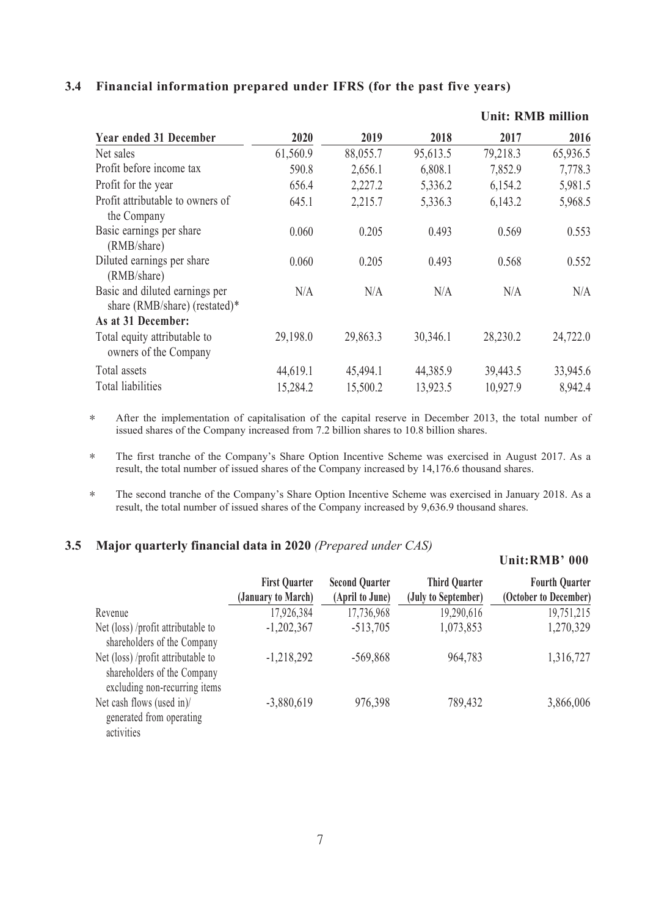## **3.4 Financial information prepared under IFRS (for the past five years)**

|                                                                 |          |          | <b>Unit: RMB million</b> |          |          |  |  |  |
|-----------------------------------------------------------------|----------|----------|--------------------------|----------|----------|--|--|--|
| <b>Year ended 31 December</b>                                   | 2020     | 2019     | 2018                     | 2017     | 2016     |  |  |  |
| Net sales                                                       | 61,560.9 | 88,055.7 | 95,613.5                 | 79,218.3 | 65,936.5 |  |  |  |
| Profit before income tax                                        | 590.8    | 2,656.1  | 6,808.1                  | 7,852.9  | 7,778.3  |  |  |  |
| Profit for the year                                             | 656.4    | 2,227.2  | 5,336.2                  | 6,154.2  | 5,981.5  |  |  |  |
| Profit attributable to owners of<br>the Company                 | 645.1    | 2,215.7  | 5,336.3                  | 6,143.2  | 5,968.5  |  |  |  |
| Basic earnings per share<br>(RMB/share)                         | 0.060    | 0.205    | 0.493                    | 0.569    | 0.553    |  |  |  |
| Diluted earnings per share<br>(RMB/share)                       | 0.060    | 0.205    | 0.493                    | 0.568    | 0.552    |  |  |  |
| Basic and diluted earnings per<br>share (RMB/share) (restated)* | N/A      | N/A      | N/A                      | N/A      | N/A      |  |  |  |
| As at 31 December:                                              |          |          |                          |          |          |  |  |  |
| Total equity attributable to<br>owners of the Company           | 29,198.0 | 29,863.3 | 30,346.1                 | 28,230.2 | 24,722.0 |  |  |  |
| Total assets                                                    | 44,619.1 | 45,494.1 | 44,385.9                 | 39,443.5 | 33,945.6 |  |  |  |
| Total liabilities                                               | 15,284.2 | 15,500.2 | 13,923.5                 | 10,927.9 | 8,942.4  |  |  |  |

\* After the implementation of capitalisation of the capital reserve in December 2013, the total number of issued shares of the Company increased from 7.2 billion shares to 10.8 billion shares.

\* The first tranche of the Company's Share Option Incentive Scheme was exercised in August 2017. As a result, the total number of issued shares of the Company increased by 14,176.6 thousand shares.

\* The second tranche of the Company's Share Option Incentive Scheme was exercised in January 2018. As a result, the total number of issued shares of the Company increased by 9,636.9 thousand shares.

## **3.5 Major quarterly financial data in 2020** *(Prepared under CAS)*

#### **Unit:RMB' 000 First Quarter Second Quarter (January to March) (April to June) (July to September) Third Quarter Fourth Quarter (October to December)** Revenue 17,926,384 17,736,968 19,290,616 19,751,215 Net (loss) /profit attributable to shareholders of the Company -1,202,367 -513,705 1,073,853 1,270,329 Net (loss) /profit attributable to -1,218,292 shareholders of the Company excluding non-recurring items -1,218,292 -569,868 964,783 1,316,727 Net cash flows (used in)/ generated from operating activities -3,880,619 976,398 789,432 3,866,006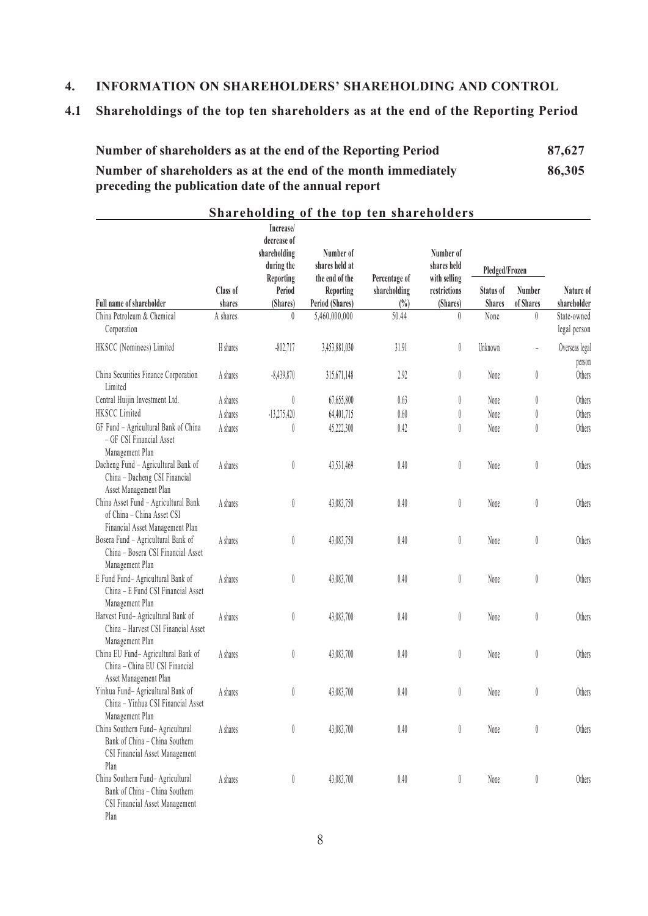## **4. INFORMATION ON SHAREHOLDERS' SHAREHOLDING AND CONTROL**

# **4.1 Shareholdings of the top ten shareholders as at the end of the Reporting Period**

| Number of shareholders as at the end of the Reporting Period  | 87,627 |
|---------------------------------------------------------------|--------|
| Number of shareholders as at the end of the month immediately | 86,305 |
| preceding the publication date of the annual report           |        |

|                                                                                                               |                    | Increase/<br>decrease of<br>shareholding<br>during the | Number of<br>shares held at                    |                                         | Number of<br>shares held                 | Pledged/Frozen             |                               |                             |
|---------------------------------------------------------------------------------------------------------------|--------------------|--------------------------------------------------------|------------------------------------------------|-----------------------------------------|------------------------------------------|----------------------------|-------------------------------|-----------------------------|
| Full name of shareholder                                                                                      | Class of<br>shares | Reporting<br>Period<br>(Shares)                        | the end of the<br>Reporting<br>Period (Shares) | Percentage of<br>shareholding<br>$(\%)$ | with selling<br>restrictions<br>(Shares) | Status of<br><b>Shares</b> | Number<br>of Shares           | Nature of<br>shareholder    |
| China Petroleum & Chemical<br>Corporation                                                                     | A shares           | $\theta$                                               | 5,460,000,000                                  | 50.44                                   | $\theta$                                 | None                       | $\mathbf{0}$                  | State-owned<br>legal person |
| HKSCC (Nominees) Limited                                                                                      | H shares           | $-802,717$                                             | 3,453,881,030                                  | 31.91                                   | $\begin{matrix} \end{matrix}$            | Unknown                    |                               | Overseas legal<br>person    |
| China Securities Finance Corporation<br>Limited                                                               | A shares           | $-8,439,870$                                           | 315,671,148                                    | 2.92                                    | $\varnothing$                            | None                       | $\begin{matrix} \end{matrix}$ | Others                      |
| Central Huijin Investment Ltd.                                                                                | A shares           | $\emptyset$                                            | 67,655,800                                     | 0.63                                    | 0                                        | None                       | 0                             | Others                      |
| HKSCC Limited                                                                                                 | A shares           | $-13,275,420$                                          | 64,401,715                                     | $0.60\,$                                | 0                                        | None                       | 0                             | Others                      |
| GF Fund - Agricultural Bank of China<br>- GF CSI Financial Asset<br>Management Plan                           | A shares           | 0                                                      | 45,222,300                                     | 0.42                                    | 0                                        | None                       | 0                             | Others                      |
| Dacheng Fund - Agricultural Bank of<br>China - Dacheng CSI Financial<br>Asset Management Plan                 | A shares           | $\varnothing$                                          | 43,531,469                                     | $0.40\,$                                | $\begin{matrix} \end{matrix}$            | None                       | $\emptyset$                   | Others                      |
| China Asset Fund - Agricultural Bank<br>of China - China Asset CSI<br>Financial Asset Management Plan         | A shares           | $\emptyset$                                            | 43,083,750                                     | $0.40\,$                                | 0                                        | None                       | $\begin{matrix} \end{matrix}$ | Others                      |
| Bosera Fund - Agricultural Bank of<br>China - Bosera CSI Financial Asset<br>Management Plan                   | A shares           | $\emptyset$                                            | 43,083,750                                     | $0.40\,$                                | 0                                        | None                       | $\emptyset$                   | Others                      |
| E Fund Fund- Agricultural Bank of<br>China - E Fund CSI Financial Asset<br>Management Plan                    | A shares           | $\emptyset$                                            | 43,083,700                                     | $0.40\,$                                | 0                                        | None                       | $\emptyset$                   | Others                      |
| Harvest Fund- Agricultural Bank of<br>China - Harvest CSI Financial Asset<br>Management Plan                  | A shares           | $\emptyset$                                            | 43,083,700                                     | $0.40\,$                                | 0                                        | None                       | $\begin{matrix} \end{matrix}$ | Others                      |
| China EU Fund- Agricultural Bank of<br>China - China EU CSI Financial<br>Asset Management Plan                | A shares           | $\emptyset$                                            | 43,083,700                                     | $0.40\,$                                | 0                                        | None                       | $\emptyset$                   | Others                      |
| Yinhua Fund- Agricultural Bank of<br>China - Yinhua CSI Financial Asset<br>Management Plan                    | A shares           | $\begin{matrix} \end{matrix}$                          | 43,083,700                                     | 0.40                                    | 0                                        | None                       | 0                             | Others                      |
| China Southern Fund- Agricultural<br>Bank of China - China Southern<br>CSI Financial Asset Management<br>Plan | A shares           | $\emptyset$                                            | 43,083,700                                     | $0.40\,$                                | 0                                        | None                       | $\begin{matrix} \end{matrix}$ | Others                      |
| China Southern Fund- Agricultural<br>Bank of China - China Southern<br>CSI Financial Asset Management<br>Plan | A shares           | $\emptyset$                                            | 43,083,700                                     | 0.40                                    | 0                                        | None                       | $\emptyset$                   | Others                      |

**Shareholding of the top ten shareholders**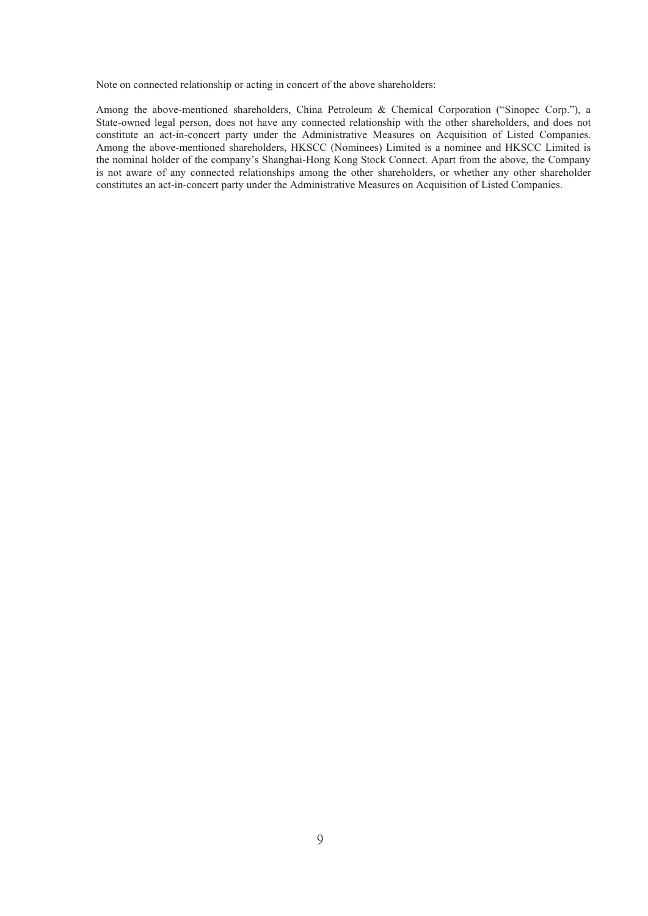Note on connected relationship or acting in concert of the above shareholders:

Among the above-mentioned shareholders, China Petroleum & Chemical Corporation ("Sinopec Corp."), a State-owned legal person, does not have any connected relationship with the other shareholders, and does not constitute an act-in-concert party under the Administrative Measures on Acquisition of Listed Companies. Among the above-mentioned shareholders, HKSCC (Nominees) Limited is a nominee and HKSCC Limited is the nominal holder of the company's Shanghai-Hong Kong Stock Connect. Apart from the above, the Company is not aware of any connected relationships among the other shareholders, or whether any other shareholder constitutes an act-in-concert party under the Administrative Measures on Acquisition of Listed Companies.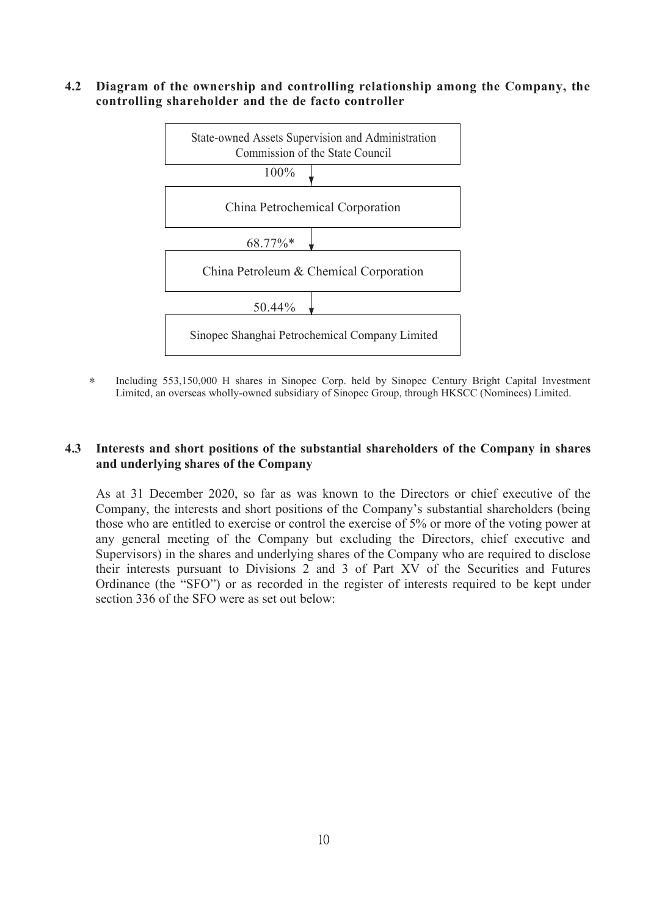**4.2 Diagram of the ownership and controlling relationship among the Company, the controlling shareholder and the de facto controller**



\* Including 553,150,000 H shares in Sinopec Corp. held by Sinopec Century Bright Capital Investment Limited, an overseas wholly-owned subsidiary of Sinopec Group, through HKSCC (Nominees) Limited.

## **4.3 Interests and short positions of the substantial shareholders of the Company in shares and underlying shares** of the Company

As at 31 December 2020, so far as was known to the Directors or chief executive of the Company, the interests and short positions of the Company's substantial shareholders (being those who are entitled to exercise or control the exercise of 5% or more of the voting power at any general meeting of the Company but excluding the Directors, chief executive and Supervisors) in the shares and underlying shares of the Company who are required to disclose their interests pursuant to Divisions 2 and 3 of Part XV of the Securities and Futures Ordinance (the "SFO") or as recorded in the register of interests required to be kept under section 336 of the SFO were as set out below: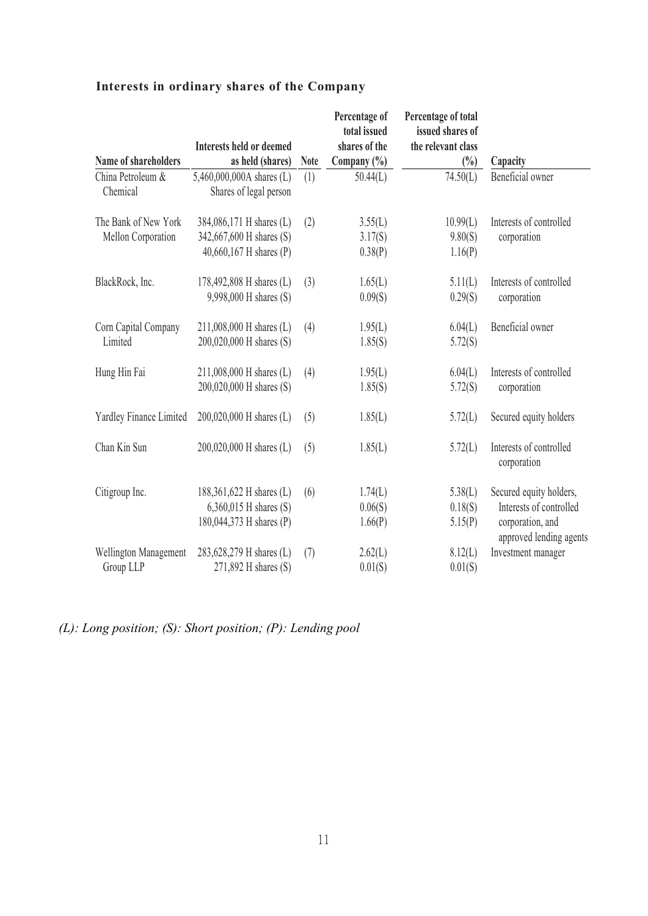|                                            | <b>Interests held or deemed</b>                                                  |             | Percentage of<br>total issued<br>shares of the | Percentage of total<br>issued shares of<br>the relevant class |                                                                                                   |
|--------------------------------------------|----------------------------------------------------------------------------------|-------------|------------------------------------------------|---------------------------------------------------------------|---------------------------------------------------------------------------------------------------|
| Name of shareholders                       | as held (shares)                                                                 | <b>Note</b> | Company $(\% )$                                | $\binom{0}{0}$                                                | Capacity                                                                                          |
| China Petroleum &<br>Chemical              | 5,460,000,000A shares (L)<br>Shares of legal person                              | (1)         | 50.44(L)                                       | 74.50(L)                                                      | Beneficial owner                                                                                  |
| The Bank of New York<br>Mellon Corporation | 384,086,171 H shares (L)<br>342,667,600 H shares (S)                             | (2)         | 3.55(L)<br>3.17(S)                             | 10.99(L)<br>9.80(S)                                           | Interests of controlled<br>corporation                                                            |
|                                            | 40,660,167 H shares (P)                                                          |             | 0.38(P)                                        | 1.16(P)                                                       |                                                                                                   |
| BlackRock, Inc.                            | 178,492,808 H shares (L)<br>9,998,000 H shares (S)                               | (3)         | 1.65(L)<br>0.09(S)                             | 5.11(L)<br>0.29(S)                                            | Interests of controlled<br>corporation                                                            |
| Corn Capital Company<br>Limited            | 211,008,000 H shares (L)<br>200,020,000 H shares (S)                             | (4)         | 1.95(L)<br>1.85(S)                             | 6.04(L)<br>5.72(S)                                            | Beneficial owner                                                                                  |
| Hung Hin Fai                               | 211,008,000 H shares (L)<br>200,020,000 H shares (S)                             | (4)         | 1.95(L)<br>1.85(S)                             | 6.04(L)<br>5.72(S)                                            | Interests of controlled<br>corporation                                                            |
| Yardley Finance Limited                    | 200,020,000 H shares (L)                                                         | (5)         | 1.85(L)                                        | 5.72(L)                                                       | Secured equity holders                                                                            |
| Chan Kin Sun                               | 200,020,000 H shares (L)                                                         | (5)         | 1.85(L)                                        | 5.72(L)                                                       | Interests of controlled<br>corporation                                                            |
| Citigroup Inc.                             | 188,361,622 H shares (L)<br>$6,360,015$ H shares (S)<br>180,044,373 H shares (P) | (6)         | 1.74(L)<br>0.06(S)<br>1.66(P)                  | 5.38(L)<br>0.18(S)<br>5.15(P)                                 | Secured equity holders,<br>Interests of controlled<br>corporation, and<br>approved lending agents |
| Wellington Management<br>Group LLP         | 283,628,279 H shares (L)<br>271,892 H shares (S)                                 | (7)         | 2.62(L)<br>0.01(S)                             | 8.12(L)<br>0.01(S)                                            | Investment manager                                                                                |

# **Interests in ordinary shares of the Company**

*(L): Long position; (S): Short position; (P): Lending pool*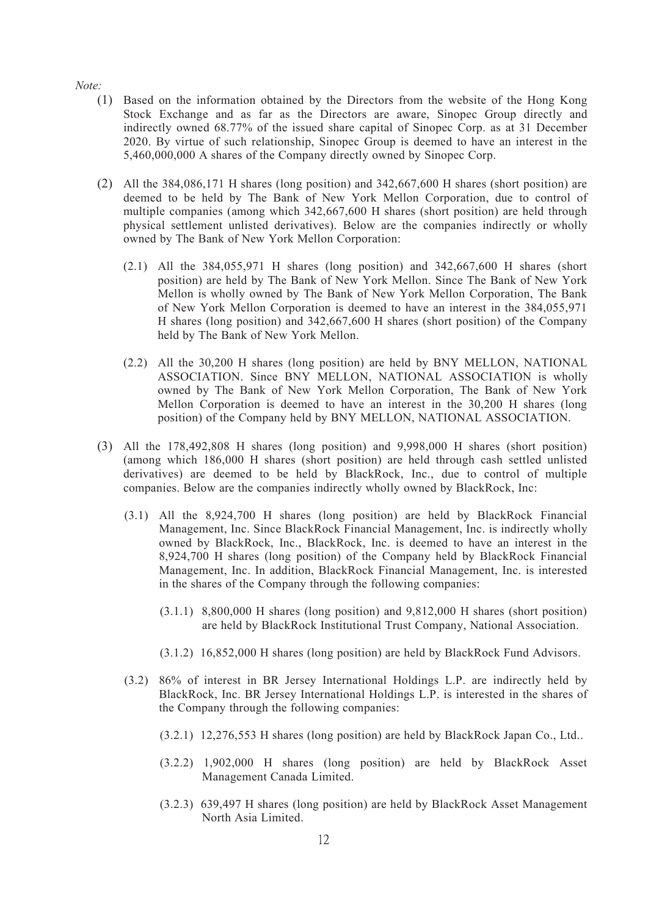*Note:*

- (1) Based on the information obtained by the Directors from the website of the Hong Kong Stock Exchange and as far as the Directors are aware, Sinopec Group directly and indirectly owned  $68.77\%$  of the issued share capital of Sinopec Corp. as at 31 December 2020. By virtue of such relationship, Sinopec Group is deemed to have an interest in the 5,460,000,000 A shares of the Company directly owned by Sinopec Corp.
- (2) All the 384,086,171 H shares (long position) and 342,667,600 H shares (short position) are deemed to be held by The Bank of New York Mellon Corporation, due to control of multiple companies (among which 342,667,600 H shares (short position) are held through physical settlement unlisted derivatives). Below are the companies indirectly or wholly owned by The Bank of New York Mellon Corporation:
	- (2.1) All the 384,055,971 H shares (long position) and 342,667,600 H shares (short position) are held by The Bank of New York Mellon. Since The Bank of New York Mellon is wholly owned by The Bank of New York Mellon Corporation, The Bank of New York Mellon Corporation is deemed to have an interest in the 384,055,971 H shares (long position) and 342,667,600 H shares (short position) of the Company held by The Bank of New York Mellon.
	- (2.2) All the 30,200 H shares (long position) are held by BNY MELLON, NATIONAL ASSOCIATION. Since BNY MELLON, NATIONAL ASSOCIATION is wholly owned by The Bank of New York Mellon Corporation, The Bank of New York Mellon Corporation is deemed to have an interest in the 30,200 H shares (long position) of the Company held by BNY MELLON, NATIONAL ASSOCIATION.
- (3) All the 178,492,808 H shares (long position) and 9,998,000 H shares (short position) (among which 186,000 H shares (short position) are held through cash settled unlisted derivatives) are deemed to be held by BlackRock, Inc., due to control of multiple companies. Below are the companies indirectly wholly owned by BlackRock, Inc:
	- (3.1) All the 8,924,700 H shares (long position) are held by BlackRock Financial Management, Inc. Since BlackRock Financial Management, Inc. is indirectly wholly owned by BlackRock, Inc., BlackRock, Inc. is deemed to have an interest in the 8,924,700 H shares (long position) of the Company held by BlackRock Financial Management, Inc. In addition, BlackRock Financial Management, Inc. is interested in the shares of the Company through the following companies:
		- (3.1.1) 8,800,000 H shares (long position) and 9,812,000 H shares (short position) are held by BlackRock Institutional Trust Company, National Association.
		- (3.1.2) 16,852,000 H shares (long position) are held by BlackRock Fund Advisors.
	- $(3.2)$  86% of interest in BR Jersey International Holdings L.P. are indirectly held by BlackRock, Inc. BR Jersey International Holdings L.P. is interested in the shares of the Company through the following companies:
		- $(3.2.1)$  12,276,553 H shares (long position) are held by BlackRock Japan Co., Ltd..
		- (3.2.2) 1,902,000 H shares (long position) are held by BlackRock Asset Management Canada Limited.
		- (3.2.3) 639,497 H shares (long position) are held by BlackRock Asset Management North Asia Limited.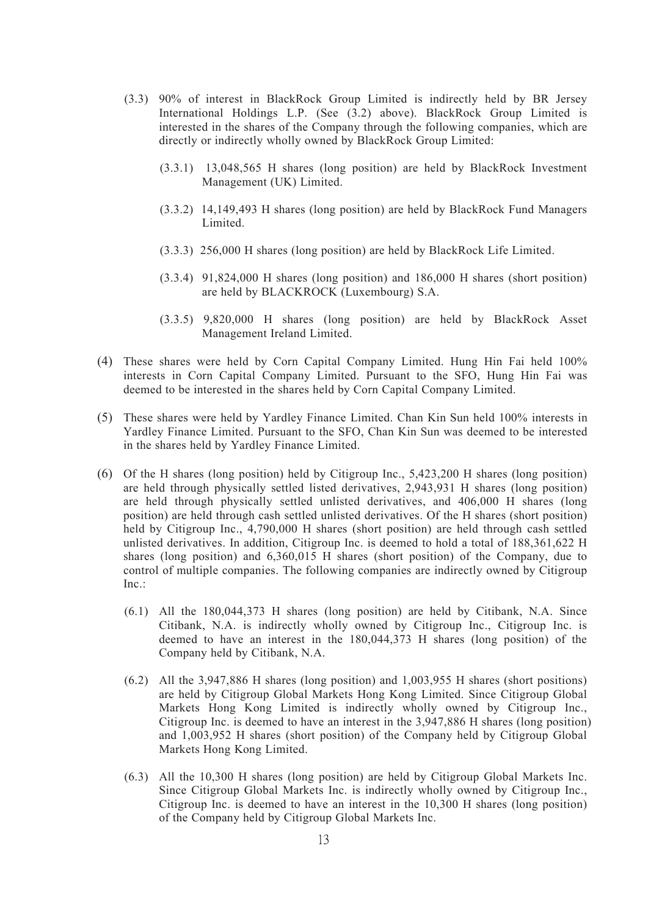- (3.3) 90% of interest in BlackRock Group Limited is indirectly held by BR Jersey International Holdings L.P. (See (3.2) above). BlackRock Group Limited is interested in the shares of the Company through the following companies, which are directly or indirectly wholly owned by BlackRock Group Limited:
	- (3.3.1) 13,048,565 H shares (long position) are held by BlackRock Investment Management (UK) Limited.
	- (3.3.2) 14,149,493 H shares (long position) are held by BlackRock Fund Managers Limited.
	- (3.3.3) 256,000 H shares (long position) are held by BlackRock Life Limited.
	- (3.3.4) 91,824,000 H shares (long position) and 186,000 H shares (short position) are held by BLACKROCK (Luxembourg) S.A.
	- (3.3.5) 9,820,000 H shares (long position) are held by BlackRock Asset Management Ireland Limited.
- (4) These shares were held by Corn Capital Company Limited. Hung Hin Fai held 100% interests in Corn Capital Company Limited. Pursuant to the SFO, Hung Hin Fai was deemed to be interested in the shares held by Corn Capital Company Limited.
- (5) These shares were held by Yardley Finance Limited. Chan Kin Sun held 100% interests in Yardley Finance Limited. Pursuant to the SFO, Chan Kin Sun was deemed to be interested in the shares held by Yardley Finance Limited.
- (6) Of the H shares (long position) held by Citigroup Inc., 5,423,200 H shares (long position) are held through physically settled listed derivatives, 2,943,931 H shares (long position) are held through physically settled unlisted derivatives, and 406,000 H shares (long position) are held through cash settled unlisted derivatives. Of the H shares (short position) held by Citigroup Inc., 4,790,000 H shares (short position) are held through cash settled unlisted derivatives. In addition, Citigroup Inc. is deemed to hold a total of 188,361,622 H shares (long position) and 6,360,015 H shares (short position) of the Company, due to control of multiple companies. The following companies are indirectly owned by Citigroup Inc.:
	- (6.1) All the 180,044,373 H shares (long position) are held by Citibank, N.A. Since Citibank, N.A. is indirectly wholly owned by Citigroup Inc., Citigroup Inc. is deemed to have an interest in the 180,044,373 H shares (long position) of the Company held by Citibank, N.A.
	- (6.2) All the 3,947,886 H shares (long position) and 1,003,955 H shares (short positions) are held by Citigroup Global Markets Hong Kong Limited. Since Citigroup Global Markets Hong Kong Limited is indirectly wholly owned by Citigroup Inc., Citigroup Inc. is deemed to have an interest in the 3,947,886 H shares (long position) and 1,003,952 H shares (short position) of the Company held by Citigroup Global Markets Hong Kong Limited.
	- (6.3) All the 10,300 H shares (long position) are held by Citigroup Global Markets Inc. Since Citigroup Global Markets Inc. is indirectly wholly owned by Citigroup Inc., Citigroup Inc. is deemed to have an interest in the 10,300 H shares (long position) of the Company held by Citigroup Global Markets Inc.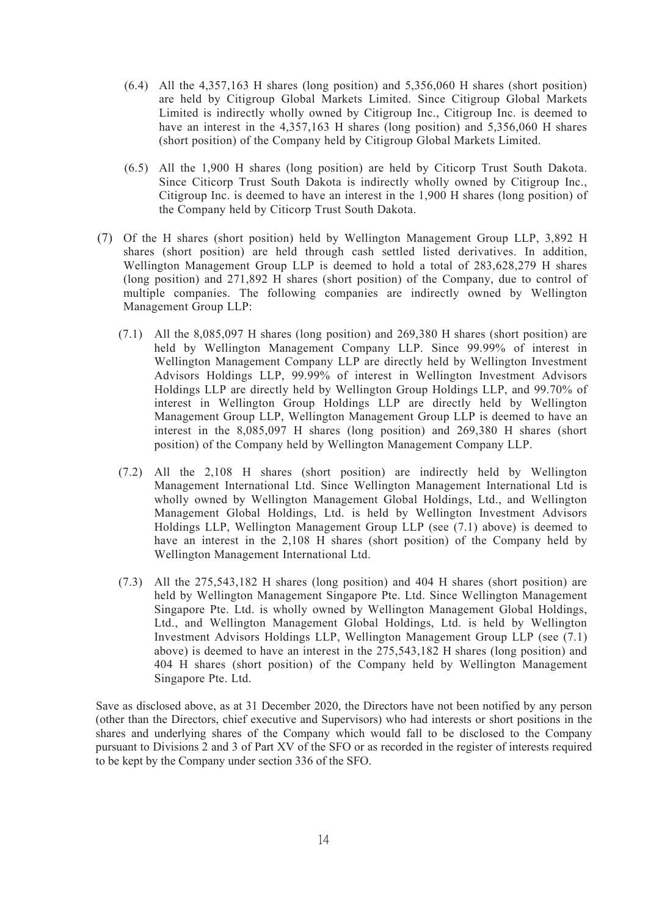- (6.4) All the 4,357,163 H shares (long position) and 5,356,060 H shares (short position) are held by Citigroup Global Markets Limited. Since Citigroup Global Markets Limited is indirectly wholly owned by Citigroup Inc., Citigroup Inc. is deemed to have an interest in the 4,357,163 H shares (long position) and 5,356,060 H shares (short position) of the Company held by Citigroup Global Markets Limited.
- (6.5) All the 1,900 H shares (long position) are held by Citicorp Trust South Dakota. Since Citicorp Trust South Dakota is indirectly wholly owned by Citigroup Inc., Citigroup Inc. is deemed to have an interest in the 1,900 H shares (long position) of the Company held by Citicorp Trust South Dakota.
- (7) Of the H shares (short position) held by Wellington Management Group LLP, 3,892 H shares (short position) are held through cash settled listed derivatives. In addition, Wellington Management Group LLP is deemed to hold a total of 283,628,279 H shares (long position) and 271,892 H shares (short position) of the Company, due to control of multiple companies. The following companies are indirectly owned by Wellington Management Group LLP:
	- (7.1) All the 8,085,097 H shares (long position) and 269,380 H shares (short position) are held by Wellington Management Company LLP. Since 99.99% of interest in Wellington Management Company LLP are directly held by Wellington Investment Advisors Holdings LLP, 99.99% of interest in Wellington Investment Advisors Holdings LLP are directly held by Wellington Group Holdings LLP, and 99.70% of interest in Wellington Group Holdings LLP are directly held by Wellington Management Group LLP, Wellington Management Group LLP is deemed to have an interest in the 8,085,097 H shares (long position) and 269,380 H shares (short position) of the Company held by Wellington Management Company LLP.
	- (7.2) All the 2,108 H shares (short position) are indirectly held by Wellington Management International Ltd. Since Wellington Management International Ltd is wholly owned by Wellington Management Global Holdings, Ltd., and Wellington Management Global Holdings, Ltd. is held by Wellington Investment Advisors Holdings LLP, Wellington Management Group LLP (see (7.1) above) is deemed to have an interest in the 2,108 H shares (short position) of the Company held by Wellington Management International Ltd.
	- (7.3) All the 275,543,182 H shares (long position) and 404 H shares (short position) are held by Wellington Management Singapore Pte. Ltd. Since Wellington Management Singapore Pte. Ltd. is wholly owned by Wellington Management Global Holdings, Ltd., and Wellington Management Global Holdings, Ltd. is held by Wellington Investment Advisors Holdings LLP, Wellington Management Group LLP (see (7.1) above) is deemed to have an interest in the 275,543,182 H shares (long position) and 404 H shares (short position) of the Company held by Wellington Management Singapore Pte. Ltd.

Save as disclosed above, as at 31 December 2020, the Directors have not been notified by any person (other than the Directors, chief executive and Supervisors) who had interests or short positions in the shares and underlying shares of the Company which would fall to be disclosed to the Company pursuant to Divisions 2 and 3 of Part XV of the SFO or as recorded in the register of interests required to be kept by the Company under section 336 of the SFO.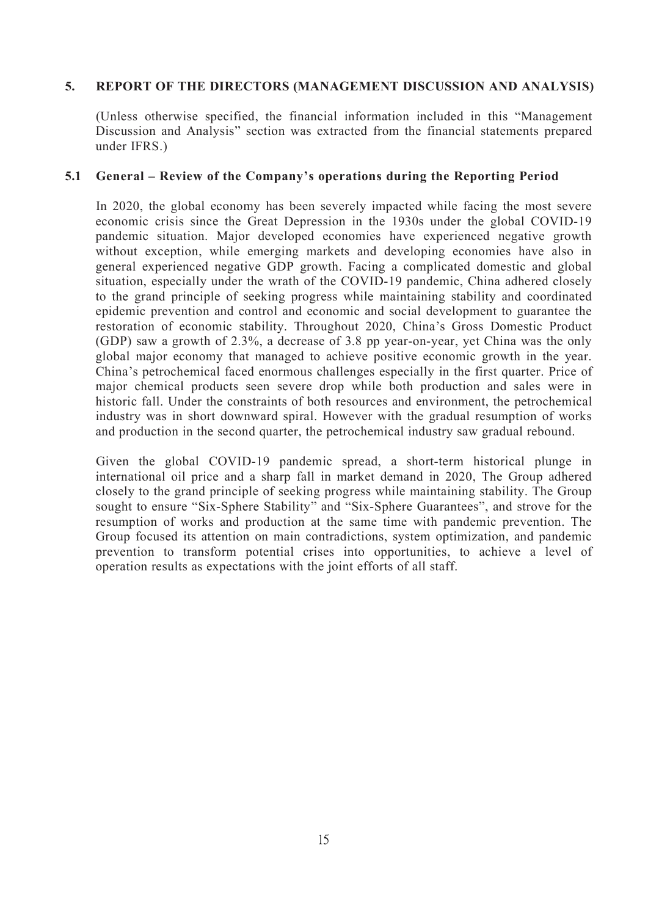## **5. REPORT OF THE DIRECTORS (MANAGEMENT DISCUSSION AND ANALYSIS)**

(Unless otherwise specified, the financial information included in this "Management Discussion and Analysis" section was extracted from the financial statements prepared under IFRS.)

## **5.1 General – Review of the Company's operations during the Reporting Period**

In 2020, the global economy has been severely impacted while facing the most severe economic crisis since the Great Depression in the 1930s under the global COVID-19 pandemic situation. Major developed economies have experienced negative growth without exception, while emerging markets and developing economies have also in general experienced negative GDP growth. Facing a complicated domestic and global situation, especially under the wrath of the COVID-19 pandemic, China adhered closely to the grand principle of seeking progress while maintaining stability and coordinated epidemic prevention and control and economic and social development to guarantee the restoration of economic stability. Throughout 2020, China's Gross Domestic Product (GDP) saw a growth of 2.3%, a decrease of 3.8 pp year-on-year, yet China was the only global major economy that managed to achieve positive economic growth in the year. China's petrochemical faced enormous challenges especially in the first quarter. Price of major chemical products seen severe drop while both production and sales were in historic fall. Under the constraints of both resources and environment, the petrochemical industry was in short downward spiral. However with the gradual resumption of works and production in the second quarter, the petrochemical industry saw gradual rebound.

Given the global COVID-19 pandemic spread, a short-term historical plunge in international oil price and a sharp fall in market demand in 2020, The Group adhered closely to the grand principle of seeking progress while maintaining stability. The Group sought to ensure "Six-Sphere Stability" and "Six-Sphere Guarantees", and strove for the resumption of works and production at the same time with pandemic prevention. The Group focused its attention on main contradictions, system optimization, and pandemic prevention to transform potential crises into opportunities, to achieve a level of operation results as expectations with the joint efforts of all staff.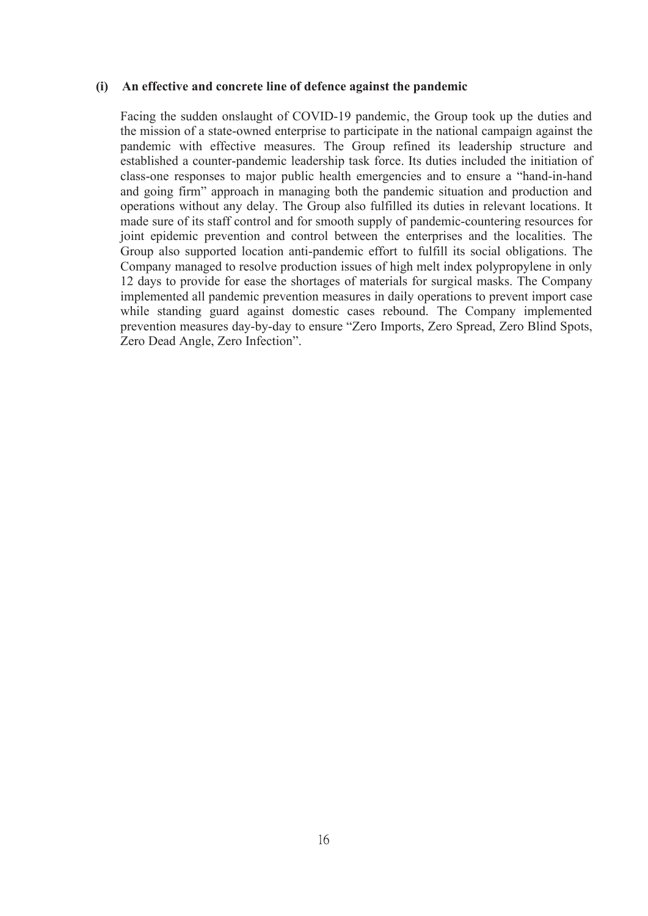#### **(i) An effective and concrete line of defence against the pandemic**

Facing the sudden onslaught of COVID-19 pandemic, the Group took up the duties and the mission of a state-owned enterprise to participate in the national campaign against the pandemic with effective measures. The Group refined its leadership structure and established a counter-pandemic leadership task force. Its duties included the initiation of class-one responses to major public health emergencies and to ensure a "hand-in-hand and going firm" approach in managing both the pandemic situation and production and operations without any delay. The Group also fulfilled its duties in relevant locations. It made sure of its staff control and for smooth supply of pandemic-countering resources for joint epidemic prevention and control between the enterprises and the localities. The Group also supported location anti-pandemic effort to fulfill its social obligations. The Company managed to resolve production issues of high melt index polypropylene in only 12 days to provide for ease the shortages of materials for surgical masks. The Company implemented all pandemic prevention measures in daily operations to prevent import case while standing guard against domestic cases rebound. The Company implemented prevention measures day-by-day to ensure "Zero Imports, Zero Spread, Zero Blind Spots, Zero Dead Angle, Zero Infection".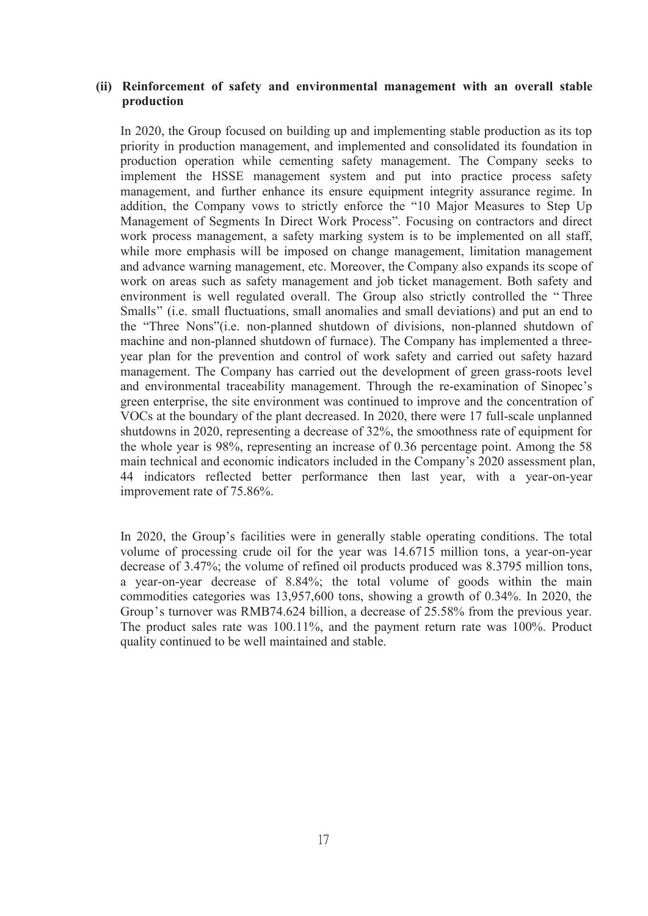#### **(ii) Reinforcement of safety and environmental management with an overall stable production**

In 2020, the Group focused on building up and implementing stable production as its top priority in production management, and implemented and consolidated its foundation in production operation while cementing safety management. The Company seeks to implement the HSSE management system and put into practice process safety management, and further enhance its ensure equipment integrity assurance regime. In addition, the Company vows to strictly enforce the "10 Major Measures to Step Up Management of Segments In Direct Work Process". Focusing on contractors and direct work process management, a safety marking system is to be implemented on all staff, while more emphasis will be imposed on change management, limitation management and advance warning management, etc. Moreover, the Company also expands its scope of work on areas such as safety management and job ticket management. Both safety and environment is well regulated overall. The Group also strictly controlled the "Three Smalls" (i.e. small fluctuations, small anomalies and small deviations) and put an end to the "Three Nons"(i.e. non-planned shutdown of divisions, non-planned shutdown of machine and non-planned shutdown of furnace). The Company has implemented a three year plan for the prevention and control of work safety and carried out safety hazard management. The Company has carried out the development of green grass-roots level and environmental traceability management. Through the re-examination of Sinopec's green enterprise, the site environment was continued to improve and the concentration of VOCs at the boundary of the plant decreased. In 2020, there were 17 full-scale unplanned shutdowns in 2020, representing a decrease of 32%, the smoothness rate of equipment for the whole year is 98%, representing an increase of  $0.36$  percentage point. Among the 58 main technical and economic indicators included in the Company's 2020 assessment plan, 44 indicators reflected better performance then last year, with a year-on-year improvement rate of 75.86%.

In 2020, the Group's facilities were in generally stable operating conditions. The total volume of processing crude oil for the year was 14.6715 million tons, a year-on-year decrease of 3.47%; the volume of refined oil products produced was 8.3795 million tons, a year-on-year decrease of 8.84%; the total volume of goods within the main commodities categories was 13,957,600 tons, showing a growth of 0.34%. In 2020, the Group's turnover was RMB74.624 billion, a decrease of 25.58% from the previous year. The product sales rate was 100.11%, and the payment return rate was 100%. Product quality continued to be well maintained and stable.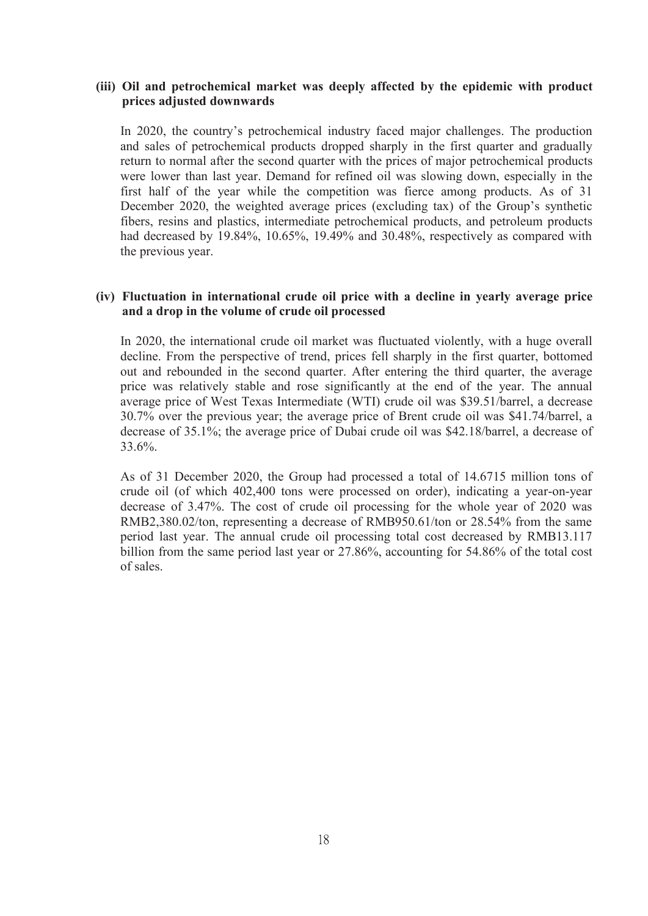#### **(iii) Oil and petrochemical market was deeply affected by the epidemic with product prices adjusted downwards**

In 2020, the country's petrochemical industry faced major challenges. The production and sales of petrochemical products dropped sharply in the first quarter and gradually return to normal after the second quarter with the prices of major petrochemical products were lower than last year. Demand for refined oil was slowing down, especially in the first half of the year while the competition was fierce among products. As of 31 December 2020, the weighted average prices (excluding tax) of the Group's synthetic fibers, resins and plastics, intermediate petrochemical products, and petroleum products had decreased by 19.84%, 10.65%, 19.49% and 30.48%, respectively as compared with the previous year.

#### **(iv) Fluctuation in international crude oil price with a decline in yearly average price and a drop in the volume of crude oil processed**

In 2020, the international crude oil market was fluctuated violently, with a huge overall decline. From the perspective of trend, prices fell sharply in the first quarter, bottomed out and rebounded in the second quarter. After entering the third quarter, the average price was relatively stable and rose significantly at the end of the year. The annual average price of West Texas Intermediate (WTI) crude oil was \$39.51/barrel, a decrease 30.7% over the previous year; the average price of Brent crude oil was \$41.74/barrel, a decrease of 35.1%; the average price of Dubai crude oil was \$42.18/barrel, a decrease of 33.6%.

As of 31 December 2020, the Group had processed a total of 14.6715 million tons of crude oil (of which 402,400 tonswere processed on order), indicating a year-on-year decrease of 3.47%. The cost of crude oil processing for the whole year of 2020 was RMB2,380.02/ton, representing a decrease of RMB950.61/ton or 28.54% from the same period last year. The annual crude oil processing total cost decreased by RMB13.117 billion from the same period last year or 27.86%, accounting for 54.86% of the total cost of sales.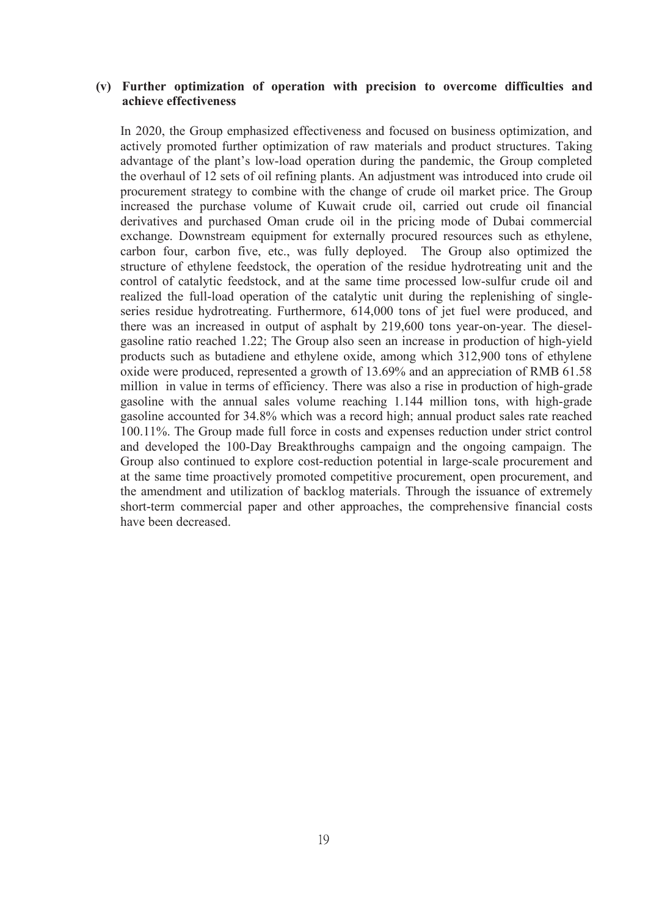#### **(v) Further optimization of operation with precision to overcome difficulties and achieve effectiveness**

In 2020, the Group emphasized effectiveness and focused on business optimization, and actively promoted further optimization of raw materials and product structures. Taking advantage of the plant's low-load operation during the pandemic, the Group completed the overhaul of 12 sets of oil refining plants. An adjustment was introduced into crude oil procurement strategy to combine with the change of crude oil market price. The Group increased the purchase volume of Kuwait crude oil, carried out crude oil financial derivatives and purchased Oman crude oil in the pricing mode of Dubai commercial exchange. Downstream equipment for externally procured resources such as ethylene, carbon four, carbon five, etc., was fully deployed. The Group also optimized the structure of ethylene feedstock, the operation of the residue hydrotreating unit and the control of catalytic feedstock, and at the same time processed low-sulfur crude oil and realized the full-load operation of the catalytic unit during the replenishing of single series residue hydrotreating. Furthermore, 614,000 tons of jet fuel were produced, and there was an increased in output of asphalt by 219,600 tons year-on-year. The diesel gasoline ratio reached 1.22; The Group also seen an increase in production of high-yield products such as butadiene and ethylene oxide, among which 312,900 tons of ethylene oxide were produced, represented a growth of 13.69% and an appreciation of RMB 61.58 million in value in terms of efficiency. There was also a rise in production of high-grade gasoline with the annual sales volume reaching 1.144 million tons, with high-grade gasoline accounted for 34.8% which was a record high; annual product sales rate reached 100.11%. The Group made full force in costs and expenses reduction under strict control and developed the 100-Day Breakthroughs campaign and the ongoing campaign. The Group also continued to explore cost-reduction potential in large-scale procurement and at the same time proactively promoted competitive procurement, open procurement, and the amendment and utilization of backlog materials. Through the issuance of extremely short-term commercial paper and other approaches, the comprehensive financial costs have been decreased.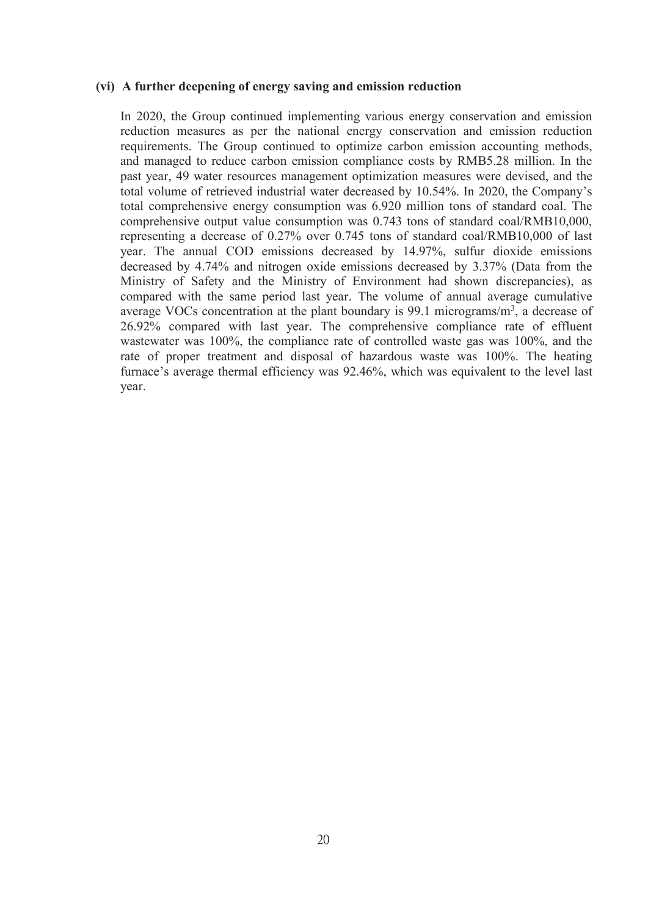#### **(vi) A further deepening of energy saving and emission reduction**

In 2020, the Group continued implementing various energy conservation and emission reduction measures as per the national energy conservation and emission reduction requirements. The Group continued to optimize carbon emission accounting methods, and managed to reduce carbon emission compliance costs by RMB5.28 million. In the past year, 49 water resources management optimization measures were devised, and the total volume of retrieved industrial water decreased by 10.54%. In 2020, the Company's total comprehensive energy consumption was 6.920 million tonsof standard coal. The comprehensive output value consumption was  $0.743$  tons of standard coal/RMB10,000, representing a decrease of 0.27% over 0.745 tons of standard coal/RMB10,000 of last year. The annual COD emissions decreased by 14.97%, sulfur dioxide emissions decreased by 4.74% and nitrogen oxide emissions decreased by 3.37% (Data from the Ministry of Safety and the Ministry of Environment had shown discrepancies), as compared with the same period last year. The volume of annual average cumulative average VOCs concentration at the plant boundary is 99.1 micrograms/m<sup>3</sup>, a decrease of 26.92% compared with last year. The comprehensive compliance rate of effluent wastewater was 100%, the compliance rate of controlled waste gas was 100%, and the rate of proper treatment and disposal of hazardous waste was 100%. The heating furnace's average thermal efficiency was 92.46%, which was equivalent to the level last year.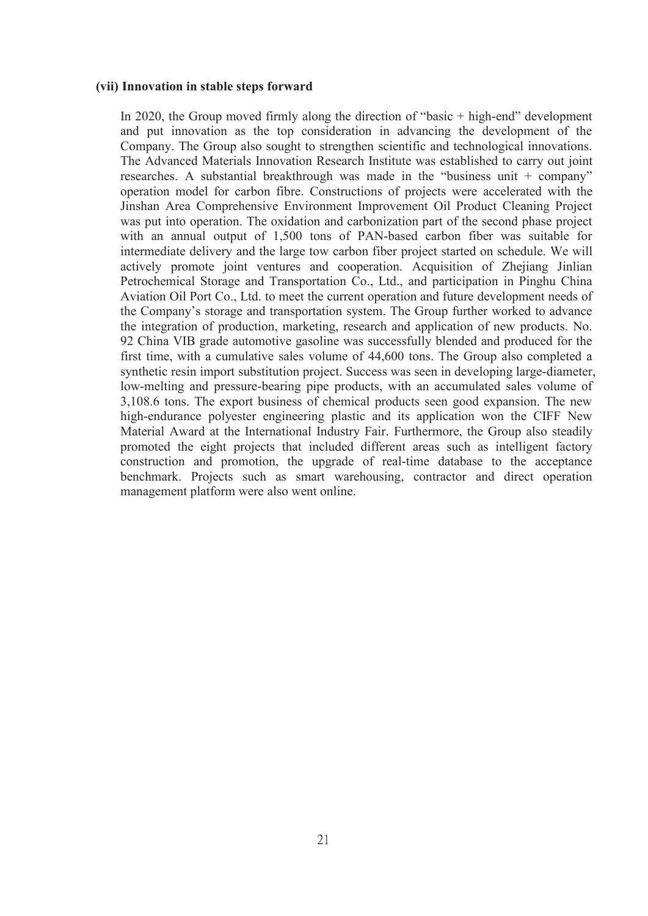#### **(vii) Innovation in stable steps forward**

In 2020, the Group moved firmly along the direction of "basic + high-end" development and put innovation as the top consideration in advancing the development of the Company. The Group also sought to strengthen scientific and technological innovations. The Advanced Materials Innovation Research Institute was established to carry out joint researches. A substantial breakthrough was made in the "business unit  $+$  company" operation model for carbon fibre. Constructions of projects were accelerated with the Jinshan Area Comprehensive Environment Improvement Oil Product Cleaning Project was put into operation. The oxidation and carbonization part of the second phase project with an annual output of 1,500 tons of PAN-based carbon fiber was suitable for intermediate delivery and the large tow carbon fiber project started on schedule. We will actively promote joint ventures and cooperation. Acquisition of Zhejiang Jinlian Petrochemical Storage and Transportation Co., Ltd., and participation in Pinghu China Aviation Oil Port Co., Ltd. to meet the current operation and future development needs of the Company's storage and transportation system. The Group further worked to advance the integration of production, marketing, research and application of new products. No. 92 China VIB grade automotive gasoline was successfully blended and produced for the first time, with a cumulative sales volume of 44,600 tons. The Group also completed a synthetic resin import substitution project. Success was seen in developing large-diameter, low-melting and pressure-bearing pipe products, with an accumulated sales volume of 3,108.6 tons. The export business of chemical products seen good expansion. The new high-endurance polyester engineering plastic and its application won the CIFF New Material Award at the International Industry Fair. Furthermore, the Group also steadily promoted the eight projects that included different areas such as intelligent factory construction and promotion, the upgrade of real-time database to the acceptance benchmark. Projects such as smart warehousing, contractor and direct operation management platform were also went online.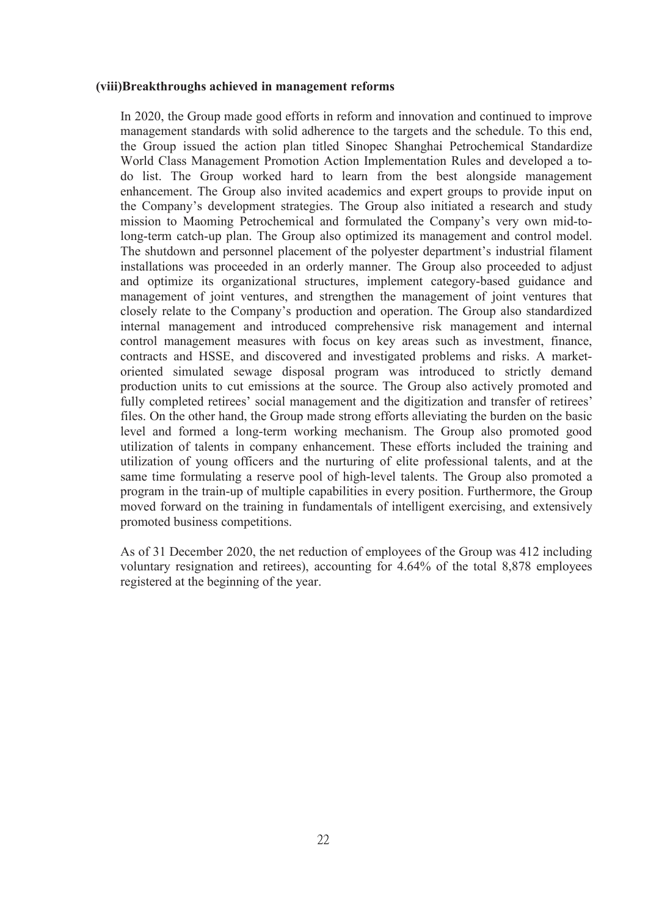#### **(viii)Breakthroughs achieved in management reforms**

In 2020, the Group made good efforts in reform and innovation and continued to improve management standards with solid adherence to the targets and the schedule. To this end, the Group issued the action plan titled Sinopec Shanghai Petrochemical Standardize World Class Management Promotion Action Implementation Rules and developed a to do list. The Group worked hard to learn from the best alongside management enhancement. The Group also invited academics and expert groups to provide input on the Company's development strategies. The Group also initiated a research and study mission to Maoming Petrochemical and formulated the Company's very own mid-tolong-term catch-up plan. The Group also optimized its management and control model. The shutdown and personnel placement of the polyester department's industrial filament installations was proceeded in an orderly manner. The Group also proceeded to adjust and optimize its organizational structures, implement category-based guidance and management of joint ventures, and strengthen the management of joint ventures that closely relate to the Company's production and operation. The Group also standardized internal management and introduced comprehensive risk management and internal control management measures with focus on key areas such as investment, finance, contracts and HSSE, and discovered and investigated problems and risks. A market oriented simulated sewage disposal program was introduced to strictly demand production units to cut emissions at the source. The Group also actively promoted and fully completed retirees' social management and the digitization and transfer of retirees' files. On the other hand, the Group made strong efforts alleviating the burden on the basic level and formed a long-term working mechanism. The Group also promoted good utilization of talents in company enhancement. These efforts included the training and utilization of young officers and the nurturing of elite professional talents, and at the same time formulating a reserve pool of high-level talents. The Group also promoted a program in the train-up of multiple capabilities in every position. Furthermore, the Group moved forward on the training in fundamentals of intelligent exercising, and extensively promoted business competitions.

As of 31 December 2020, the net reduction of employees of the Group was 412 including voluntary resignation and retirees), accounting for 4.64% of the total 8,878 employees registered at the beginning of the year.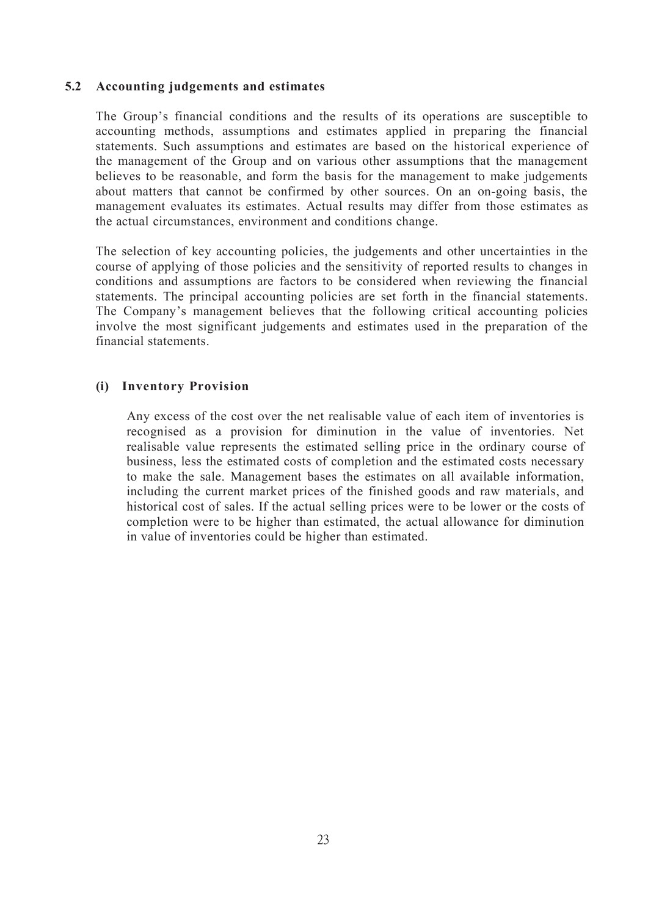## **5.2 Accounting judgements and estimates**

The Group's financial conditions and the results of its operations are susceptible to accounting methods, assumptions and estimates applied in preparing the financial statements. Such assumptions and estimates are based on the historical experience of the management of the Group and on various other assumptions that the management believes to be reasonable, and form the basis for the management to make judgements about matters that cannot be confirmed by other sources. On an on-going basis, the management evaluates its estimates. Actual results may differ from those estimates as the actual circumstances, environment and conditions change.

The selection of key accounting policies, the judgements and other uncertainties in the course of applying of those policies and the sensitivity of reported results to changes in conditions and assumptions are factors to be considered when reviewing the financial statements. The principal accounting policies are set forth in the financial statements. The Company's management believes that the following critical accounting policies involve the most significant judgements and estimates used in the preparation of the financial statements.

## **(i) Inventory Provision**

Any excess of the cost over the net realisable value of each item of inventories is recognised as a provision for diminution in the value of inventories. Net realisable value represents the estimated selling price in the ordinary course of business, less the estimated costs of completion and the estimated costs necessary to make the sale. Management bases the estimates on all available information, including the current market prices of the finished goods and raw materials, and historical cost of sales. If the actual selling prices were to be lower or the costs of completion were to be higher than estimated, the actual allowance for diminution in value of inventories could be higher than estimated.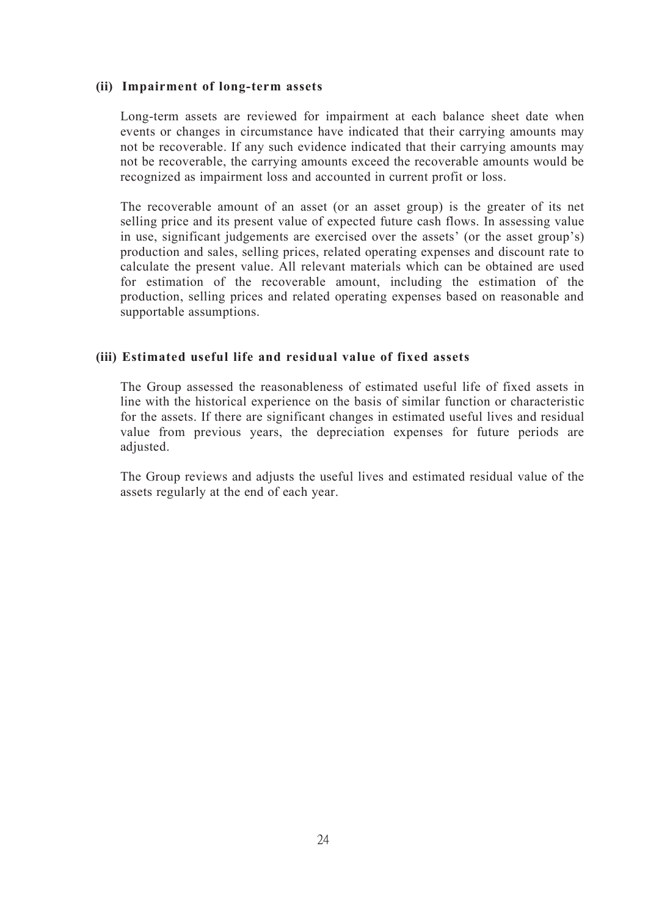#### **(ii) Impairment of long-term assets**

Long-term assets are reviewed for impairment at each balance sheet date when events or changes in circumstance have indicated that their carrying amounts may not be recoverable. If any such evidence indicated that their carrying amounts may not be recoverable, the carrying amounts exceed the recoverable amounts would be recognized as impairment loss and accounted in current profit or loss.

The recoverable amount of an asset (or an asset group) is the greater of its net selling price and its present value of expected future cash flows. In assessing value in use, significant judgements are exercised over the assets' (or the asset group's) production and sales, selling prices, related operating expenses and discount rate to calculate the present value. All relevant materials which can be obtained are used for estimation of the recoverable amount, including the estimation of the production, selling prices and related operating expenses based on reasonable and supportable assumptions.

## **(iii) Estimated useful life and residual value of fixed assets**

The Group assessed the reasonableness of estimated useful life of fixed assets in line with the historical experience on the basis of similar function or characteristic for the assets. If there are significant changes in estimated useful lives and residual value from previous years, the depreciation expenses for future periods are adjusted.

The Group reviews and adjusts the useful lives and estimated residual value of the assets regularly at the end of each year.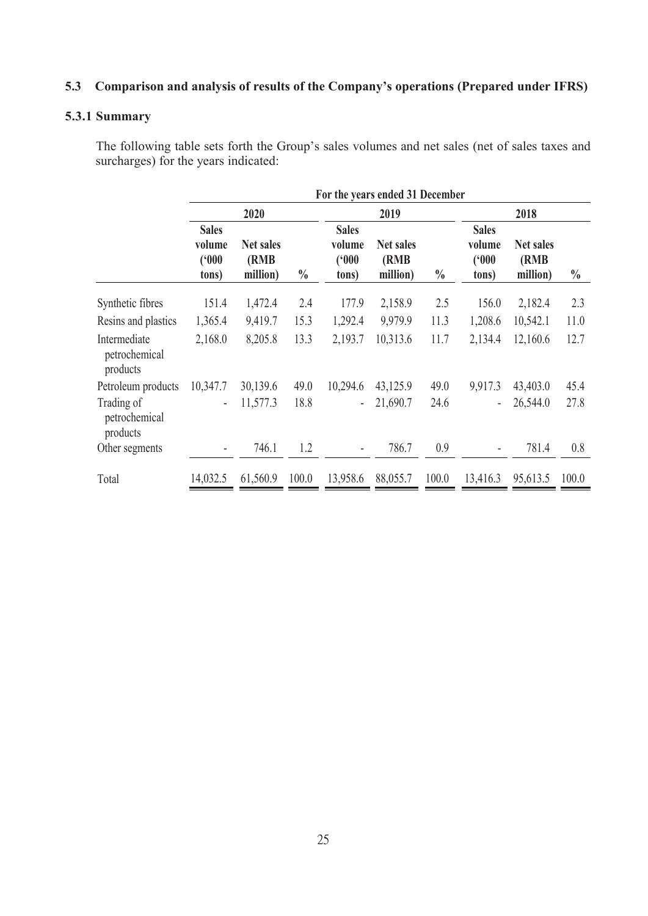# **5.3 Comparison and analysis of results of the Company's operations (Prepared under IFRS)**

## **5.3.1 Summary**

The following table sets forth the Group's sales volumes and net sales (net of sales taxes and surcharges) for the years indicated:

|                                           | For the years ended 31 December          |                                |               |                                          |                                       |               |                                          |                                       |               |  |
|-------------------------------------------|------------------------------------------|--------------------------------|---------------|------------------------------------------|---------------------------------------|---------------|------------------------------------------|---------------------------------------|---------------|--|
|                                           |                                          | 2020                           |               |                                          | 2019                                  |               | 2018                                     |                                       |               |  |
|                                           | <b>Sales</b><br>volume<br>(900)<br>tons) | Net sales<br>(RMB)<br>million) | $\frac{0}{0}$ | <b>Sales</b><br>volume<br>(900)<br>tons) | <b>Net sales</b><br>(RMB)<br>million) | $\frac{0}{0}$ | <b>Sales</b><br>volume<br>(900)<br>tons) | <b>Net sales</b><br>(RMB)<br>million) | $\frac{0}{0}$ |  |
| Synthetic fibres                          | 151.4                                    | 1,472.4                        | 2.4           | 177.9                                    | 2,158.9                               | 2.5           | 156.0                                    | 2,182.4                               | 2.3           |  |
| Resins and plastics                       | 1,365.4                                  | 9,419.7                        | 15.3          | 1,292.4                                  | 9,979.9                               | 11.3          | 1,208.6                                  | 10,542.1                              | 11.0          |  |
| Intermediate<br>petrochemical<br>products | 2,168.0                                  | 8,205.8                        | 13.3          | 2,193.7                                  | 10,313.6                              | 11.7          | 2,134.4                                  | 12,160.6                              | 12.7          |  |
| Petroleum products                        | 10,347.7                                 | 30,139.6                       | 49.0          | 10,294.6                                 | 43,125.9                              | 49.0          | 9,917.3                                  | 43,403.0                              | 45.4          |  |
| Trading of<br>petrochemical<br>products   |                                          | 11,577.3                       | 18.8          | $\sim$                                   | 21,690.7                              | 24.6          | $\sim$                                   | 26,544.0                              | 27.8          |  |
| Other segments                            | ۰                                        | 746.1                          | 1.2           | $\sim$                                   | 786.7                                 | 0.9           | $\sim$                                   | 781.4                                 | 0.8           |  |
| Total                                     | 14,032.5                                 | 61,560.9                       | 100.0         | 13,958.6                                 | 88,055.7                              | 100.0         | 13,416.3                                 | 95,613.5                              | 100.0         |  |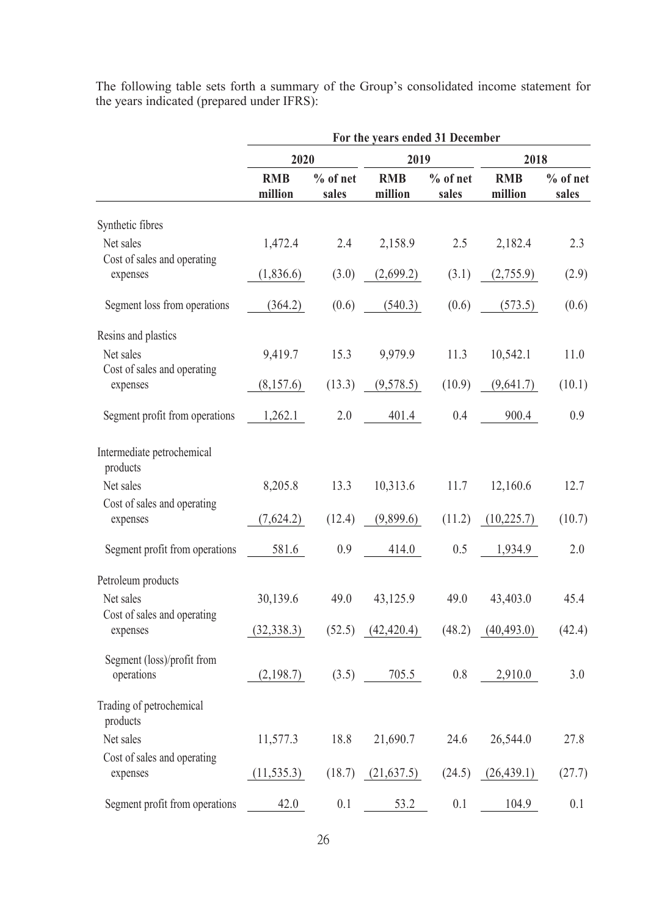|                                          | For the years ended 31 December |                     |                       |                     |                       |                     |  |  |
|------------------------------------------|---------------------------------|---------------------|-----------------------|---------------------|-----------------------|---------------------|--|--|
|                                          | 2020                            |                     | 2019                  |                     | 2018                  |                     |  |  |
|                                          | <b>RMB</b><br>million           | $%$ of net<br>sales | <b>RMB</b><br>million | $%$ of net<br>sales | <b>RMB</b><br>million | $%$ of net<br>sales |  |  |
| Synthetic fibres                         |                                 |                     |                       |                     |                       |                     |  |  |
| Net sales                                | 1,472.4                         | 2.4                 | 2,158.9               | 2.5                 | 2,182.4               | 2.3                 |  |  |
| Cost of sales and operating<br>expenses  | (1,836.6)                       | (3.0)               | (2,699.2)             | (3.1)               | (2,755.9)             | (2.9)               |  |  |
| Segment loss from operations             | (364.2)                         | (0.6)               | (540.3)               | (0.6)               | (573.5)               | (0.6)               |  |  |
| Resins and plastics                      |                                 |                     |                       |                     |                       |                     |  |  |
| Net sales                                | 9,419.7                         | 15.3                | 9,979.9               | 11.3                | 10,542.1              | 11.0                |  |  |
| Cost of sales and operating<br>expenses  | (8,157.6)                       | (13.3)              | (9,578.5)             | (10.9)              | (9,641.7)             | (10.1)              |  |  |
| Segment profit from operations           | 1,262.1                         | 2.0                 | 401.4                 | $0.4\,$             | 900.4                 | 0.9                 |  |  |
| Intermediate petrochemical<br>products   |                                 |                     |                       |                     |                       |                     |  |  |
| Net sales                                | 8,205.8                         | 13.3                | 10,313.6              | 11.7                | 12,160.6              | 12.7                |  |  |
| Cost of sales and operating<br>expenses  | (7,624.2)                       | (12.4)              | (9,899.6)             | (11.2)              | (10,225.7)            | (10.7)              |  |  |
| Segment profit from operations           | 581.6                           | 0.9                 | 414.0                 | 0.5                 | 1,934.9               | 2.0                 |  |  |
| Petroleum products                       |                                 |                     |                       |                     |                       |                     |  |  |
| Net sales                                | 30,139.6                        | 49.0                | 43,125.9              | 49.0                | 43,403.0              | 45.4                |  |  |
| Cost of sales and operating<br>expenses  | (32, 338.3)                     | (52.5)              | (42, 420.4)           | (48.2)              | (40, 493.0)           | (42.4)              |  |  |
| Segment (loss)/profit from<br>operations | (2,198.7)                       | (3.5)               | 705.5                 | 0.8                 | 2,910.0               | $3.0\,$             |  |  |
| Trading of petrochemical<br>products     |                                 |                     |                       |                     |                       |                     |  |  |
| Net sales                                | 11,577.3                        | 18.8                | 21,690.7              | 24.6                | 26,544.0              | 27.8                |  |  |
| Cost of sales and operating<br>expenses  | (11, 535.3)                     | (18.7)              | (21, 637.5)           | (24.5)              | (26, 439.1)           | (27.7)              |  |  |
| Segment profit from operations           | 42.0                            | 0.1                 | 53.2                  | 0.1                 | 104.9                 | 0.1                 |  |  |

The following table sets forth a summary of the Group's consolidated income statement for the years indicated (prepared under IFRS):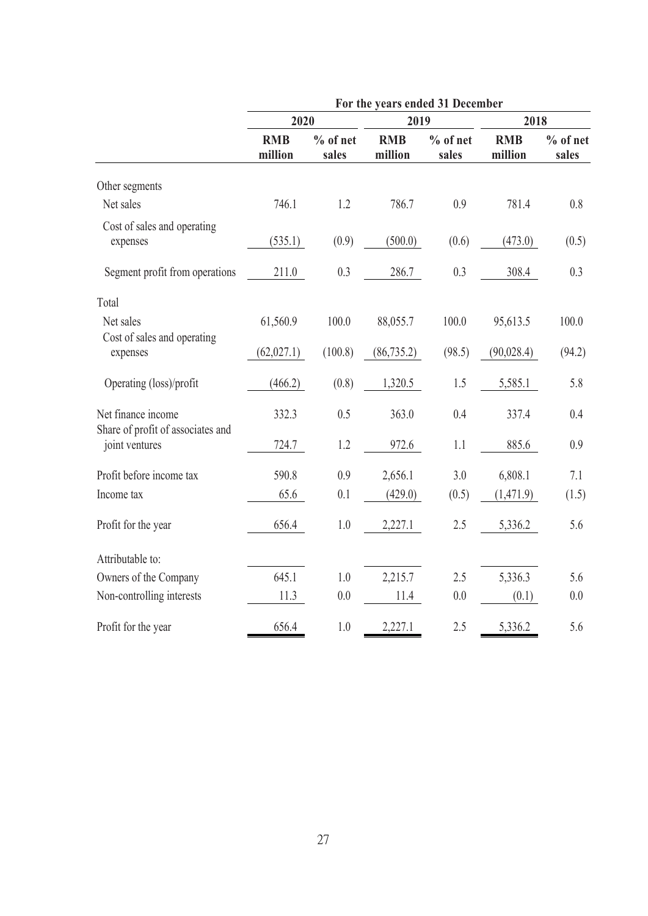|                                                         | For the years ended 31 December |                     |                       |                     |                       |                     |  |  |  |
|---------------------------------------------------------|---------------------------------|---------------------|-----------------------|---------------------|-----------------------|---------------------|--|--|--|
|                                                         | 2020                            |                     | 2019                  |                     | 2018                  |                     |  |  |  |
|                                                         | <b>RMB</b><br>million           | $%$ of net<br>sales | <b>RMB</b><br>million | $%$ of net<br>sales | <b>RMB</b><br>million | $%$ of net<br>sales |  |  |  |
| Other segments                                          |                                 |                     |                       |                     |                       |                     |  |  |  |
| Net sales                                               | 746.1                           | 1.2                 | 786.7                 | 0.9                 | 781.4                 | 0.8                 |  |  |  |
| Cost of sales and operating<br>expenses                 | (535.1)                         | (0.9)               | (500.0)               | (0.6)               | (473.0)               | (0.5)               |  |  |  |
| Segment profit from operations                          | 211.0                           | 0.3                 | 286.7                 | 0.3                 | 308.4                 | 0.3                 |  |  |  |
| Total                                                   |                                 |                     |                       |                     |                       |                     |  |  |  |
| Net sales                                               | 61,560.9                        | 100.0               | 88,055.7              | 100.0               | 95,613.5              | 100.0               |  |  |  |
| Cost of sales and operating<br>expenses                 | (62, 027.1)                     | (100.8)             | (86, 735.2)           | (98.5)              | (90,028.4)            | (94.2)              |  |  |  |
| Operating (loss)/profit                                 | (466.2)                         | (0.8)               | 1,320.5               | 1.5                 | 5,585.1               | 5.8                 |  |  |  |
| Net finance income<br>Share of profit of associates and | 332.3                           | 0.5                 | 363.0                 | 0.4                 | 337.4                 | 0.4                 |  |  |  |
| joint ventures                                          | 724.7                           | 1.2                 | 972.6                 | 1.1                 | 885.6                 | 0.9                 |  |  |  |
| Profit before income tax                                | 590.8                           | 0.9                 | 2,656.1               | 3.0                 | 6,808.1               | 7.1                 |  |  |  |
| Income tax                                              | 65.6                            | 0.1                 | (429.0)               | (0.5)               | (1,471.9)             | (1.5)               |  |  |  |
| Profit for the year                                     | 656.4                           | $1.0\,$             | 2,227.1               | $2.5$               | 5,336.2               | 5.6                 |  |  |  |
| Attributable to:                                        |                                 |                     |                       |                     |                       |                     |  |  |  |
| Owners of the Company                                   | 645.1                           | $1.0\,$             | 2,215.7               | $2.5\,$             | 5,336.3               | 5.6                 |  |  |  |
| Non-controlling interests                               | 11.3                            | 0.0                 | $11.4\,$              | 0.0                 | (0.1)                 | $0.0\,$             |  |  |  |
| Profit for the year                                     | 656.4                           | 1.0                 | 2,227.1               | 2.5                 | 5,336.2               | 5.6                 |  |  |  |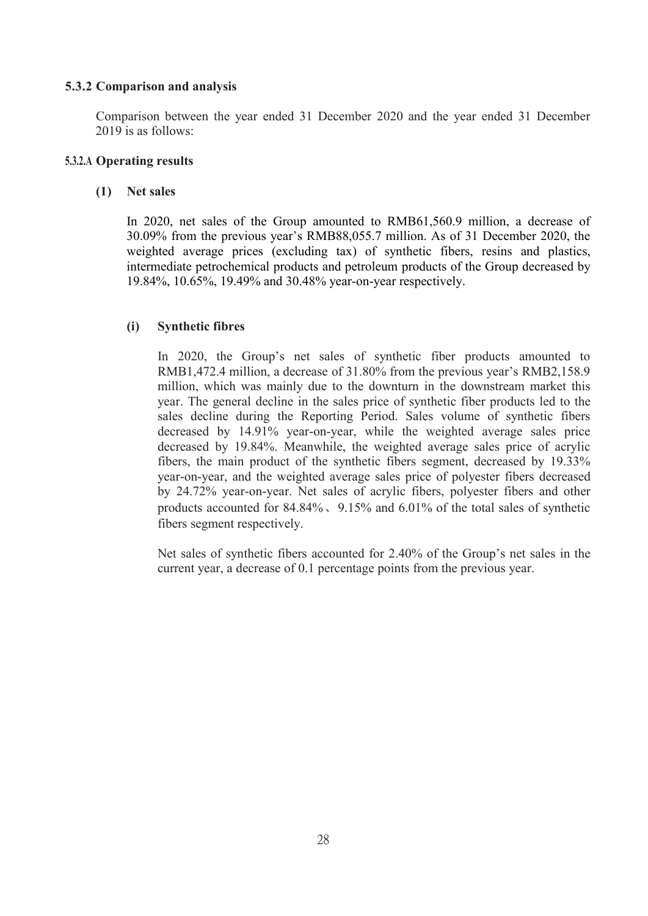## **5.3.2 Comparison and analysis**

Comparison between the year ended 31 December 2020 and the year ended 31 December 2019 is as follows:

## **5.3.2.A Operating results**

## **(1) Net sales**

In 2020, net sales of the Group amounted to RMB61,560.9 million, a decrease of 30.09% from the previous year's RMB88,055.7 million. As of 31 December 2020, the weighted average prices (excluding tax) of synthetic fibers, resins and plastics, intermediate petrochemical products and petroleum products of theGroup decreased by 19.84%, 10.65%, 19.49% and 30.48% year-on-year respectively.

## **(i) Synthetic fibres**

In 2020, the Group's net sales of synthetic fiber products amounted to RMB1,472.4 million, a decrease of 31.80% from the previous year's RMB2,158.9 million, which was mainly due to the downturn in the downstream market this year. The general decline in the sales price of synthetic fiber products led to the sales decline during the Reporting Period. Sales volume of synthetic fibers decreased by 14.91% year-on-year, while the weighted average sales price decreased by 19.84%. Meanwhile, the weighted average sales price of acrylic fibers, the main product of the synthetic fibers segment, decreased by 19.33% year-on-year, and the weighted average sales price of polyester fibers decreased by 24.72% year-on-year. Net sales of acrylic fibers, polyester fibers and other products accounted for  $84.84\%$ ,  $9.15\%$  and  $6.01\%$  of the total sales of synthetic fibers segment respectively.

Net sales of synthetic fibers accounted for 2.40% of the Group's net sales in the current year, a decrease of 0.1 percentage points from the previous year.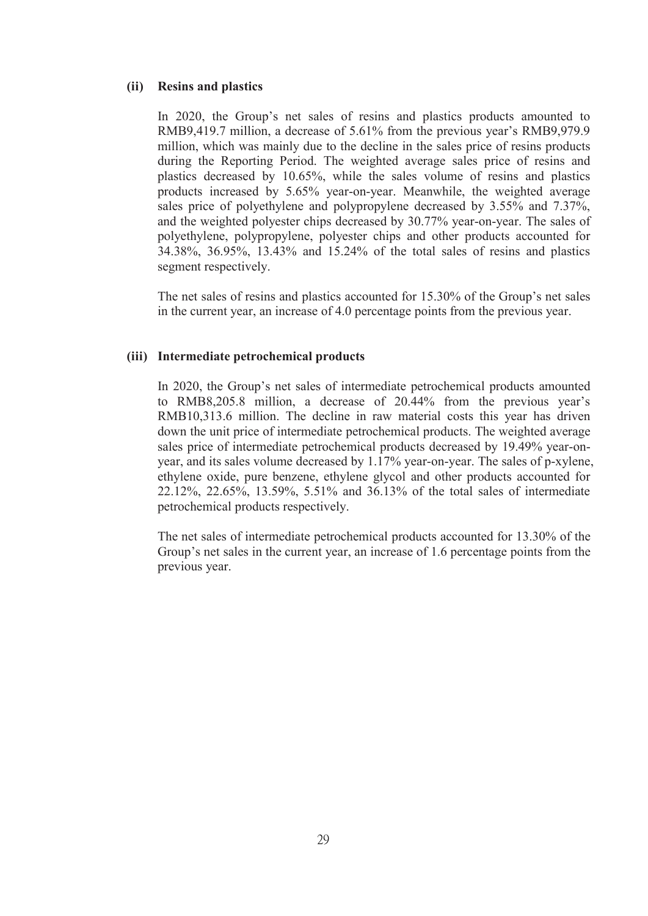#### **(ii) Resins and plastics**

In 2020, the Group's net sales of resins and plastics products amounted to RMB9,419.7 million, a decrease of 5.61% from the previous year's RMB9,979.9 million, which was mainly due to the decline in the sales price of resins products during the Reporting Period. The weighted average sales price of resins and plastics decreased by 10.65%, while the sales volume of resins and plastics products increased by 5.65% year-on-year. Meanwhile, the weighted average sales price of polyethylene and polypropylene decreased by 3.55% and 7.37%, and the weighted polyester chips decreased by 30.77% year-on-year. The sales of polyethylene, polypropylene, polyester chips and other products accounted for 34.38%, 36.95%, 13.43% and 15.24% of the total sales of resins and plastics segment respectively.

The net sales of resins and plastics accounted for 15.30% of the Group's net sales in the current year, an increase of 4.0 percentage points from the previous year.

#### **(iii) Intermediate petrochemical products**

In 2020, the Group's net sales of intermediate petrochemical products amounted to RMB8,205.8 million, a decrease of 20.44% from the previous year's RMB10,313.6 million. The decline in raw material costs this year has driven down the unit price of intermediate petrochemical products. The weighted average sales price of intermediate petrochemical products decreased by 19.49% year-on year, and its sales volume decreased by 1.17% year-on-year. The sales of p-xylene, ethylene oxide, pure benzene, ethylene glycol and other products accounted for 22.12%, 22.65%, 13.59%, 5.51% and 36.13% of the total sales of intermediate petrochemical products respectively.

The net sales of intermediate petrochemical products accounted for 13.30% of the Group's net sales in the current year, an increase of 1.6 percentage points from the previous year.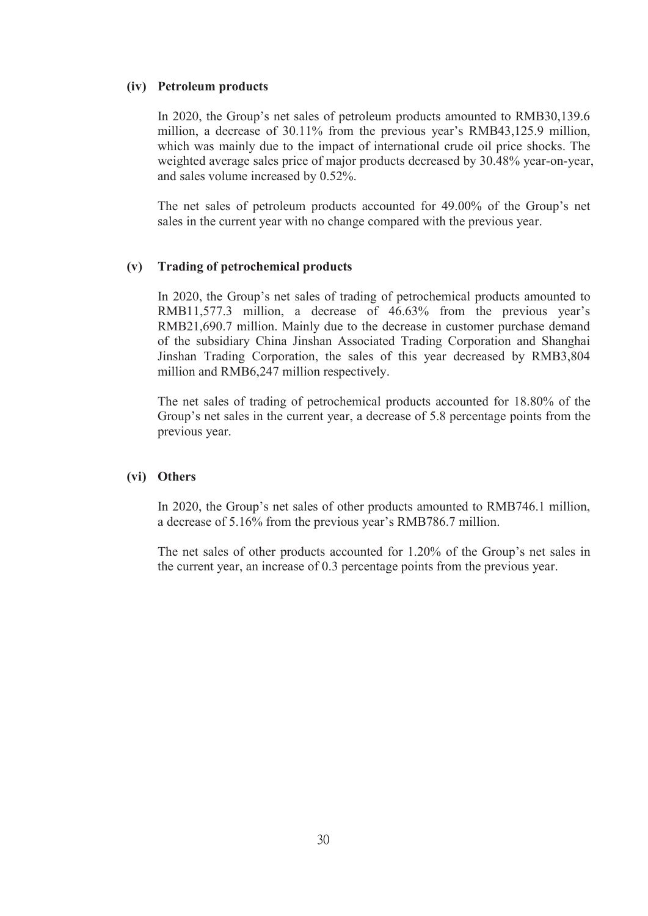#### **(iv) Petroleum products**

In 2020, the Group's net sales of petroleum products amounted to RMB30,139.6 million, a decrease of 30.11% from the previous year's RMB43,125.9 million, which was mainly due to the impact of international crude oil price shocks. The weighted average sales price of major products decreased by 30.48% year-on-year, and sales volume increased by 0.52%.

The net sales of petroleum products accounted for 49.00% of the Group's net sales in the current year with no change compared with the previous year.

#### **(v) Trading of petrochemical products**

In 2020, the Group's net sales of trading of petrochemical products amounted to RMB11,577.3 million, a decrease of 46.63% from the previous year's RMB21,690.7 million. Mainly due to the decrease in customer purchase demand of the subsidiary China Jinshan Associated Trading Corporation and Shanghai Jinshan Trading Corporation, the sales of this year decreased by RMB3,804 million and RMB6,247 million respectively.

The net sales of trading of petrochemical products accounted for 18.80% of the Group's net sales in the current year, a decrease of 5.8 percentage points from the previous year.

#### **(vi) Others**

In 2020, the Group's net sales of other products amounted to RMB746.1 million, a decrease of 5.16% from the previous year's RMB786.7 million.

The net sales of other products accounted for 1.20% of the Group's net sales in the current year, an increase of 0.3 percentage points from the previous year.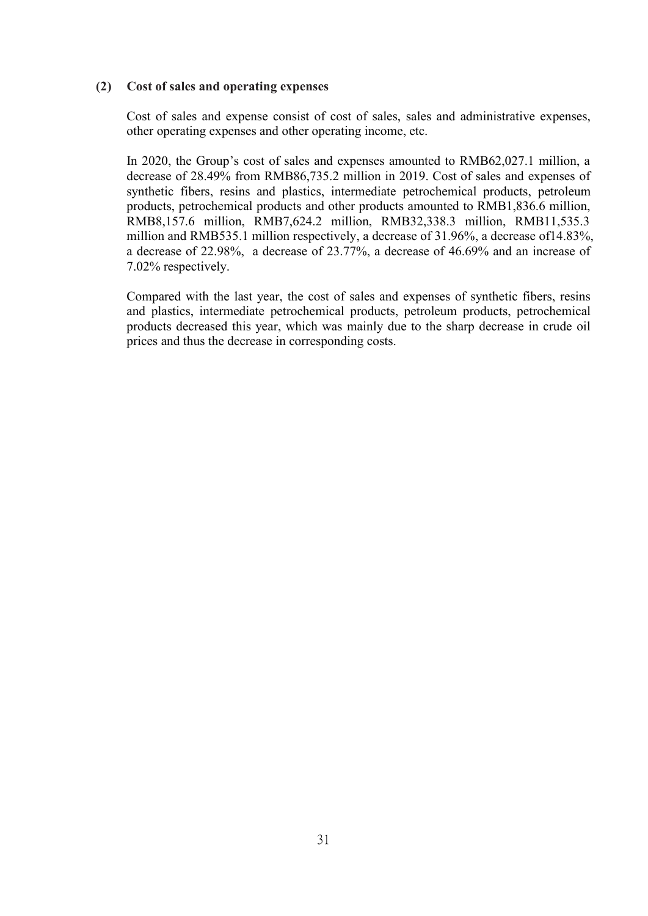#### **(2) Cost of sales and operating expenses**

Cost of sales and expense consist of cost of sales, sales and administrative expenses, other operating expenses and other operating income, etc.

In 2020, the Group's cost of sales and expenses amounted to RMB62,027.1 million, a decrease of 28.49% from RMB86,735.2 million in 2019. Cost of sales and expenses of synthetic fibers, resins and plastics, intermediate petrochemical products, petroleum products, petrochemical products and other products amounted to RMB1,836.6 million, RMB8,157.6 million, RMB7,624.2 million, RMB32,338.3 million, RMB11,535.3 million and RMB535.1 million respectively, a decrease of 31.96%, a decrease of14.83%, a decrease of 22.98%, a decrease of 23.77%, a decrease of 46.69% and an increase of 7.02% respectively.

Compared with the last year, the cost of sales and expenses of synthetic fibers, resins and plastics, intermediate petrochemical products, petroleum products, petrochemical products decreased this year, which was mainly due to the sharp decrease in crude oil prices and thus the decrease in corresponding costs.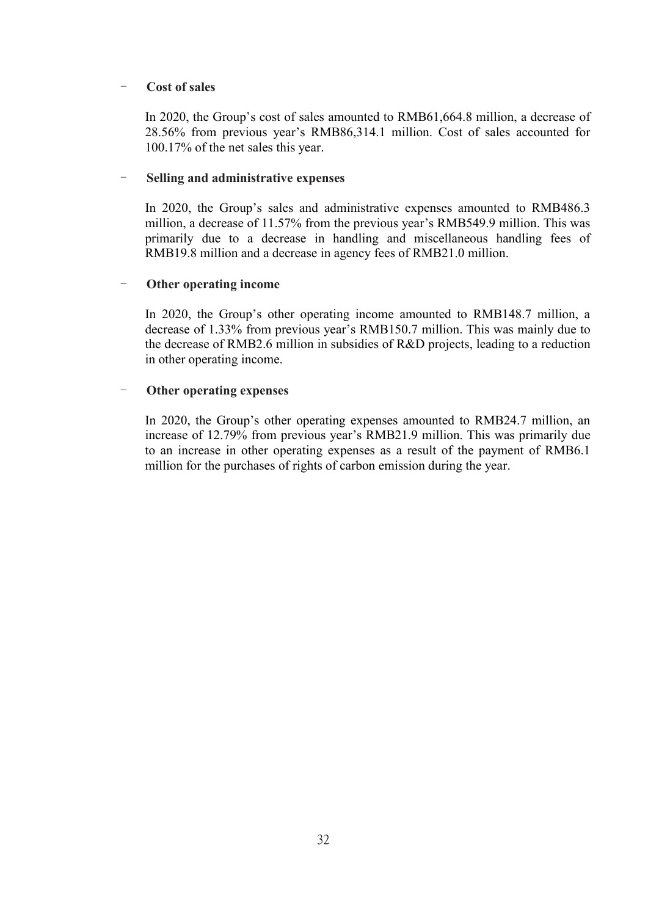#### - **Cost of sales**

In 2020, the Group's cost of sales amounted to RMB61,664.8 million, a decrease of 28.56% from previous year's RMB86,314.1 million. Cost of sales accounted for 100.17% of the net sales this year.

#### - **Selling and administrative expenses**

In 2020, the Group's sales and administrative expenses amounted to RMB486.3 million, a decrease of 11.57% from the previous year's RMB549.9 million. This was primarily due to a decrease in handling and miscellaneous handling fees of RMB19.8 million and a decrease in agency fees of RMB21.0 million.

## - **Other operating income**

In 2020, the Group's other operating income amounted to RMB148.7 million, a decrease of 1.33% from previous year's RMB150.7 million. This was mainly due to the decrease of RMB2.6 million in subsidies of R&D projects, leading to a reduction in other operating income.

#### - **Other operating expenses**

In 2020, the Group's other operating expenses amounted to RMB24.7 million, an increase of 12.79% from previous year's RMB21.9 million. This was primarily due to an increase in other operating expenses as a result of the payment of RMB6.1 million for the purchases of rights of carbon emission during the year.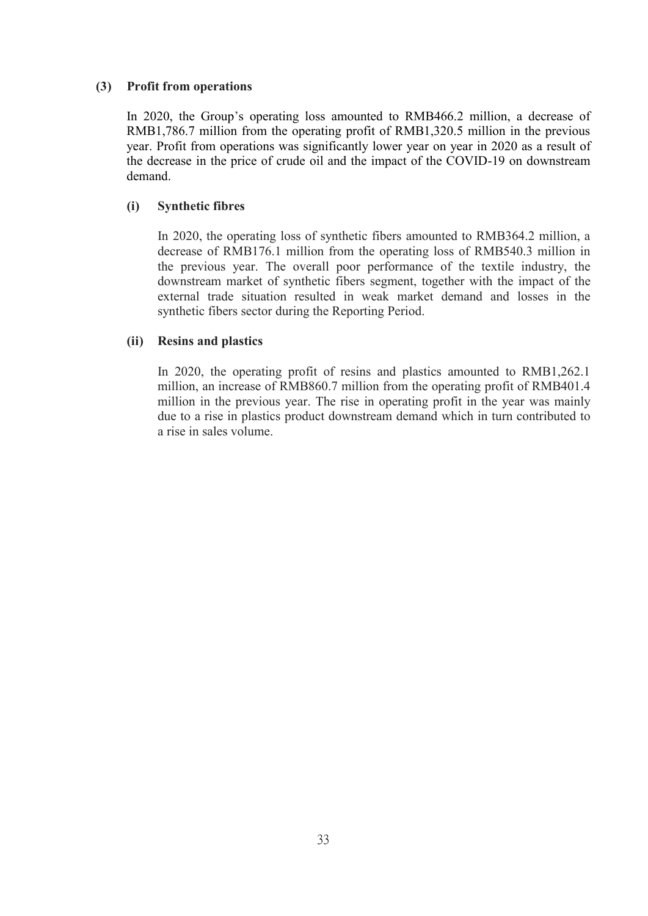#### **(3) Profit from operations**

In 2020, the Group's operating loss amounted to RMB466.2 million, a decrease of RMB1,786.7 million from the operating profit of RMB1,320.5 million in the previous year. Profit from operations was significantly lower year on year in 2020 as a result of the decrease in the price of crude oil and the impact of the COVID-19 on downstream demand.

## **(i) Synthetic fibres**

In 2020, the operating loss of synthetic fibers amounted to RMB364.2 million, a decrease of RMB176.1 million from the operating loss of RMB540.3 million in the previous year. The overall poor performance of the textile industry, the downstream market of synthetic fibers segment, together with the impact of the external trade situation resulted in weak market demand and losses in the synthetic fibers sector during the Reporting Period.

## **(ii) Resins and plastics**

In 2020, the operating profit of resins and plastics amounted to RMB1,262.1 million, an increase of RMB860.7 million from the operating profit of RMB401.4 million in the previous year. The rise in operating profit in the year was mainly due to a rise in plastics product downstream demand which in turn contributed to a rise in sales volume.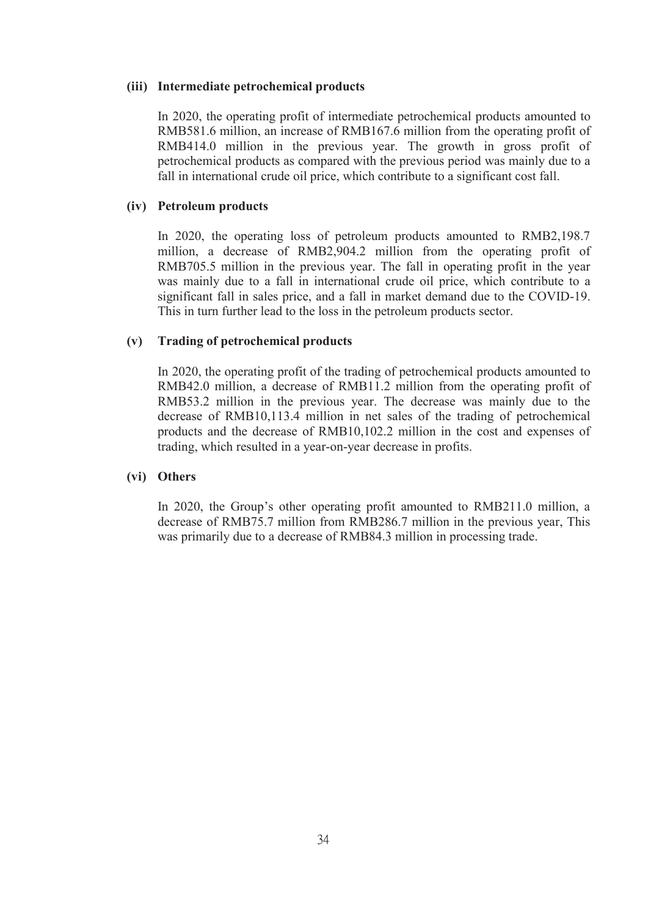#### **(iii) Intermediate petrochemical products**

In 2020, the operating profit of intermediate petrochemical products amounted to RMB581.6 million, an increase of RMB167.6 million from the operating profit of RMB414.0 million in the previous year. The growth in gross profit of petrochemical products as compared with the previous period was mainly due to a fall in international crude oil price, which contribute to a significant cost fall.

#### **(iv) Petroleum products**

In 2020, the operating loss of petroleum products amounted to RMB2,198.7 million, a decrease of RMB2,904.2 million from the operating profit of RMB705.5 million in the previous year. The fall in operating profit in the year was mainly due to a fall in international crude oil price, which contribute to a significant fall in sales price, and a fall in market demand due to the COVID-19. This in turn further lead to the loss in the petroleum products sector.

#### **(v) Trading of petrochemical products**

In 2020, the operating profit of the trading of petrochemical products amounted to RMB42.0 million, a decrease of RMB11.2 million from the operating profit of RMB53.2 million in the previous year. The decrease was mainly due to the decrease of RMB10,113.4 million in net sales of the trading of petrochemical products and the decrease of RMB10,102.2 million in the cost and expenses of trading, which resulted in a year-on-year decrease in profits.

## **(vi) Others**

In 2020, the Group's other operating profit amounted to RMB211.0 million, a decrease of RMB75.7 million from RMB286.7 million in the previous year, This was primarily due to a decrease of RMB84.3 million in processing trade.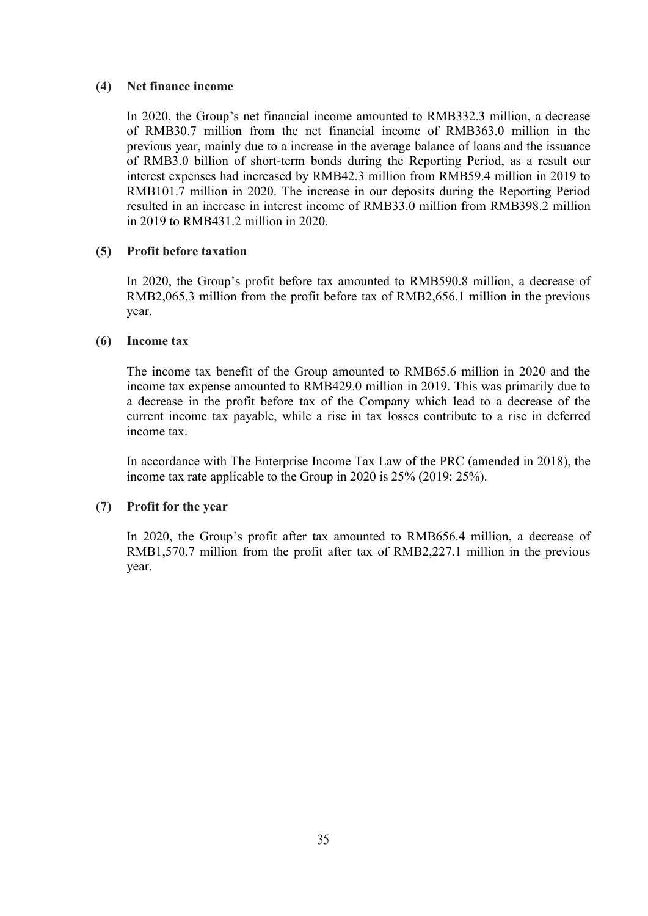#### **(4) Net finance income**

In 2020, the Group's net financial income amounted to RMB332.3 million, a decrease of RMB30.7 million from the net financial income of RMB363.0 million in the previous year, mainly due to a increase in the average balance of loans and the issuance of RMB3.0 billion of short-term bonds during the Reporting Period, as a result our interest expenses had increased by RMB42.3 million from RMB59.4 million in 2019 to RMB101.7 million in 2020. The increase in our deposits during the Reporting Period resulted in an increase in interest income of RMB33.0 million from RMB398.2 million in 2019 to RMB431.2 million in 2020.

## **(5) Profit before taxation**

In 2020, the Group's profit before tax amounted to RMB590.8 million, a decrease of RMB2,065.3 million from the profit before tax of RMB2,656.1 million in the previous year.

#### **(6) Income tax**

The income tax benefit of the Group amounted to RMB65.6 million in 2020 and the income tax expense amounted to RMB429.0 million in 2019. This was primarily due to a decrease in the profit before tax of the Company which lead to a decrease of the current income tax payable, while a rise in tax losses contribute to a rise in deferred income tax.

In accordance with The Enterprise Income Tax Law of the PRC (amended in 2018), the income tax rate applicable to the Group in 2020 is 25% (2019: 25%).

## **(7) Profit for the year**

In 2020, the Group's profit after tax amounted to RMB656.4 million, a decrease of RMB1,570.7 million from the profit after tax of RMB2,227.1 million in the previous year.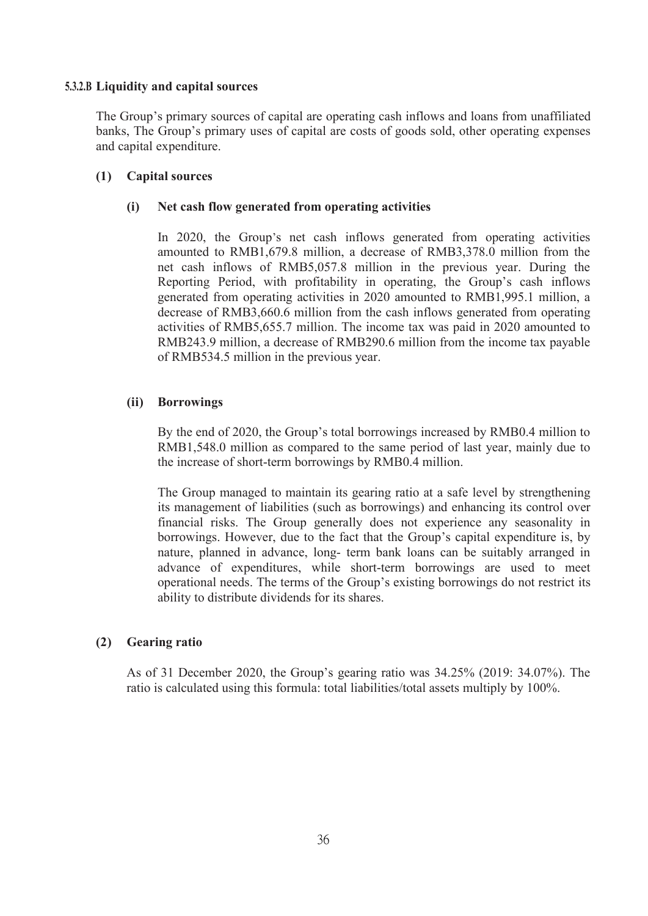#### **5.3.2.B Liquidity and capital sources**

The Group's primary sources of capital are operating cash inflows and loans from unaffiliated banks, The Group's primary uses of capital are costs of goods sold, other operating expenses and capital expenditure.

## **(1) Capital sources**

#### **(i) Net cash flow generated from operating activities**

In 2020, the Group's net cash inflows generated from operating activities amounted to RMB1,679.8 million, a decrease of RMB3,378.0 million from the net cash inflows of RMB5,057.8 million in the previous year. During the Reporting Period, with profitability in operating, the Group's cash inflows generated from operating activities in 2020 amounted to RMB1,995.1 million, a decrease of RMB3,660.6 million from the cash inflows generated from operating activities of RMB5,655.7 million. The income tax was paid in 2020 amounted to RMB243.9 million, a decrease of RMB290.6 million from the income tax payable of RMB534.5 million in the previous year.

## **(ii) Borrowings**

By the end of 2020, the Group's total borrowings increased by RMB0.4 million to RMB1,548.0 million as compared to the same period of last year, mainly due to the increase of short-term borrowings by RMB0.4 million.

The Group managed to maintain its gearing ratio at a safe level by strengthening its management of liabilities (such as borrowings) and enhancing its control over financial risks. The Group generally does not experience any seasonality in borrowings. However, due to the fact that the Group's capital expenditure is, by nature, planned in advance, long- term bank loans can be suitably arranged in advance of expenditures, while short-term borrowings are used to meet operational needs. The terms of the Group's existing borrowings do not restrict its ability to distribute dividends for its shares.

## **(2) Gearing ratio**

As of 31 December 2020, the Group's gearing ratio was 34.25% (2019: 34.07%). The ratio is calculated using this formula: total liabilities/total assets multiply by 100%.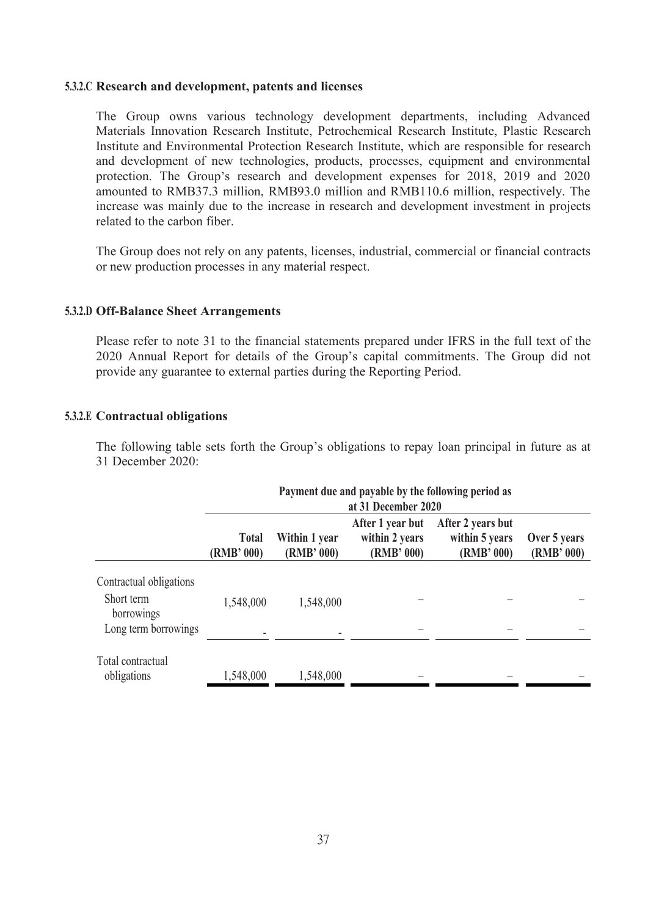#### **5.3.2.C Research and development, patents and licenses**

The Group owns various technology development departments, including Advanced Materials Innovation Research Institute, Petrochemical Research Institute, Plastic Research Institute and Environmental Protection Research Institute, which are responsible for research and development of new technologies, products, processes, equipment and environmental protection. The Group's research and development expenses for 2018, 2019 and 2020 amounted to RMB37.3 million, RMB93.0 million and RMB110.6 million, respectively. The increase was mainly due to the increase in research and development investment in projects related to the carbon fiber.

The Group does not rely on any patents, licenses, industrial, commercial or financial contracts or new production processes in any material respect.

### **5.3.2.D Off-Balance Sheet Arrangements**

Please refer to note 31 to the financial statements prepared under IFRS in the full text of the 2020 Annual Report for details of the Group's capital commitments. The Group did not provide any guarantee to external parties during the Reporting Period.

### **5.3.2.E Contractual obligations**

The following table sets forth the Group's obligations to repay loan principal in future as at 31 December 2020:

|                                                                             | Payment due and payable by the following period as<br>at 31 December 2020 |                             |                                                  |                                                   |                            |  |  |  |
|-----------------------------------------------------------------------------|---------------------------------------------------------------------------|-----------------------------|--------------------------------------------------|---------------------------------------------------|----------------------------|--|--|--|
|                                                                             | <b>Total</b><br>(RMB' 000)                                                | Within 1 year<br>(RMB' 000) | After 1 year but<br>within 2 years<br>(RMB' 000) | After 2 years but<br>within 5 years<br>(RMB' 000) | Over 5 years<br>(RMB' 000) |  |  |  |
| Contractual obligations<br>Short term<br>borrowings<br>Long term borrowings | 1,548,000                                                                 | 1,548,000                   |                                                  |                                                   |                            |  |  |  |
| Total contractual<br>obligations                                            | 1,548,000                                                                 | 1,548,000                   |                                                  |                                                   |                            |  |  |  |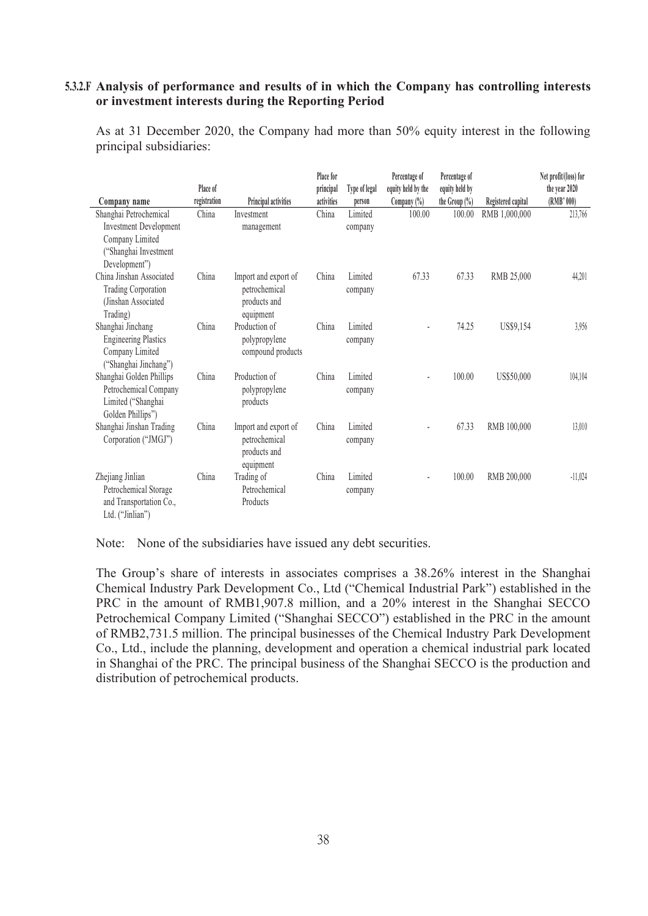## **5.3.2.F Analysis of performance and resultsof in which the Company has controlling interests or investment interests during the Reporting Period**

As at 31 December 2020, the Company had more than 50% equity interest in the following principal subsidiaries:

|                               | Place of     |                      | Place for<br>principal | Type of legal | Percentage of<br>equity held by the | Percentage of<br>equity held by |                    | Net profit/(loss) for<br>the year 2020 |  |
|-------------------------------|--------------|----------------------|------------------------|---------------|-------------------------------------|---------------------------------|--------------------|----------------------------------------|--|
| Company name                  | registration | Principal activities | activities             | person        | Company (%)                         | the Group $(\%)$                | Registered capital | (RMB' 000)                             |  |
| Shanghai Petrochemical        | China        | Investment           | China                  | Limited       | 100.00                              | 100.00                          | RMB 1,000,000      | 213,766                                |  |
| <b>Investment Development</b> |              | management           |                        | company       |                                     |                                 |                    |                                        |  |
| Company Limited               |              |                      |                        |               |                                     |                                 |                    |                                        |  |
| "Shanghai Investment          |              |                      |                        |               |                                     |                                 |                    |                                        |  |
| Development")                 |              |                      |                        |               |                                     |                                 |                    |                                        |  |
| China Jinshan Associated      | China        | Import and export of | China                  | Limited       | 67.33                               | 67.33                           | RMB 25,000         | 44,201                                 |  |
| Trading Corporation           |              | petrochemical        |                        | company       |                                     |                                 |                    |                                        |  |
| (Jinshan Associated           |              | products and         |                        |               |                                     |                                 |                    |                                        |  |
| Trading)                      |              | equipment            |                        |               |                                     |                                 |                    |                                        |  |
| Shanghai Jinchang             | China        | Production of        | China                  | Limited       | ٠                                   | 74.25                           | US\$9,154          | 3,956                                  |  |
| <b>Engineering Plastics</b>   |              | polypropylene        |                        | company       |                                     |                                 |                    |                                        |  |
| Company Limited               |              | compound products    |                        |               |                                     |                                 |                    |                                        |  |
| ("Shanghai Jinchang")         |              |                      |                        |               |                                     |                                 |                    |                                        |  |
| Shanghai Golden Phillips      | China        | Production of        | China                  | Limited       | ٠                                   | 100.00                          | US\$50,000         | 104,104                                |  |
| Petrochemical Company         |              | polypropylene        |                        | company       |                                     |                                 |                    |                                        |  |
| Limited ("Shanghai            |              | products             |                        |               |                                     |                                 |                    |                                        |  |
| Golden Phillips")             |              |                      |                        |               |                                     |                                 |                    |                                        |  |
| Shanghai Jinshan Trading      | China        | Import and export of | China                  | Limited       |                                     | 67.33                           | RMB 100,000        | 13,010                                 |  |
| Corporation ("JMGJ")          |              | petrochemical        |                        | company       |                                     |                                 |                    |                                        |  |
|                               |              | products and         |                        |               |                                     |                                 |                    |                                        |  |
|                               |              | equipment            |                        |               |                                     |                                 |                    |                                        |  |
| Zhejiang Jinlian              | China        | Trading of           | China                  | Limited       | ä,                                  | 100.00                          | RMB 200,000        | $-11,024$                              |  |
| Petrochemical Storage         |              | Petrochemical        |                        | company       |                                     |                                 |                    |                                        |  |
| and Transportation Co.,       |              | Products             |                        |               |                                     |                                 |                    |                                        |  |
| Ltd. ("Jinlian")              |              |                      |                        |               |                                     |                                 |                    |                                        |  |

Note: None of the subsidiaries have issued any debt securities.

The Group's share of interests in associates comprises a 38.26% interest in the Shanghai Chemical Industry Park Development Co., Ltd ("Chemical Industrial Park") established in the PRC in the amount of RMB1,907.8 million, and a 20% interest in the Shanghai SECCO Petrochemical Company Limited ("Shanghai SECCO") established in the PRC in the amount of RMB2,731.5 million. The principal businesses of the Chemical Industry Park Development Co., Ltd., include the planning, development and operation a chemical industrial park located in Shanghai of the PRC. The principal business of the Shanghai SECCO is the production and distribution of petrochemical products.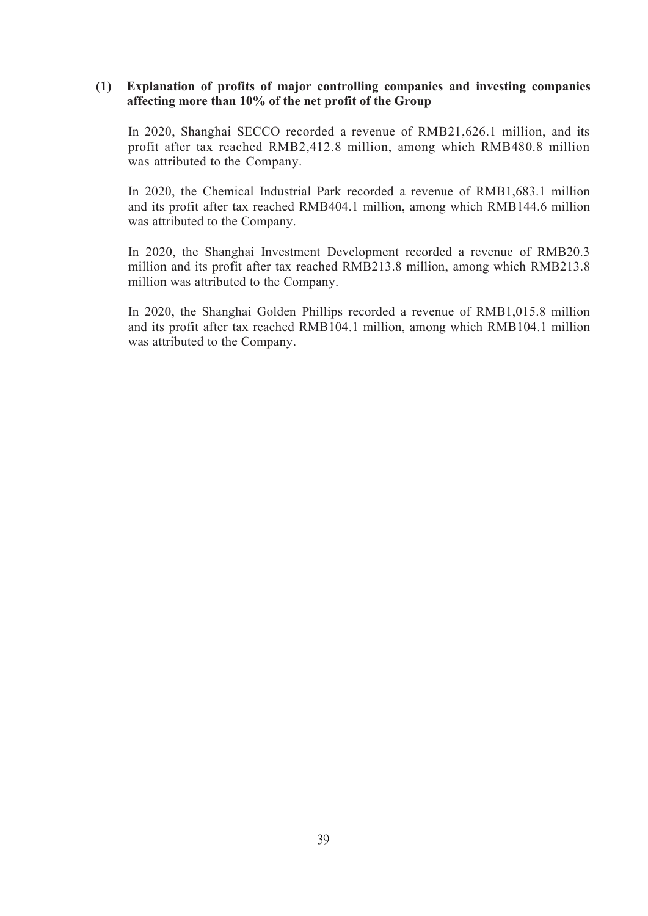## **(1) Explanation of profits of major controlling companies and investing companies affecting more than 10% of the net profit of the Group**

In 2020, Shanghai SECCO recorded a revenue of RMB21,626.1 million, and its profit after tax reached RMB2,412.8 million, among which RMB480.8 million was attributed to the Company.

In 2020, the Chemical Industrial Park recorded a revenue of RMB1,683.1 million and its profit after tax reached RMB404.1 million, among which RMB144.6 million was attributed to the Company.

In 2020, the Shanghai Investment Development recorded a revenue of RMB20.3 million and its profit after tax reached RMB213.8 million, among which RMB213.8 million was attributed to the Company.

In 2020, the Shanghai Golden Phillips recorded a revenue of RMB1,015.8 million and its profit after tax reached RMB104.1 million, among which RMB104.1 million was attributed to the Company.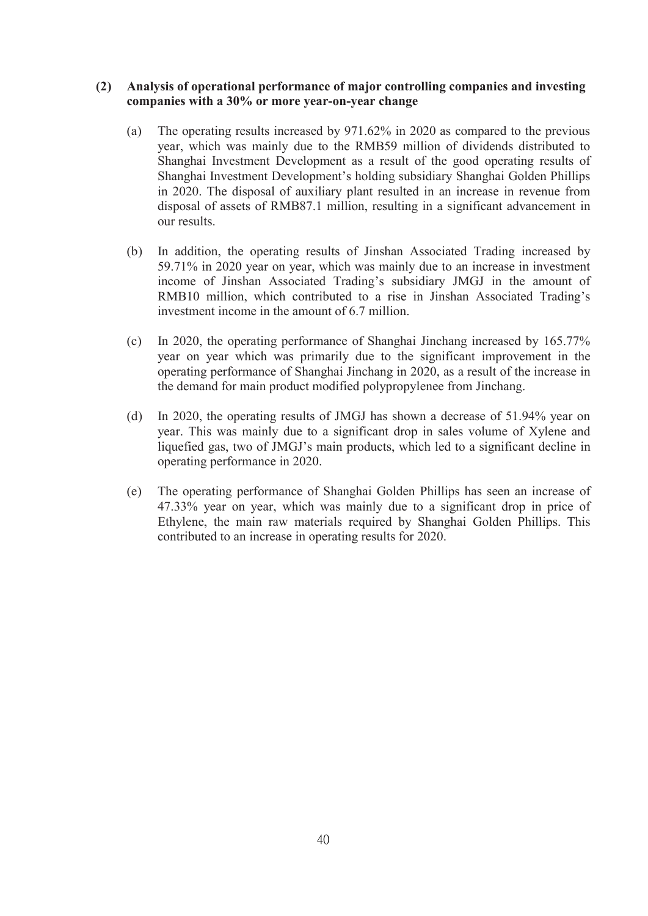## **(2) Analysis ofoperational performance of major controlling companies and investing companies with a 30% or more year-on-year change**

- (a) The operating results increased by 971.62% in 2020 as compared to the previous year, which was mainly due to the RMB59 million of dividends distributed to Shanghai Investment Development as a result of the good operating results of Shanghai Investment Development's holding subsidiary Shanghai Golden Phillips in 2020. The disposal of auxiliary plant resulted in an increase in revenue from disposal of assets of RMB87.1 million, resulting in a significant advancement in our results.
- (b) In addition, the operating results of Jinshan Associated Trading increased by 59.71% in 2020 year on year, which was mainly due to an increase in investment income of Jinshan Associated Trading's subsidiary JMGJ in the amount of RMB10 million, which contributed to a rise in Jinshan Associated Trading's investment income in the amount of 6.7 million.
- (c) In 2020, the operating performance of Shanghai Jinchang increased by 165.77% year on year which was primarily due to the significant improvement in the operating performance of Shanghai Jinchang in 2020, as a result of the increase in the demand for main product modified polypropylenee from Jinchang.
- (d) In 2020, the operating results of JMGJ has shown a decrease of 51.94% year on year. This was mainly due to a significant drop in sales volume of Xylene and liquefied gas, two of JMGJ's main products, which led to a significant decline in operating performance in 2020.
- (e) The operating performance of Shanghai Golden Phillips has seen an increase of 47.33% year on year, which was mainly due to a significant drop in price of Ethylene, the main raw materials required by Shanghai Golden Phillips. This contributed to an increase in operating results for 2020.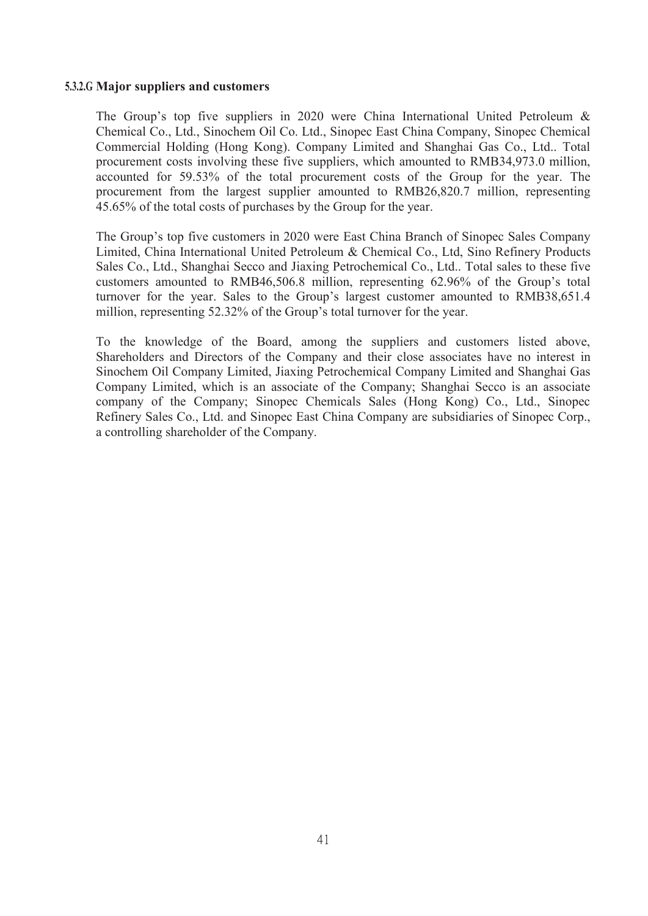### **5.3.2.G Major suppliers and customers**

The Group's top five suppliers in 2020 were China International United Petroleum & Chemical Co., Ltd., Sinochem Oil Co. Ltd., Sinopec East China Company, Sinopec Chemical Commercial Holding (Hong Kong). Company Limited and Shanghai Gas Co., Ltd.. Total procurement costs involving these five suppliers, which amounted to RMB34,973.0 million, accounted for 59.53% of the total procurement costs of the Group for the year. The procurement from the largest supplier amounted to RMB26,820.7 million, representing 45.65% of the total costs of purchases by the Group for the year.

The Group's top five customers in 2020 were East China Branch of Sinopec Sales Company Limited, China International United Petroleum & Chemical Co., Ltd, Sino Refinery Products Sales Co., Ltd., Shanghai Secco and Jiaxing Petrochemical Co., Ltd.. Total sales to these five customers amounted to RMB46,506.8 million, representing 62.96% of the Group's total turnover for the year. Sales to the Group's largest customer amounted to RMB38,651.4 million, representing 52.32% of the Group's total turnover for the year.

To the knowledge of the Board, among the suppliers and customers listed above, Shareholders and Directors of the Company and their close associates have no interest in Sinochem Oil Company Limited, Jiaxing Petrochemical Company Limited and Shanghai Gas Company Limited, which is an associate of the Company; Shanghai Secco is an associate company of the Company; Sinopec Chemicals Sales (Hong Kong) Co., Ltd., Sinopec Refinery Sales Co., Ltd. and Sinopec East China Company are subsidiaries of Sinopec Corp., a controlling shareholder of the Company.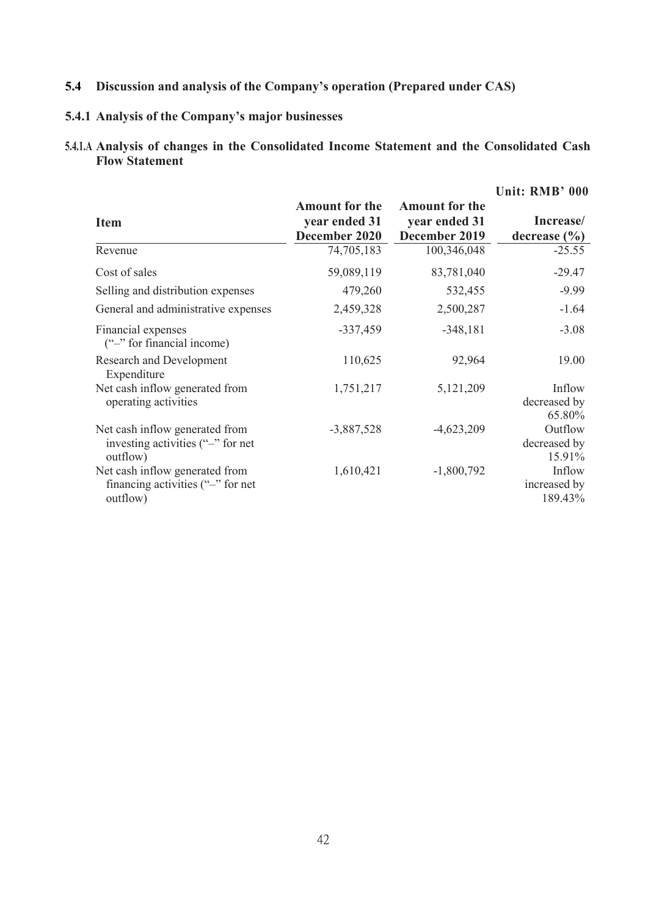# **5.4 Discussion** and **analysis** of the Company's operation (Prepared under CAS)

## **5.4.1 Analysis ofthe Company's major businesses**

## **5.4.1.A Analysis of changes in the Consolidated Income Statement and the Consolidated Cash Flow Statement**

|                                                                                 |                                                         |                                                         | Unit: RMB' 000                    |
|---------------------------------------------------------------------------------|---------------------------------------------------------|---------------------------------------------------------|-----------------------------------|
| <b>Item</b>                                                                     | <b>Amount for the</b><br>year ended 31<br>December 2020 | <b>Amount for the</b><br>year ended 31<br>December 2019 | Increase/<br>decrease $(\% )$     |
| Revenue                                                                         | 74,705,183                                              | 100,346,048                                             | $-25.55$                          |
| Cost of sales                                                                   | 59,089,119                                              | 83,781,040                                              | $-29.47$                          |
| Selling and distribution expenses                                               | 479,260                                                 | 532,455                                                 | $-9.99$                           |
| General and administrative expenses                                             | 2,459,328                                               | 2,500,287                                               | $-1.64$                           |
| Financial expenses<br>("-" for financial income)                                | $-337,459$                                              | $-348,181$                                              | $-3.08$                           |
| <b>Research and Development</b><br>Expenditure                                  | 110,625                                                 | 92,964                                                  | 19.00                             |
| Net cash inflow generated from<br>operating activities                          | 1,751,217                                               | 5,121,209                                               | Inflow<br>decreased by<br>65.80%  |
| Net cash inflow generated from<br>investing activities ("-" for net<br>outflow) | $-3,887,528$                                            | $-4,623,209$                                            | Outflow<br>decreased by<br>15.91% |
| Net cash inflow generated from<br>financing activities $"$ for net<br>outflow)  | 1,610,421                                               | $-1,800,792$                                            | Inflow<br>increased by<br>189.43% |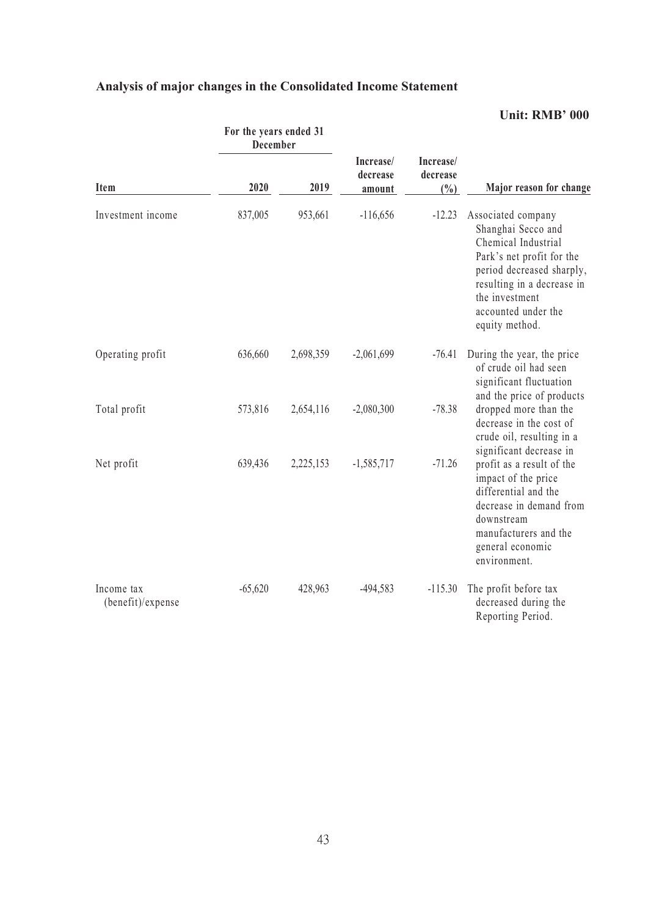| Analysis of major changes in the Consolidated Income Statement |  |
|----------------------------------------------------------------|--|
|----------------------------------------------------------------|--|

|                                 | For the years ended 31<br>December |           |                                 |                                 |                                                                                                                                                                                                                    |  |
|---------------------------------|------------------------------------|-----------|---------------------------------|---------------------------------|--------------------------------------------------------------------------------------------------------------------------------------------------------------------------------------------------------------------|--|
| Item                            | 2020                               | 2019      | Increase/<br>decrease<br>amount | Increase/<br>decrease<br>$(\%)$ | Major reason for change                                                                                                                                                                                            |  |
| Investment income               | 837,005                            | 953,661   | $-116,656$                      | $-12.23$                        | Associated company<br>Shanghai Secco and<br>Chemical Industrial<br>Park's net profit for the<br>period decreased sharply,<br>resulting in a decrease in<br>the investment<br>accounted under the<br>equity method. |  |
| Operating profit                | 636,660                            | 2,698,359 | $-2,061,699$                    | $-76.41$                        | During the year, the price<br>of crude oil had seen<br>significant fluctuation<br>and the price of products                                                                                                        |  |
| Total profit                    | 573,816                            | 2,654,116 | $-2,080,300$                    | $-78.38$                        | dropped more than the<br>decrease in the cost of<br>crude oil, resulting in a<br>significant decrease in                                                                                                           |  |
| Net profit                      | 639,436                            | 2,225,153 | $-1,585,717$                    | $-71.26$                        | profit as a result of the<br>impact of the price<br>differential and the<br>decrease in demand from<br>downstream<br>manufacturers and the<br>general economic<br>environment.                                     |  |
| Income tax<br>(benefit)/expense | $-65,620$                          | 428,963   | $-494,583$                      | $-115.30$                       | The profit before tax<br>decreased during the<br>Reporting Period.                                                                                                                                                 |  |

## **Unit: RMB' 000**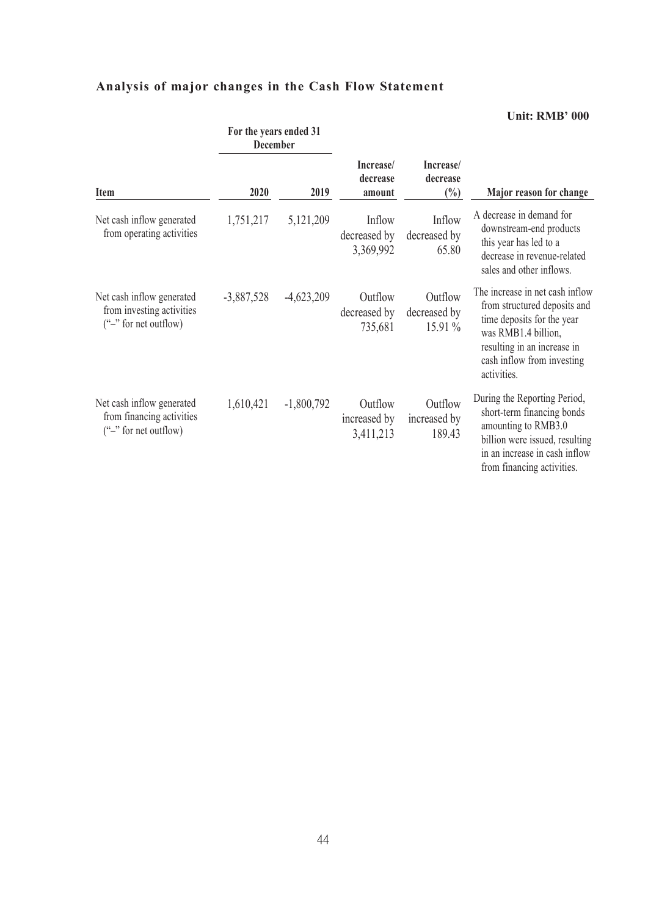# **Analysis of major changes in the Cash Flow Statement**

|                                                                                    | For the years ended 31<br><b>December</b> |              |                                      |                                      |                                                                                                                                                                                                  |  |
|------------------------------------------------------------------------------------|-------------------------------------------|--------------|--------------------------------------|--------------------------------------|--------------------------------------------------------------------------------------------------------------------------------------------------------------------------------------------------|--|
| <b>Item</b>                                                                        | 2020                                      | 2019         | Increase/<br>decrease<br>amount      | Increase/<br>decrease<br>$(\%)$      | Major reason for change                                                                                                                                                                          |  |
| Net cash inflow generated<br>from operating activities                             | 1,751,217                                 | 5,121,209    | Inflow<br>decreased by<br>3,369,992  | Inflow<br>decreased by<br>65.80      | A decrease in demand for<br>downstream-end products<br>this year has led to a<br>decrease in revenue-related<br>sales and other inflows.                                                         |  |
| Net cash inflow generated<br>from investing activities<br>$("$ -" for net outflow) | $-3,887,528$                              | $-4,623,209$ | Outflow<br>decreased by<br>735,681   | Outflow<br>decreased by<br>$15.91\%$ | The increase in net cash inflow<br>from structured deposits and<br>time deposits for the year<br>was RMB1.4 billion,<br>resulting in an increase in<br>cash inflow from investing<br>activities. |  |
| Net cash inflow generated<br>from financing activities<br>$("$ -" for net outflow) | 1,610,421                                 | $-1,800,792$ | Outflow<br>increased by<br>3,411,213 | Outflow<br>increased by<br>189.43    | During the Reporting Period,<br>short-term financing bonds<br>amounting to RMB3.0<br>billion were issued, resulting<br>in an increase in cash inflow<br>from financing activities.               |  |

**Unit: RMB' 000**

## 44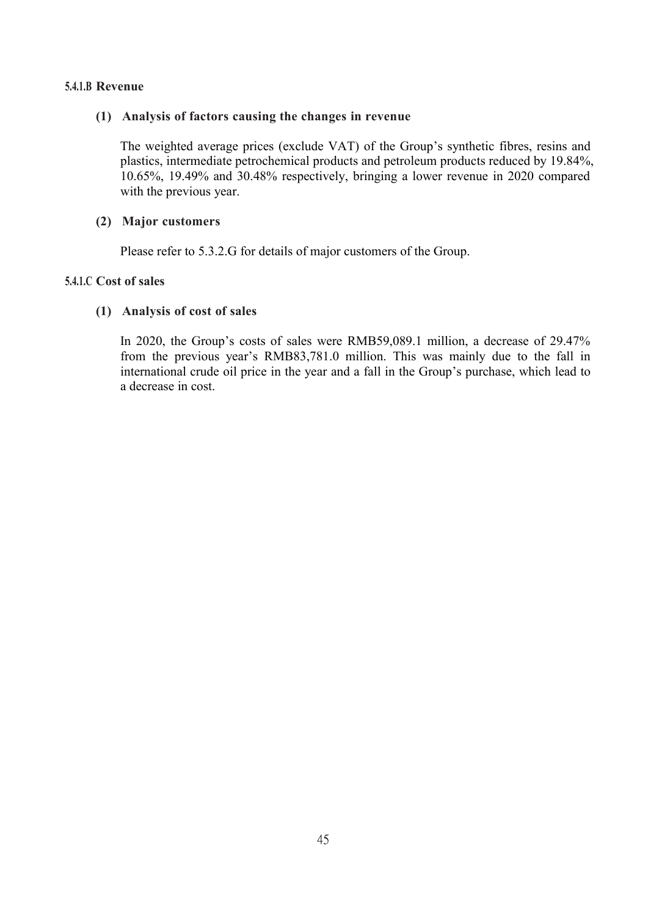## **5.4.1.B Revenue**

### **(1) Analysis of factors causing the changes in revenue**

The weighted average prices (exclude VAT) of the Group's synthetic fibres, resins and plastics, intermediate petrochemical products and petroleum products reduced by 19.84%, 10.65%, 19.49% and 30.48% respectively, bringing a lower revenue in 2020 compared with the previous year.

### **(2) Major customers**

Please refer to 5.3.2.G for details of major customers of the Group.

## **5.4.1.C Cost of sales**

### **(1) Analysis of cost of sales**

In 2020, the Group's costs of sales were RMB59,089.1 million, a decrease of 29.47% from the previous year's RMB83,781.0 million. This was mainly due to the fall in international crude oil price in the year and a fall in the Group's purchase, which lead to a decrease in cost.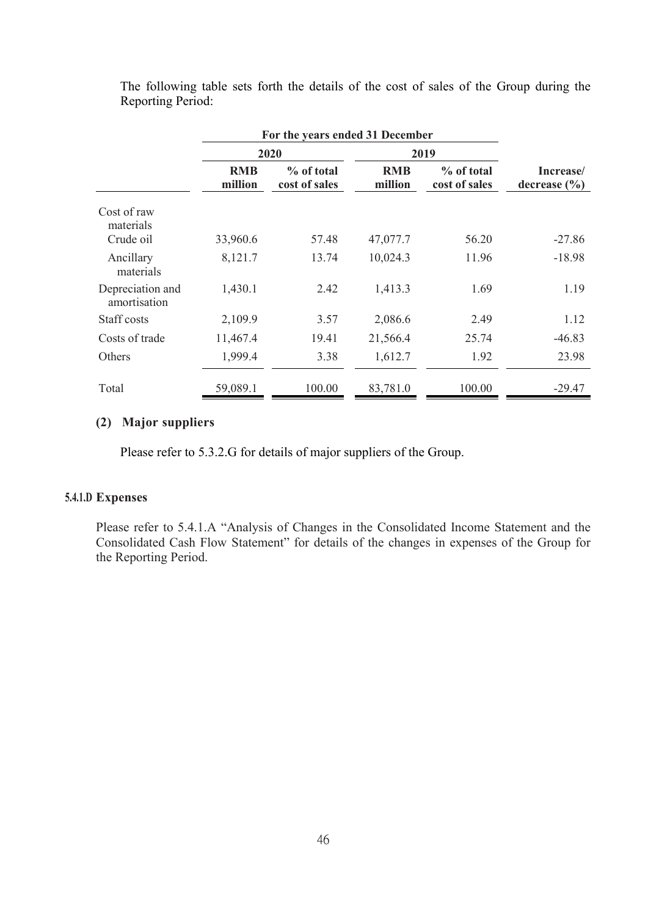|                                  |                       | For the years ended 31 December |                       |                             |                               |  |  |  |  |
|----------------------------------|-----------------------|---------------------------------|-----------------------|-----------------------------|-------------------------------|--|--|--|--|
|                                  |                       | 2020                            |                       | 2019                        |                               |  |  |  |  |
|                                  | <b>RMB</b><br>million | % of total<br>cost of sales     | <b>RMB</b><br>million | % of total<br>cost of sales | Increase/<br>decrease $(\% )$ |  |  |  |  |
| Cost of raw<br>materials         |                       |                                 |                       |                             |                               |  |  |  |  |
| Crude oil                        | 33,960.6              | 57.48                           | 47,077.7              | 56.20                       | $-27.86$                      |  |  |  |  |
| Ancillary<br>materials           | 8,121.7               | 13.74                           | 10,024.3              | 11.96                       | $-18.98$                      |  |  |  |  |
| Depreciation and<br>amortisation | 1,430.1               | 2.42                            | 1,413.3               | 1.69                        | 1.19                          |  |  |  |  |
| Staff costs                      | 2,109.9               | 3.57                            | 2,086.6               | 2.49                        | 1.12                          |  |  |  |  |
| Costs of trade                   | 11,467.4              | 19.41                           | 21,566.4              | 25.74                       | $-46.83$                      |  |  |  |  |
| Others                           | 1,999.4               | 3.38                            | 1,612.7               | 1.92                        | 23.98                         |  |  |  |  |
| Total                            | 59,089.1              | 100.00                          | 83,781.0              | 100.00                      | $-29.47$                      |  |  |  |  |

The following table sets forth the details of the cost of sales of the Group during the Reporting Period:

## **(2) Major suppliers**

Please refer to 5.3.2.G for details of major suppliers of the Group.

## **5.4.1.D Expenses**

Please refer to 5.4.1.A "Analysis of Changes in the Consolidated Income Statement and the Consolidated Cash Flow Statement" for details of the changes in expenses of the Group for the Reporting Period.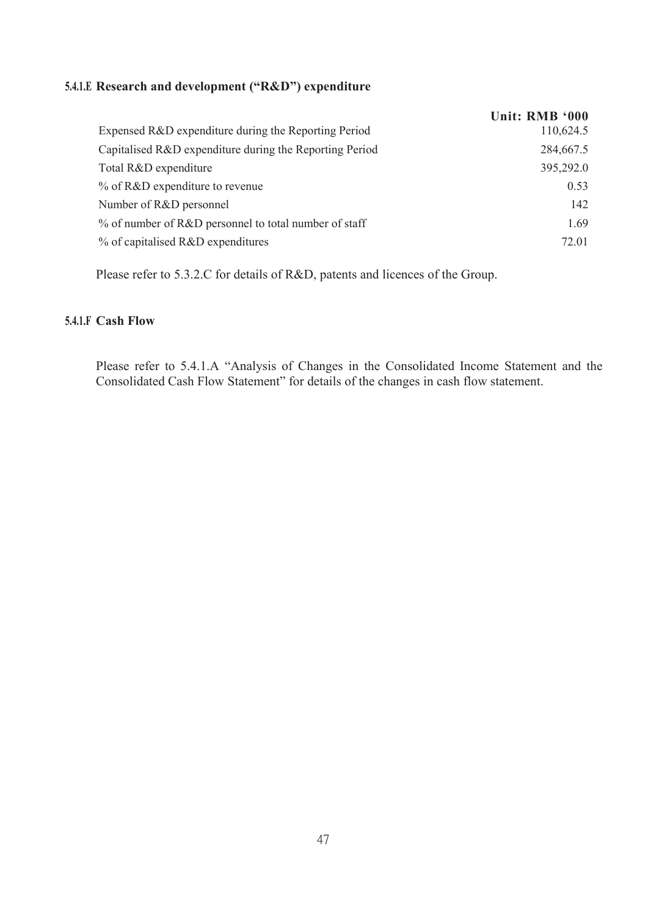## **5.4.1.E Research and development ("R&D") expenditure**

|                                                         | Unit: RMB '000 |
|---------------------------------------------------------|----------------|
| Expensed R&D expenditure during the Reporting Period    | 110,624.5      |
| Capitalised R&D expenditure during the Reporting Period | 284,667.5      |
| Total R&D expenditure                                   | 395,292.0      |
| % of R&D expenditure to revenue                         | 0.53           |
| Number of R&D personnel                                 | 142            |
| % of number of R&D personnel to total number of staff   | 1.69           |
| % of capitalised R&D expenditures                       | 72.01          |
|                                                         |                |

Please refer to 5.3.2.C for details of R&D, patents and licences of the Group.

## **5.4.1.F Cash Flow**

Please refer to 5.4.1.A "Analysis of Changes in the Consolidated Income Statement and the Consolidated Cash Flow Statement" for details of the changes in cash flow statement.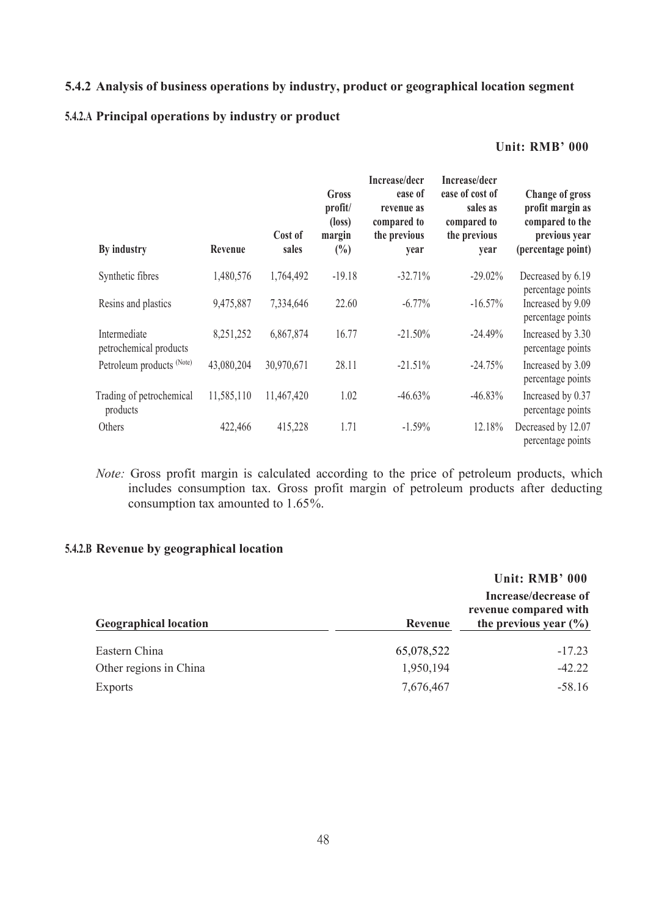## **5.4.2 Analysis ofbusiness operations by industry, product or geographical location segment**

## **5.4.2.A Principal operations by industry or product**

#### **Unit: RMB' 000**

| By industry                            | Revenue    | Cost of<br>sales | <b>Gross</b><br>profit/<br>$(\text{loss})$<br>margin<br>$\binom{0}{0}$ | Increase/decr<br>ease of<br>revenue as<br>compared to<br>the previous<br>year | Increase/decr<br>ease of cost of<br>sales as<br>compared to<br>the previous<br>year | <b>Change of gross</b><br>profit margin as<br>compared to the<br>previous year<br>(percentage point) |
|----------------------------------------|------------|------------------|------------------------------------------------------------------------|-------------------------------------------------------------------------------|-------------------------------------------------------------------------------------|------------------------------------------------------------------------------------------------------|
| Synthetic fibres                       | 1,480,576  | 1,764,492        | $-19.18$                                                               | $-32.71%$                                                                     | $-29.02\%$                                                                          | Decreased by 6.19<br>percentage points                                                               |
| Resins and plastics                    | 9,475,887  | 7,334,646        | 22.60                                                                  | $-6.77\%$                                                                     | $-16.57%$                                                                           | Increased by 9.09<br>percentage points                                                               |
| Intermediate<br>petrochemical products | 8,251,252  | 6,867,874        | 16.77                                                                  | $-21.50%$                                                                     | $-24.49%$                                                                           | Increased by 3.30<br>percentage points                                                               |
| Petroleum products (Note)              | 43,080,204 | 30,970,671       | 28.11                                                                  | $-21.51%$                                                                     | $-24.75%$                                                                           | Increased by 3.09<br>percentage points                                                               |
| Trading of petrochemical<br>products   | 11,585,110 | 11,467,420       | 1.02                                                                   | $-46.63%$                                                                     | $-46.83%$                                                                           | Increased by 0.37<br>percentage points                                                               |
| Others                                 | 422,466    | 415,228          | 1.71                                                                   | $-1.59%$                                                                      | 12.18%                                                                              | Decreased by 12.07<br>percentage points                                                              |

*Note:* Gross profit margin is calculated according to the price of petroleum products, which includes consumption tax. Gross profit margin of petroleum products after deducting consumption tax amounted to 1.65%.

## **5.4.2.B Revenue by geographical location**

|                              |            | Unit: RMB' 000                                                             |
|------------------------------|------------|----------------------------------------------------------------------------|
| <b>Geographical location</b> | Revenue    | Increase/decrease of<br>revenue compared with<br>the previous year $(\% )$ |
| Eastern China                | 65,078,522 | $-17.23$                                                                   |
| Other regions in China       | 1,950,194  | $-42.22$                                                                   |
| <b>Exports</b>               | 7,676,467  | $-58.16$                                                                   |
|                              |            |                                                                            |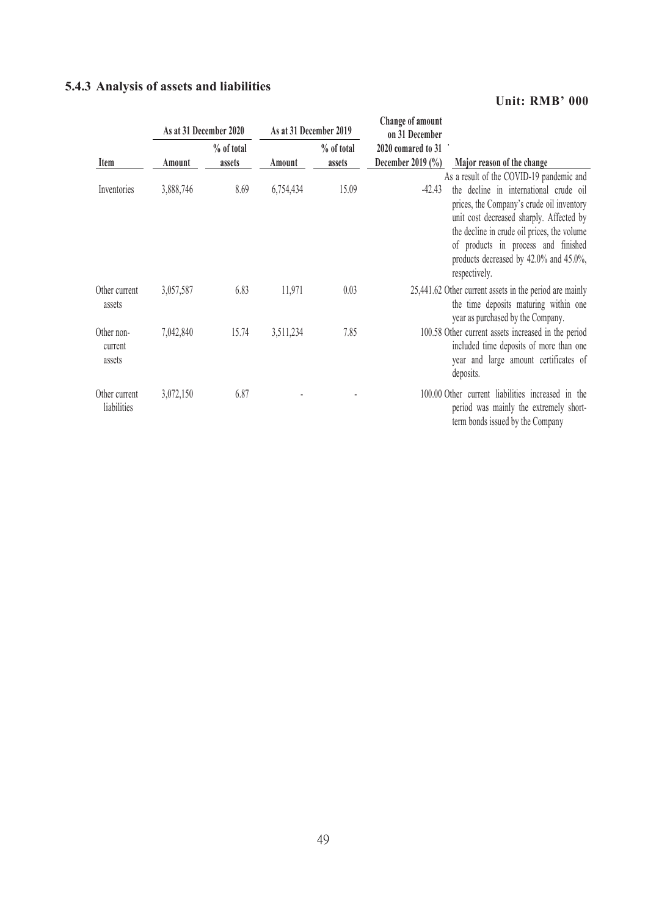# **5.4.3 Analysis ofassets and liabilities**

## **Unit: RMB' 000**

|                                 |           | As at 31 December 2020 | As at 31 December 2019 |                      | Change of amount<br>on 31 December                                                                                                                                                                                                                                                                                                       |
|---------------------------------|-----------|------------------------|------------------------|----------------------|------------------------------------------------------------------------------------------------------------------------------------------------------------------------------------------------------------------------------------------------------------------------------------------------------------------------------------------|
| Item                            | Amount    | % of total<br>assets   | Amount                 | % of total<br>assets | 2020 comared to 31<br>December 2019 (%)<br>Major reason of the change                                                                                                                                                                                                                                                                    |
| Inventories                     | 3,888,746 | 8.69                   | 6,754,434              | 15.09                | As a result of the COVID-19 pandemic and<br>the decline in international crude oil<br>$-42.43$<br>prices, the Company's crude oil inventory<br>unit cost decreased sharply. Affected by<br>the decline in crude oil prices, the volume<br>of products in process and finished<br>products decreased by 42.0% and 45.0%,<br>respectively. |
| Other current<br>assets         | 3,057,587 | 6.83                   | 11,971                 | 0.03                 | 25,441.62 Other current assets in the period are mainly<br>the time deposits maturing within one<br>year as purchased by the Company.                                                                                                                                                                                                    |
| Other non-<br>current<br>assets | 7,042,840 | 15.74                  | 3,511,234              | 7.85                 | 100.58 Other current assets increased in the period<br>included time deposits of more than one<br>year and large amount certificates of<br>deposits.                                                                                                                                                                                     |
| Other current<br>liabilities    | 3,072,150 | 6.87                   |                        |                      | 100.00 Other current liabilities increased in the<br>period was mainly the extremely short-<br>term bonds issued by the Company                                                                                                                                                                                                          |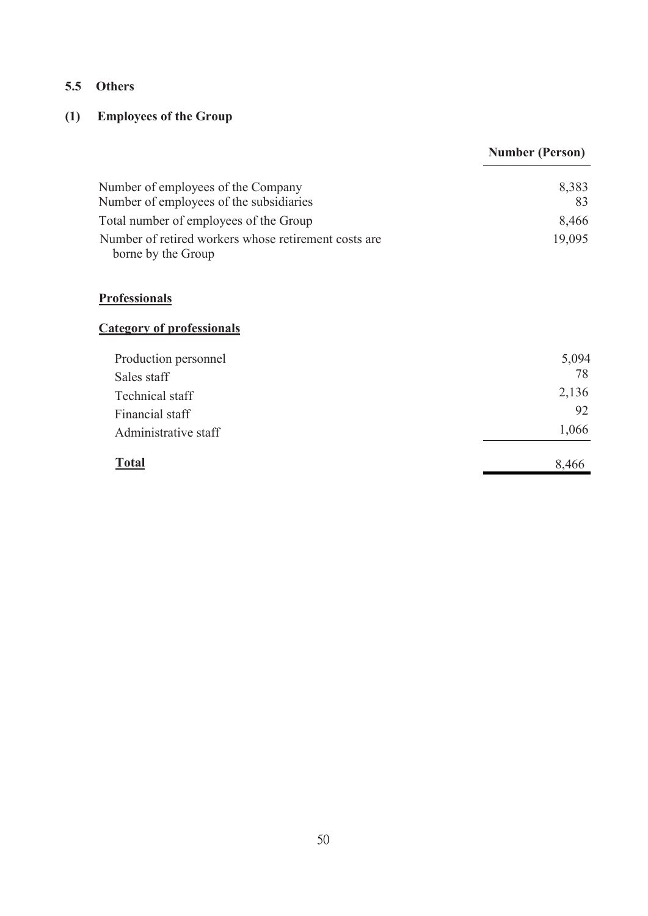## **5.5 Others**

# **(1) Employees of the Group**

|                                                                            | <b>Number (Person)</b> |
|----------------------------------------------------------------------------|------------------------|
| Number of employees of the Company                                         | 8,383                  |
| Number of employees of the subsidiaries                                    | 83                     |
| Total number of employees of the Group                                     | 8,466                  |
| Number of retired workers whose retirement costs are<br>borne by the Group | 19,095                 |
| <b>Professionals</b>                                                       |                        |
| <b>Category of professionals</b>                                           |                        |
| Production personnel                                                       | 5,094                  |
| Sales staff                                                                | 78                     |
| Technical staff                                                            | 2,136                  |
| Financial staff                                                            | 92                     |
| Administrative staff                                                       | 1,066                  |
| <u>Total</u>                                                               | 8,466                  |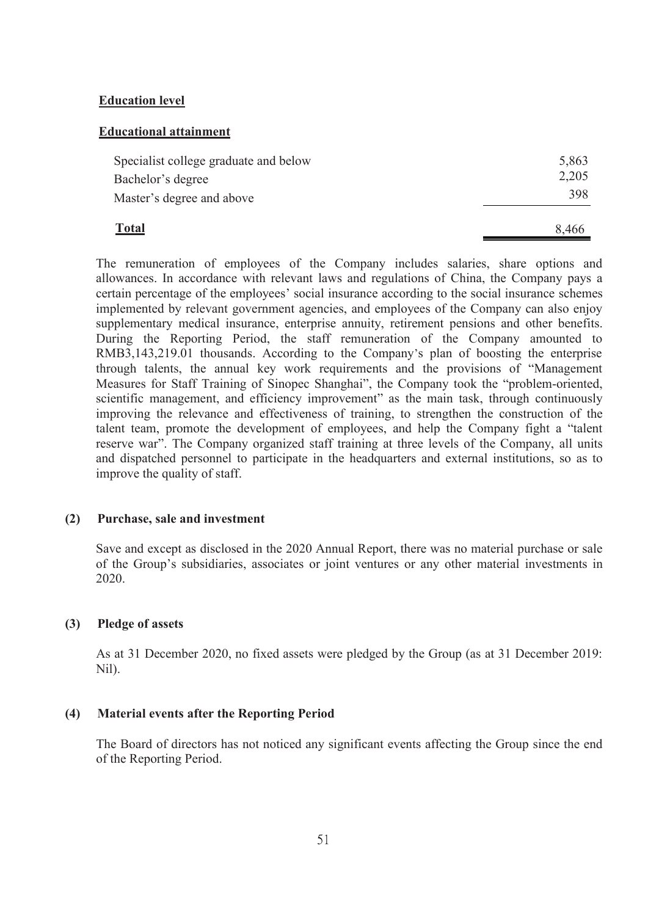#### **Education level**

#### **Educational attainment**

| <b>Total</b>                          | 8,466 |
|---------------------------------------|-------|
| Master's degree and above             | 398   |
| Bachelor's degree                     | 2,205 |
| Specialist college graduate and below | 5,863 |

The remuneration of employees of the Company includes salaries, share options and allowances. In accordance with relevant laws and regulations of China, the Company pays a certain percentage of the employees' social insurance according to the social insurance schemes implemented by relevant government agencies, and employees of the Company can also enjoy supplementary medical insurance, enterprise annuity, retirement pensions and other benefits. During the Reporting Period, the staff remuneration of the Company amounted to RMB3,143,219.01 thousands. According to the Company's plan of boosting the enterprise through talents, the annual key work requirements and the provisions of "Management Measures for Staff Training of Sinopec Shanghai", the Company took the "problem-oriented, scientific management, and efficiency improvement" as the main task, through continuously improving the relevance and effectiveness of training, to strengthen the construction of the talent team, promote the development of employees, and help the Company fight a "talent reserve war". The Company organized staff training at three levels of the Company, all units and dispatched personnel to participate in the headquarters and external institutions, so as to improve the quality of staff.

#### **(2) Purchase, sale and investment**

Save and except as disclosed in the 2020 Annual Report, there was no material purchase or sale of the Group's subsidiaries, associates or joint ventures or any other material investments in 2020.

#### **(3) Pledge of assets**

As at 31 December 2020, no fixed assets were pledged by the Group (as at 31 December 2019: Nil).

#### **(4) Material events after the Reporting Period**

The Board of directors has not noticed any significant events affecting the Group since the end of the Reporting Period.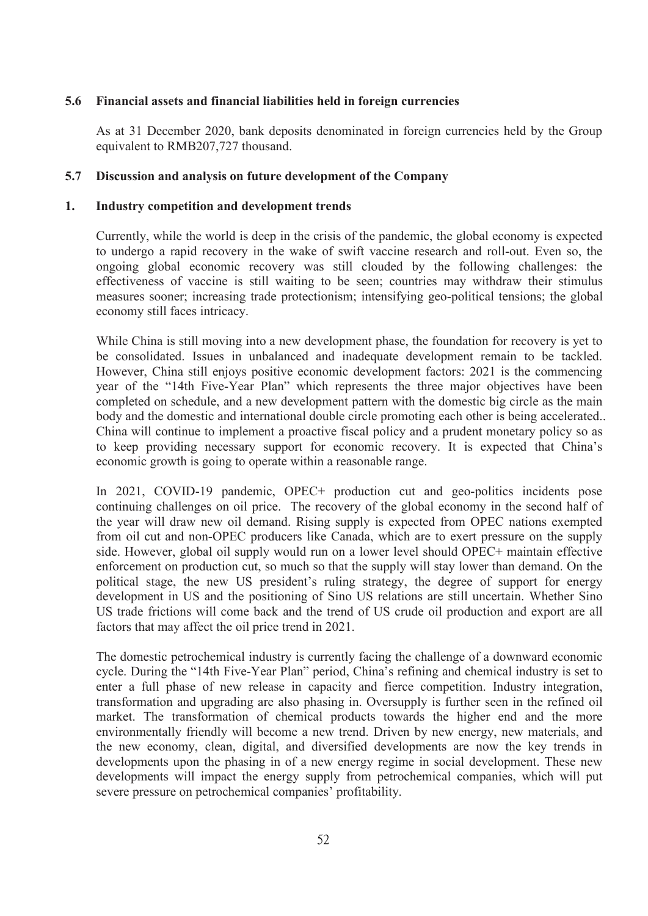### **5.6 Financial assets and financial liabilities held in foreign currencies**

As at 31 December 2020, bank deposits denominated in foreign currencies held by the Group equivalent to RMB207,727 thousand.

### **5.7 Discussion and analysis on future development of the Company**

### **1. Industry competition and development trends**

Currently, while the world is deep in the crisis of the pandemic, the global economy is expected to undergo a rapid recovery in the wake of swift vaccine research and roll-out. Even so, the ongoing global economic recovery was still clouded by the following challenges: the effectiveness of vaccine is still waiting to be seen; countries may withdraw their stimulus measures sooner; increasing trade protectionism; intensifying geo-political tensions; the global economy still faces intricacy.

While China is still moving into a new development phase, the foundation for recovery is yet to be consolidated. Issues in unbalanced and inadequate development remain to be tackled. However, China still enjoys positive economic development factors: 2021 is the commencing year of the "14th Five-Year Plan" which represents the three major objectives have been completed on schedule, and a new development pattern with the domestic big circle as the main body and the domestic and international double circle promoting each other is being accelerated.. China will continue to implement a proactive fiscal policy and a prudent monetary policy so as to keep providing necessary support for economic recovery. It is expected that China's economic growth is going to operate within a reasonable range.

In 2021, COVID-19 pandemic, OPEC+ production cut and geo-politics incidents pose continuing challenges on oil price. The recovery of the global economy in the second half of the year will draw new oil demand. Rising supply is expected from OPEC nations exempted from oil cut and non-OPEC producers like Canada, which are to exert pressure on the supply side. However, global oil supply would run on a lower level should OPEC+ maintain effective enforcement on production cut, so much so that the supply will stay lower than demand. On the political stage, the new US president's ruling strategy, the degree of support for energy development in US and the positioning of Sino US relations are still uncertain. Whether Sino US trade frictions will come back and the trend of US crude oil production and export are all factors that may affect the oil price trend in 2021.

The domestic petrochemical industry is currently facing the challenge of a downward economic cycle. During the "14th Five-Year Plan" period, China's refining and chemical industry is set to enter a full phase of new release in capacity and fierce competition. Industry integration, transformation and upgrading are also phasing in. Oversupply is further seen in the refined oil market. The transformation of chemical products towards the higher end and the more environmentally friendly will become a new trend. Driven by new energy, new materials, and the new economy, clean, digital, and diversified developments are now the key trends in developments upon the phasing in of a new energy regime in social development. These new developments will impact the energy supply from petrochemical companies, which will put severe pressure on petrochemical companies' profitability.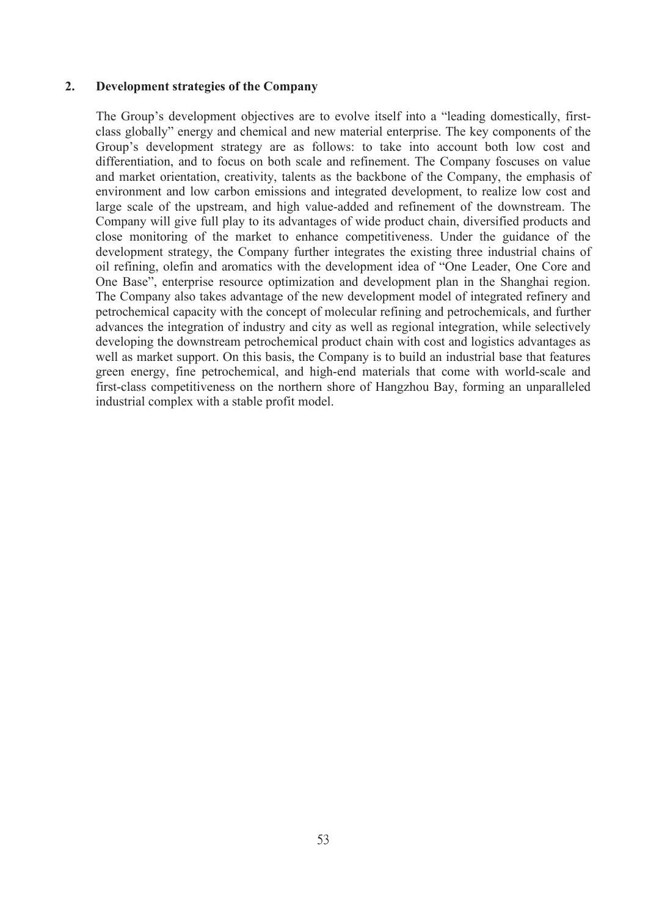### **2. Development strategies of the Company**

The Group's development objectives are to evolve itself into a "leading domestically, first class globally" energy and chemical and new material enterprise. The key components of the Group's development strategy are as follows: to take into account both low cost and differentiation, and to focus on both scale and refinement. The Company foscuses on value and market orientation, creativity, talents as the backbone of the Company, the emphasis of environment and low carbon emissions and integrated development, to realize low cost and large scale of the upstream, and high value-added and refinement of the downstream. The Company will give full play to its advantages of wide product chain, diversified products and close monitoring of the market to enhance competitiveness. Under the guidance of the development strategy, the Company further integrates the existing three industrial chains of oil refining, olefin and aromatics with the development idea of "One Leader, One Core and One Base", enterprise resource optimization and development plan in the Shanghai region. The Company also takes advantage of the new development model of integrated refinery and petrochemical capacity with the concept of molecular refining and petrochemicals, and further advances the integration of industry and city as well as regional integration, while selectively developing the downstream petrochemical product chain with cost and logistics advantages as well as market support. On this basis, the Company is to build an industrial base that features green energy, fine petrochemical, and high-end materials that come with world-scale and first-class competitiveness on the northern shore of Hangzhou Bay, forming an unparalleled industrial complex with a stable profit model.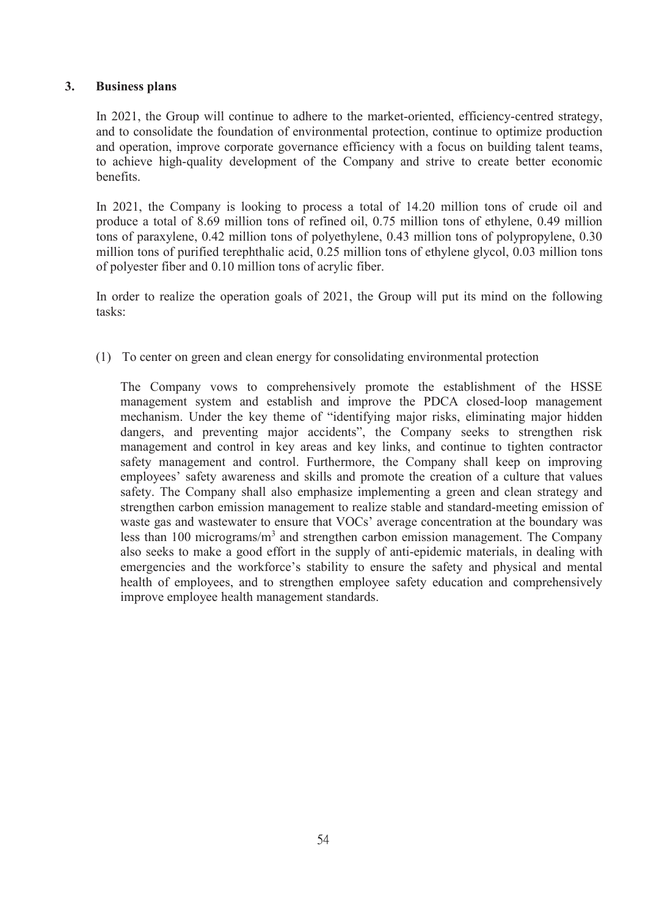## **3. Business plans**

In 2021, the Group will continue to adhere to the market-oriented, efficiency-centred strategy, and to consolidate the foundation of environmental protection, continue to optimize production and operation, improve corporate governance efficiency with a focus on building talent teams, to achieve high-quality development of the Company and strive to create better economic benefits.

In 2021, the Company is looking to process a total of 14.20 million tons of crude oil and produce a total of 8.69 million tons of refined oil, 0.75 million tons of ethylene, 0.49 million tons of paraxylene,  $0.42$  million tons of polyethylene,  $0.43$  million tons of polypropylene,  $0.30$ million tons of purified terephthalic acid, 0.25 million tons of ethylene glycol, 0.03 million tons of polyester fiber and 0.10 million tons of acrylic fiber.

In order to realize the operation goals of 2021, the Group will put its mind on the following tasks:

(1) To center on green and clean energy for consolidating environmental protection

The Company vows to comprehensively promote the establishment of the HSSE management system and establish and improve the PDCA closed-loop management mechanism. Under the key theme of "identifying major risks, eliminating major hidden dangers, and preventing major accidents", the Company seeks to strengthen risk management and control in key areas and key links, and continue to tighten contractor safety management and control. Furthermore, the Company shall keep on improving employees' safety awareness and skills and promote the creation of a culture that values safety. The Company shall also emphasize implementing a green and clean strategy and strengthen carbon emission management to realize stable and standard-meeting emission of waste gas and wastewater to ensure that VOCs' average concentration at the boundary was less than 100 micrograms/m<sup>3</sup> and strengthen carbon emission management. The Company also seeks to make a good effort in the supply of anti-epidemic materials, in dealing with emergencies and the workforce's stability to ensure the safety and physical and mental health of employees, and to strengthen employee safety education and comprehensively improve employee health management standards.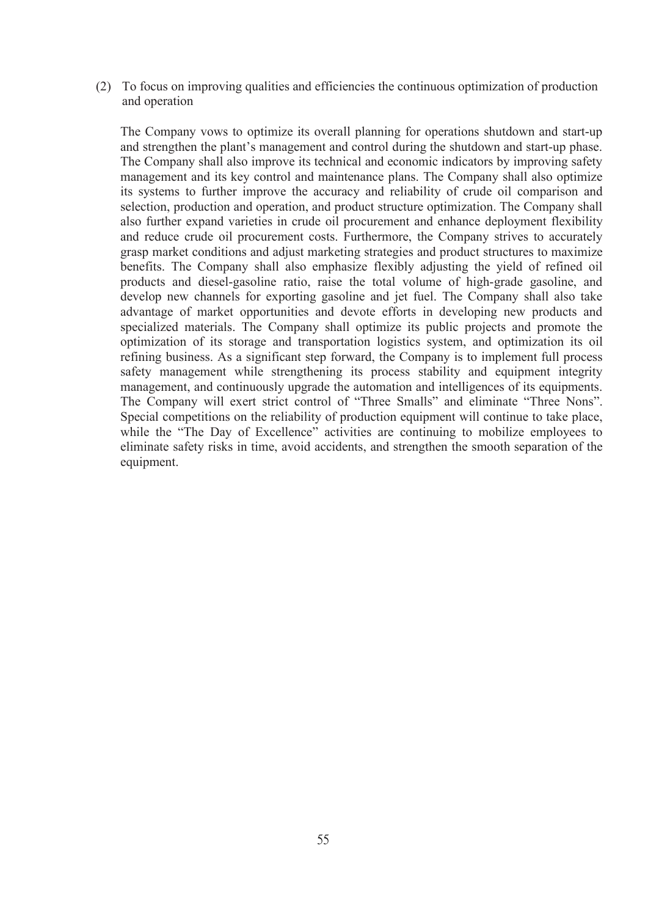(2) To focus on improving qualities and efficiencies the continuous optimization of production and operation

The Company vows to optimize its overall planning for operations shutdown and start-up and strengthen the plant's management and control during the shutdown and start-up phase. The Company shall also improve its technical and economic indicators by improving safety management and its key control and maintenance plans. The Company shall also optimize its systems to further improve the accuracy and reliability of crude oil comparison and selection, production and operation, and product structure optimization. The Company shall also further expand varieties in crude oil procurement and enhance deployment flexibility and reduce crude oil procurement costs. Furthermore, the Company strives to accurately grasp market conditions and adjust marketing strategies and product structures to maximize benefits. The Company shall also emphasize flexibly adjusting the yield of refined oil products and diesel-gasoline ratio, raise the total volume of high-grade gasoline, and develop new channels for exporting gasoline and jet fuel. The Company shall also take advantage of market opportunities and devote efforts in developing new products and specialized materials. The Company shall optimize its public projects and promote the optimization of its storage and transportation logistics system, and optimization its oil refining business. As a significant step forward, the Company is to implement full process safety management while strengthening its process stability and equipment integrity management, and continuously upgrade the automation and intelligences of its equipments. The Company will exert strict control of "Three Smalls" and eliminate "Three Nons". Special competitions on the reliability of production equipment will continue to take place, while the "The Day of Excellence" activities are continuing to mobilize employees to eliminate safety risks in time, avoid accidents, and strengthen the smooth separation of the equipment.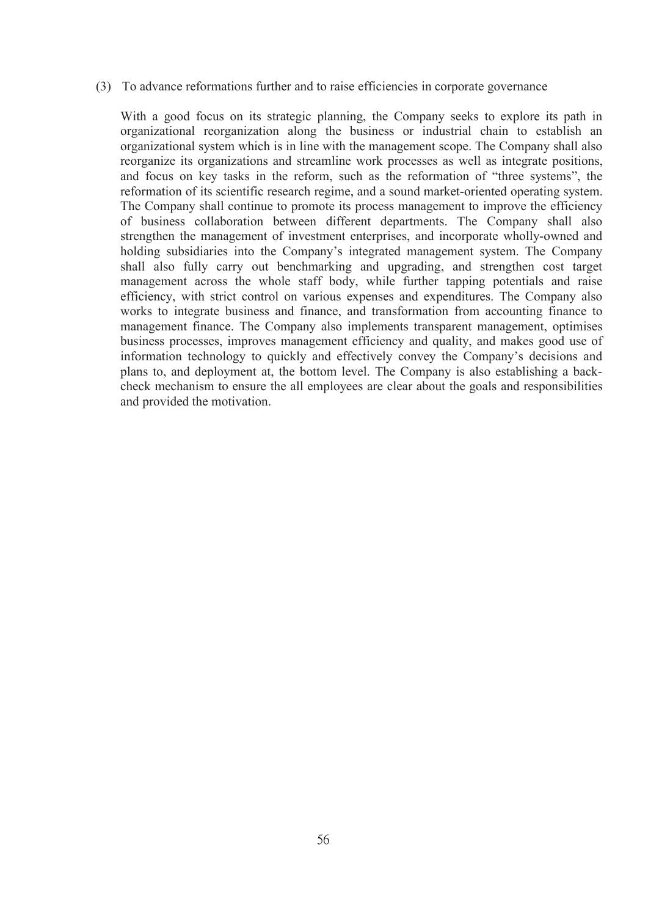#### (3) To advance reformations further and to raise efficiencies in corporate governance

With a good focus on its strategic planning, the Company seeks to explore its path in organizational reorganization along the business or industrial chain to establish an organizational system which is in line with the management scope. The Company shall also reorganize its organizations and streamline work processes as well as integrate positions, and focus on key tasks in the reform, such as the reformation of "three systems", the reformation of its scientific research regime, and a sound market-oriented operating system. The Company shall continue to promote its process management to improve the efficiency of business collaboration between different departments. The Company shall also strengthen the management of investment enterprises, and incorporate wholly-owned and holding subsidiaries into the Company's integrated management system. The Company shall also fully carry out benchmarking and upgrading, and strengthen cost target management across the whole staff body, while further tapping potentials and raise efficiency, with strict control on various expenses and expenditures. The Company also works to integrate business and finance, and transformation from accounting finance to management finance. The Company also implements transparent management, optimises business processes, improves management efficiency and quality, and makes good use of information technology to quickly and effectively convey the Company's decisions and plans to, and deployment at, the bottom level. The Company is also establishing a back check mechanism to ensure the all employees are clear about the goals and responsibilities and provided the motivation.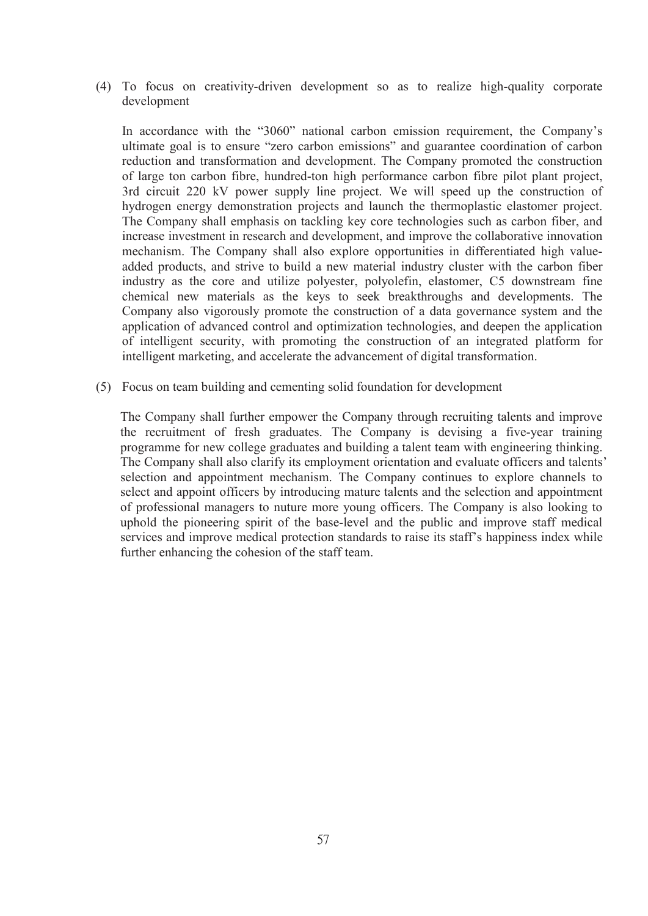(4) To focus on creativity-driven development so as to realize high-quality corporate development

In accordance with the "3060" national carbon emission requirement, the Company's ultimate goal is to ensure "zero carbon emissions" and guarantee coordination of carbon reduction and transformation and development. The Company promoted the construction of large ton carbon fibre, hundred-ton high performance carbon fibre pilot plant project, 3rd circuit 220 kV power supply line project. We will speed up the construction of hydrogen energy demonstration projects and launch the thermoplastic elastomer project. The Company shall emphasis on tackling key core technologies such as carbon fiber, and increase investment in research and development, and improve the collaborative innovation mechanism. The Company shall also explore opportunities in differentiated high value added products, and strive to build a new material industry cluster with the carbon fiber industry as the core and utilize polyester, polyolefin, elastomer, C5 downstream fine chemical new materials as the keys to seek breakthroughs and developments. The Company also vigorously promote the construction of a data governance system and the application of advanced control and optimization technologies, and deepen the application of intelligent security, with promoting the construction of an integrated platform for intelligent marketing, and accelerate the advancement of digital transformation.

(5) Focus on team building and cementing solid foundation for development

The Company shall further empower the Company through recruiting talents and improve the recruitment of fresh graduates.The Company is devising a five-year training programme for new college graduates and building a talent team with engineering thinking. The Company shall also clarify its employment orientation and evaluate officers and talents' selection and appointment mechanism. The Company continues to explore channels to select and appoint officers by introducing mature talents and the selection and appointment of professional managers to nuture more young officers. The Company is also looking to uphold the pioneering spirit of the base-level and the public and improve staff medical services and improve medical protection standards to raise its staff's happiness index while further enhancing the cohesion of the staff team.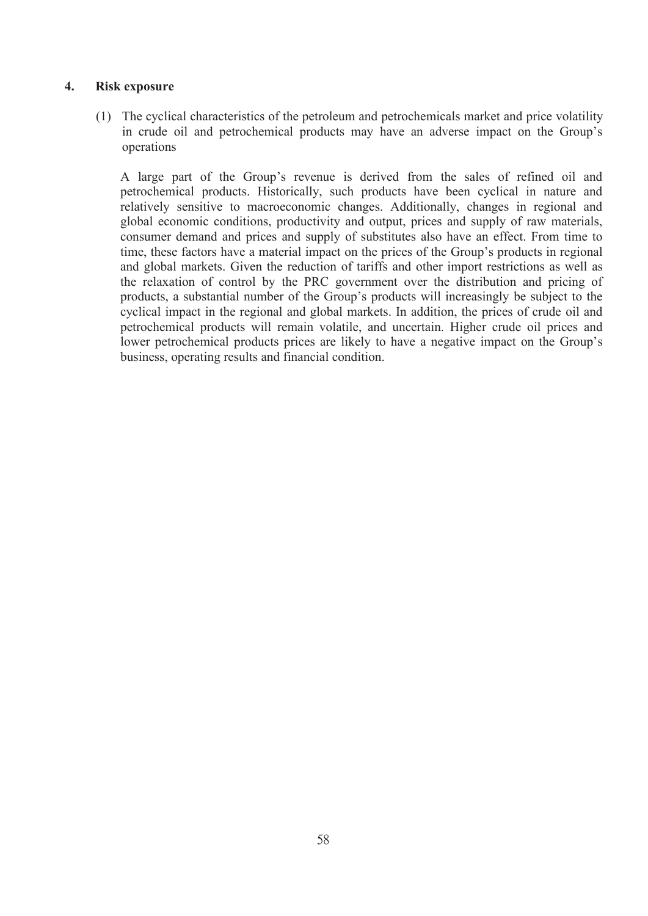## **4. Risk exposure**

(1) The cyclical characteristics of the petroleum and petrochemicals market and price volatility in crude oil and petrochemical products may have an adverse impact on the Group's operations

A large part of the Group's revenue is derived from the sales of refined oil and petrochemical products. Historically, such products have been cyclical in nature and relatively sensitive to macroeconomic changes. Additionally, changes in regional and global economic conditions, productivity and output, prices and supply of raw materials, consumer demand and prices and supply of substitutes also have an effect. From time to time, these factors have a material impact on the prices of the Group's products in regional and global markets. Given the reduction of tariffs and other import restrictions as well as the relaxation of control by the PRC government over the distribution and pricing of products, a substantial number of the Group's products will increasingly be subject to the cyclical impact in the regional and global markets. In addition, the prices of crude oil and petrochemical products will remain volatile, and uncertain. Higher crude oil prices and lower petrochemical products prices are likely to have a negative impact on the Group's business, operating results and financial condition.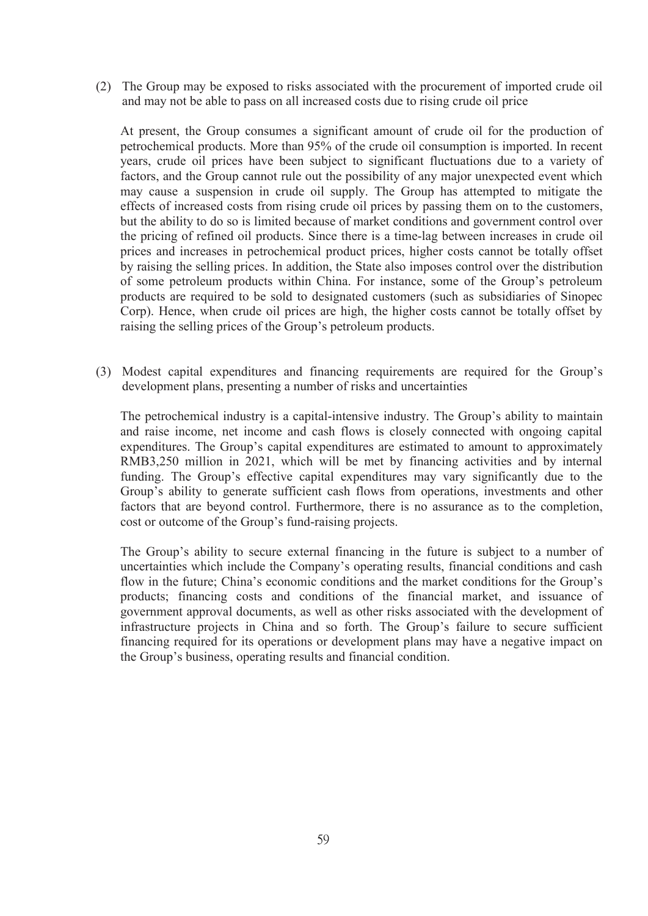(2) The Group may be exposed to risks associated with the procurement of imported crude oil and may not be able to pass on all increased costs due to rising crude oil price

At present, the Group consumes a significant amount of crude oil for the production of petrochemical products. More than 95% of the crude oil consumption is imported. In recent years, crude oil prices have been subject to significant fluctuations due to a variety of factors, and the Group cannot rule out the possibility of any major unexpected event which may cause a suspension in crude oil supply. The Group has attempted to mitigate the effects of increased costs from rising crude oil prices by passing them on to the customers, but the ability to do so is limited because of market conditions and government control over the pricing of refined oil products. Since there is a time-lag between increases in crude oil prices and increases in petrochemical product prices, higher costs cannot be totally offset by raising the selling prices. In addition, the State also imposes control over the distribution of some petroleum products within China. For instance, some of the Group's petroleum products are required to be sold to designated customers (such as subsidiaries of Sinopec Corp). Hence, when crude oil prices are high, the higher costs cannot be totally offset by raising the selling prices of the Group's petroleum products.

(3) Modest capital expenditures and financing requirements are required for the Group's development plans, presenting a number of risks and uncertainties

The petrochemical industry is a capital-intensive industry. The Group's ability to maintain and raise income, net income and cash flows is closely connected with ongoing capital expenditures. The Group's capital expenditures are estimated to amount to approximately RMB3,250 million in 2021, which will be met by financing activities and by internal funding. The Group's effective capital expenditures may vary significantly due to the Group's ability to generate sufficient cash flows from operations, investments and other factors that are beyond control. Furthermore, there is no assurance as to the completion, cost or outcome of the Group's fund-raising projects.

The Group's ability to secure external financing in the future issubject to a number of uncertainties which include the Company's operating results, financial conditions and cash flow in the future; China's economic conditions and the market conditions for the Group's products; financing costs and conditions of the financial market, and issuance of government approval documents, as well as other risks associated with the development of infrastructure projects in China and so forth. The Group's failure to secure sufficient financing required for its operations or development plans may have a negative impact on the Group's business, operating results and financial condition.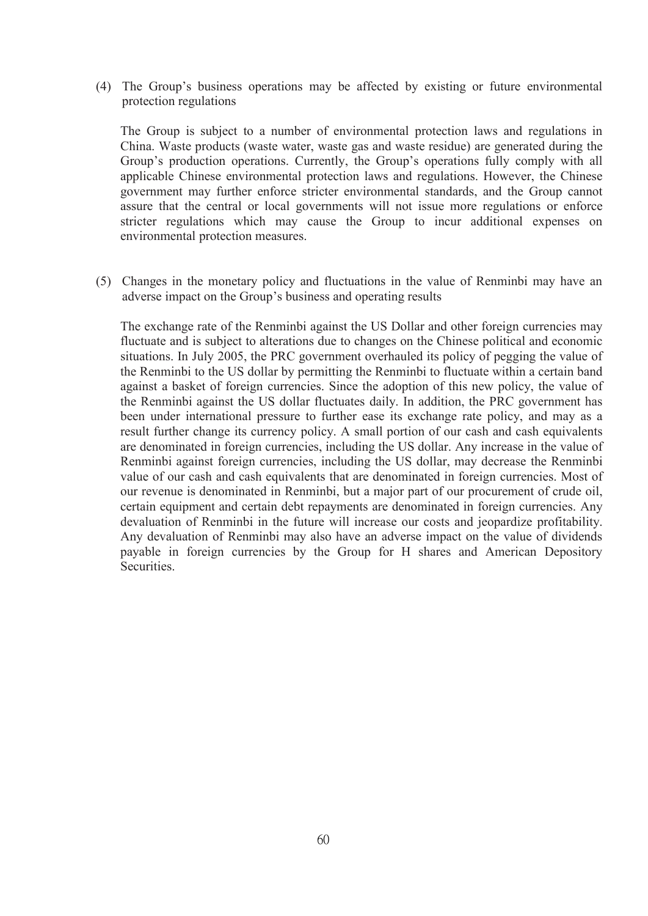(4) The Group's business operations may be affected by existing or future environmental protection regulations

The Group is subject to a number of environmental protection laws and regulations in China. Waste products (waste water, waste gas and waste residue) are generated during the Group's production operations. Currently, the Group's operations fully comply with all applicable Chinese environmental protection laws and regulations. However, the Chinese government may further enforce stricter environmental standards, and the Group cannot assure that the central or local governments will not issue more regulations or enforce stricter regulations which may cause the Group to incur additional expenses on environmental protection measures.

(5) Changes in the monetary policy and fluctuations in the value of Renminbi may have an adverse impact on the Group's business and operating results

The exchange rate of the Renminbi against the US Dollar and other foreign currencies may fluctuate and is subject to alterations due to changes on the Chinese political and economic situations. In July 2005, the PRC government overhauled its policy of pegging the value of the Renminbi to the US dollar by permitting the Renminbi to fluctuate within a certain band against a basket of foreign currencies. Since the adoption of this new policy, the value of the Renminbi against the US dollar fluctuates daily. In addition, the PRC government has been under international pressure to further ease its exchange rate policy, and may as a result further change its currency policy. A small portion of our cash and cash equivalents are denominated in foreign currencies, including the US dollar. Any increase in the value of Renminbi against foreign currencies, including the US dollar, may decrease the Renminbi value of our cash and cash equivalents that are denominated in foreign currencies. Most of our revenue is denominated in Renminbi, but a major part of our procurement of crude oil, certain equipment and certain debt repayments are denominated in foreign currencies. Any devaluation of Renminbi in the future will increase our costs and jeopardize profitability. Any devaluation of Renminbi may also have an adverse impact on the value of dividends payable in foreign currencies by the Group for H shares and American Depository Securities.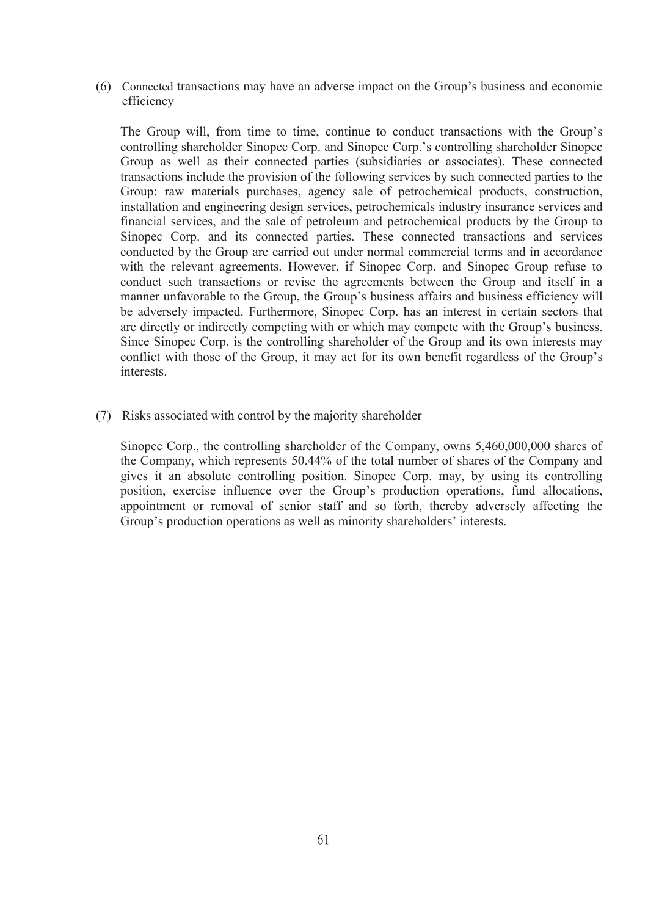(6) Connected transactions may have an adverse impact on the Group's business and economic efficiency

The Group will, from time to time, continue to conduct transactions with the Group's controlling shareholder Sinopec Corp. and Sinopec Corp.'s controlling shareholder Sinopec Group as well as their connected parties (subsidiaries or associates). These connected transactions include the provision of the following services by such connected parties to the Group: raw materials purchases, agency sale of petrochemical products, construction, installation and engineering design services, petrochemicals industry insurance services and financial services, and the sale of petroleum and petrochemical products by the Group to Sinopec Corp. and its connected parties. These connected transactions and services conducted by the Group are carried out under normal commercial terms and in accordance with the relevant agreements. However, if Sinopec Corp. and Sinopec Group refuse to conduct such transactions or revise the agreements between the Group and itself in a manner unfavorable to the Group, the Group's business affairs and business efficiency will be adversely impacted. Furthermore, Sinopec Corp. has an interest in certain sectors that are directly or indirectly competing with or which may compete with the Group's business. Since Sinopec Corp. is the controlling shareholder of the Group and its own interests may conflict with those of the Group, it may act for its own benefit regardless of the Group's interests.

(7) Risks associated with control by the majority shareholder

Sinopec Corp., the controlling shareholder of the Company, owns 5,460,000,000 shares of the Company, which represents 50.44% of the total number of shares of the Company and gives it an absolute controlling position. Sinopec Corp. may, by using its controlling position, exercise influence over the Group's production operations, fund allocations, appointment or removal of senior staff and so forth, thereby adversely affecting the Group's production operations as well as minority shareholders' interests.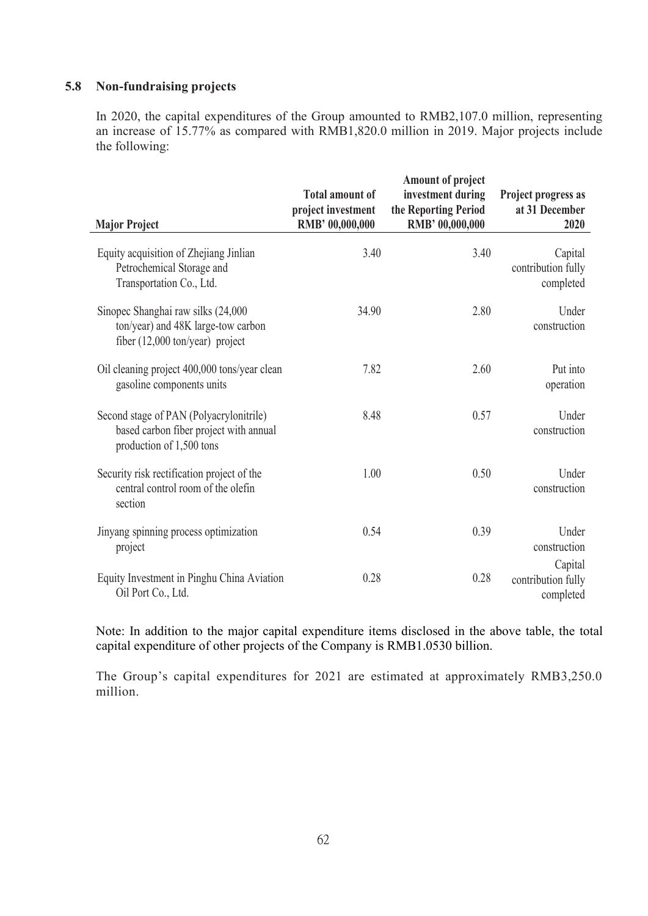## **5.8 Non-fundraising projects**

In 2020, the capital expenditures of the Group amounted to RMB2,107.0 million, representing an increase of 15.77% as compared with RMB1,820.0 million in 2019. Major projects include the following:

| <b>Major Project</b>                                                                                                  | <b>Total amount of</b><br>project investment<br>RMB' 00,000,000 | Amount of project<br>investment during<br>the Reporting Period<br>RMB' 00,000,000 | Project progress as<br>at 31 December<br>2020 |
|-----------------------------------------------------------------------------------------------------------------------|-----------------------------------------------------------------|-----------------------------------------------------------------------------------|-----------------------------------------------|
| Equity acquisition of Zhejiang Jinlian<br>Petrochemical Storage and<br>Transportation Co., Ltd.                       | 3.40                                                            | 3.40                                                                              | Capital<br>contribution fully<br>completed    |
| Sinopec Shanghai raw silks (24,000<br>ton/year) and 48K large-tow carbon<br>fiber $(12,000 \text{ ton/year})$ project | 34.90                                                           | 2.80                                                                              | Under<br>construction                         |
| Oil cleaning project 400,000 tons/year clean<br>gasoline components units                                             | 7.82                                                            | 2.60                                                                              | Put into<br>operation                         |
| Second stage of PAN (Polyacrylonitrile)<br>based carbon fiber project with annual<br>production of 1,500 tons         | 8.48                                                            | 0.57                                                                              | Under<br>construction                         |
| Security risk rectification project of the<br>central control room of the olefin<br>section                           | 1.00                                                            | 0.50                                                                              | Under<br>construction                         |
| Jinyang spinning process optimization<br>project                                                                      | 0.54                                                            | 0.39                                                                              | Under<br>construction                         |
| Equity Investment in Pinghu China Aviation<br>Oil Port Co., Ltd.                                                      | 0.28                                                            | 0.28                                                                              | Capital<br>contribution fully<br>completed    |

Note: In addition to the major capital expenditure items disclosed in the above table, the total capital expenditure of other projects of the Company is RMB1.0530 billion.

The Group's capital expenditures for 2021 are estimated at approximately RMB3,250.0 million.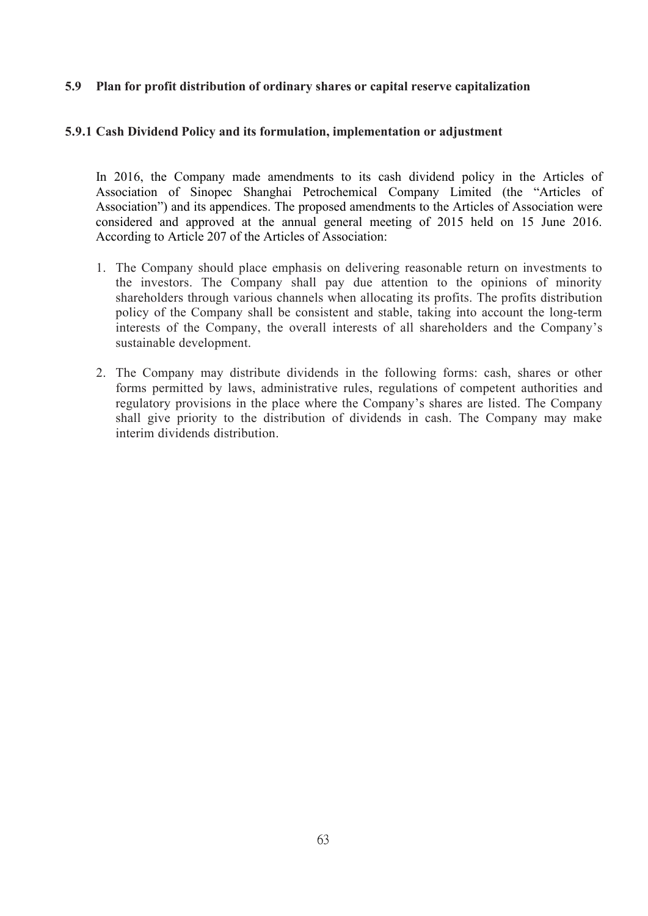## **5.9 Plan for profitdistribution of ordinary shares or capitalreserve capitalization**

### **5.9.1 Cash Dividend Policy and its formulation, implementation or adjustment**

In 2016, the Company made amendments to its cash dividend policy in the Articles of Association of Sinopec Shanghai Petrochemical Company Limited (the "Articles of Association") and its appendices. The proposed amendments to the Articles of Association were considered and approved at the annual general meeting of 2015 held on 15 June 2016. According to Article 207 of the Articles of Association:

- 1. The Company should place emphasis on delivering reasonable return on investments to the investors. The Company shall pay due attention to the opinions of minority shareholders through various channels when allocating its profits. The profits distribution policy of the Company shall be consistent and stable, taking into account the long-term interests of the Company, the overall interests of all shareholders and the Company's sustainable development.
- 2. The Company may distribute dividends in the following forms: cash, shares or other forms permitted by laws, administrative rules, regulations of competent authorities and regulatory provisions in the place where the Company's shares are listed. The Company shall give priority to the distribution of dividends in cash. The Company may make interim dividends distribution.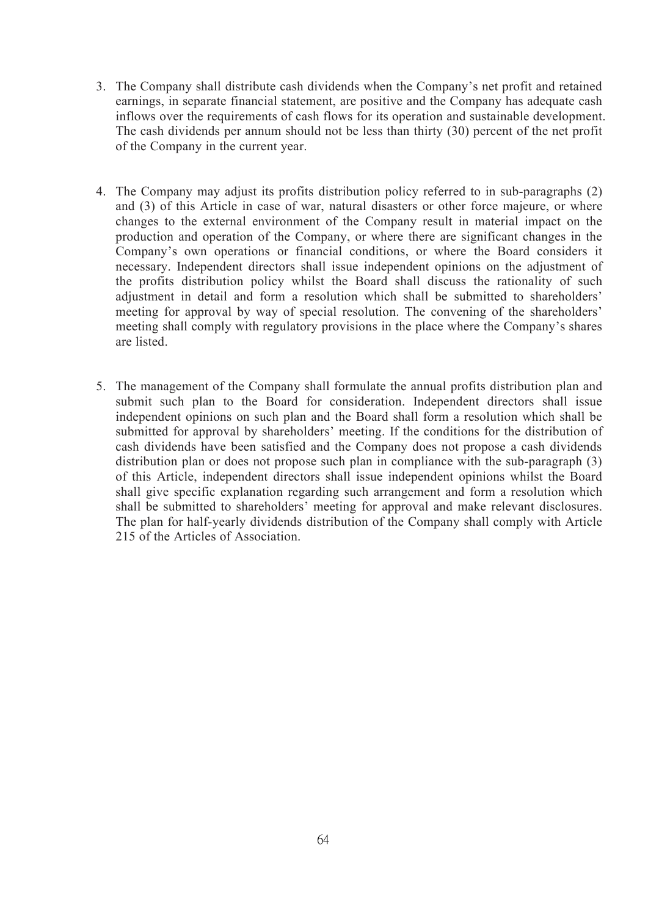- 3. The Company shall distribute cash dividends when the Company's net profit and retained earnings, in separate financial statement, are positive and the Company has adequate cash inflows over the requirements of cash flows for its operation and sustainable development. The cash dividends per annum should not be less than thirty (30) percent of the net profit of the Company in the current year.
- 4. The Company may adjust its profits distribution policy referred to in sub-paragraphs (2) and (3) of this Article in case of war, natural disasters or other force majeure, or where changes to the external environment of the Company result in material impact on the production and operation of the Company, or where there are significant changes in the Company's own operations or financial conditions, or where the Board considers it necessary. Independent directors shall issue independent opinions on the adjustment of the profits distribution policy whilst the Board shall discuss the rationality of such adjustment in detail and form a resolution which shall be submitted to shareholders' meeting for approval by way of special resolution. The convening of the shareholders' meeting shall comply with regulatory provisions in the place where the Company's shares are listed.
- 5. The management of the Company shall formulate the annual profits distribution plan and submit such plan to the Board for consideration. Independent directors shall issue independent opinions on such plan and the Board shall form a resolution which shall be submitted for approval by shareholders' meeting. If the conditions for the distribution of cash dividends have been satisfied and the Company does not propose a cash dividends distribution plan or does not propose such plan in compliance with the sub-paragraph (3) of this Article, independent directors shall issue independent opinions whilst the Board shall give specific explanation regarding such arrangement and form a resolution which shall be submitted to shareholders' meeting for approval and make relevant disclosures. The plan for half-yearly dividends distribution of the Company shall comply with Article 215 of the Articles of Association.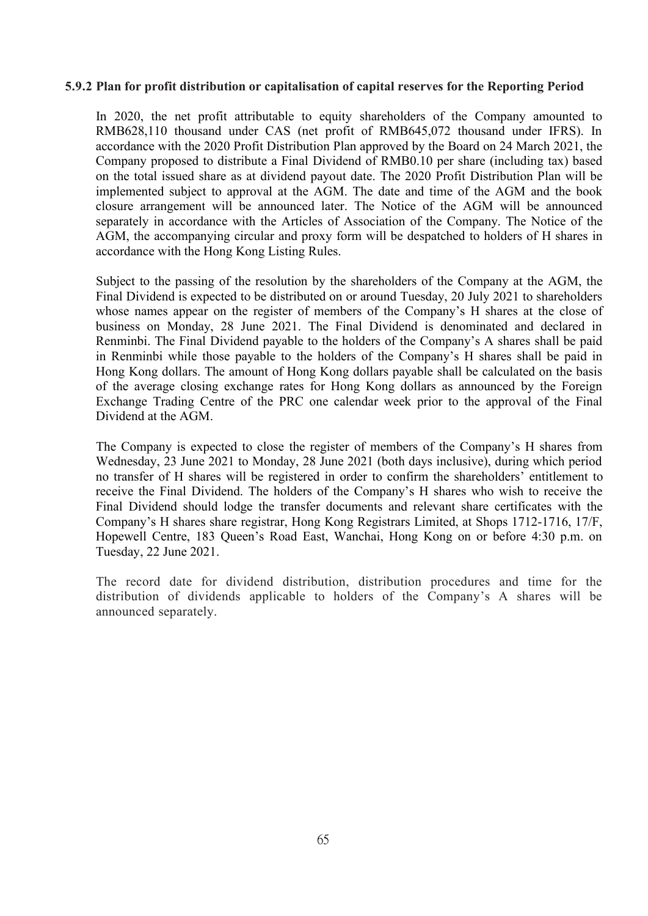#### **5.9.2 Plan for profitdistribution or capitalisation of capital reserves for the Reporting Period**

In 2020, the net profit attributable to equity shareholders of the Company amounted to RMB628,110 thousand under CAS (net profit of RMB645,072 thousand under IFRS). In accordance with the 2020 Profit Distribution Plan approved by the Board on 24 March 2021, the Company proposed to distribute a Final Dividend of RMB0.10 per share (including tax) based on the total issued share as at dividend payout date. The 2020 Profit Distribution Plan will be implemented subject to approval at the AGM. The date and time of the AGM and the book closure arrangement will be announced later. The Notice of the AGM will be announced separately in accordance with the Articles of Association of the Company. The Notice of the AGM, the accompanying circular and proxy form will be despatched to holders of H shares in accordance with the Hong Kong Listing Rules.

Subject to the passing of the resolution by the shareholders of the Company at the AGM, the Final Dividend is expected to be distributed on or around Tuesday, 20 July 2021 to shareholders whose names appear on the register of members of the Company's H shares at the close of business on Monday, 28 June 2021. The Final Dividend is denominated and declared in Renminbi. The Final Dividend payable to the holders of the Company's A shares shall be paid in Renminbi while those payable to the holders of the Company's H shares shall be paid in Hong Kong dollars. The amount of Hong Kong dollars payable shall be calculated on the basis of the average closing exchange rates for Hong Kong dollars as announced by the Foreign Exchange Trading Centre of the PRC one calendar week prior to the approval of the Final Dividend at the AGM.

The Company is expected to close the register of members of the Company's H shares from Wednesday, 23 June 2021 to Monday, 28 June 2021 (both days inclusive), during which period no transfer of H shares will be registered in order to confirm the shareholders' entitlement to receive the Final Dividend. The holders of the Company's H shares who wish to receive the Final Dividend should lodge the transfer documents and relevant share certificates with the Company's H shares share registrar, Hong Kong Registrars Limited, at Shops 1712-1716, 17/F, Hopewell Centre, 183 Queen's Road East, Wanchai, Hong Kong on or before 4:30 p.m. on Tuesday, 22 June 2021.

The record date for dividend distribution, distribution procedures and time for the distribution of dividends applicable to holders of the Company's A shares will be announced separately.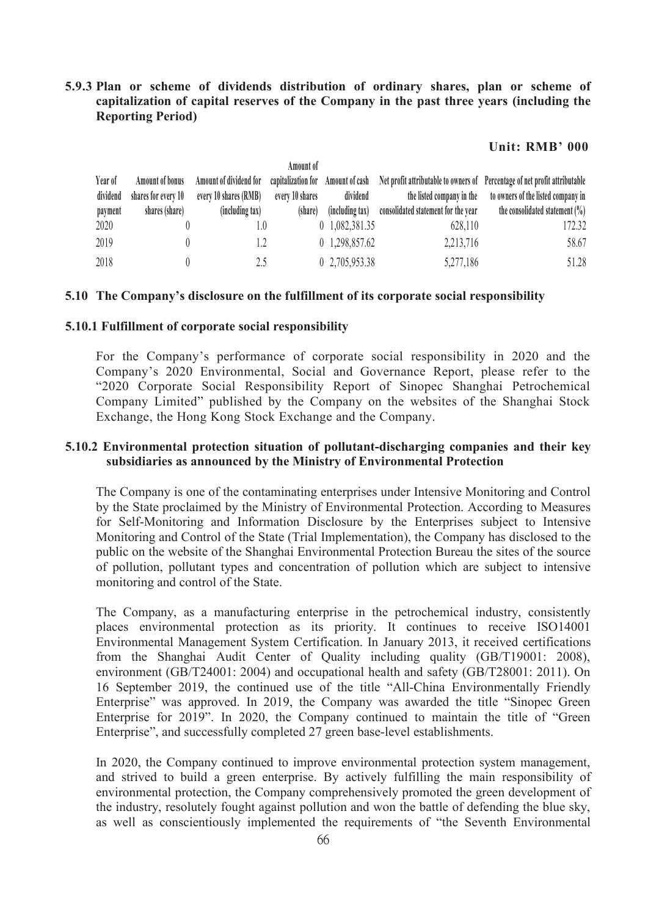**5.9.3 Plan or scheme of dividends distribution of ordinary shares, plan or scheme of capitalization of capital reserves of the Company in the past three years (including the Reporting Period)**

#### **Unit: RMB' 000**

|          |                     |                        | Amount of       |                 |                                     |                                                                                                              |
|----------|---------------------|------------------------|-----------------|-----------------|-------------------------------------|--------------------------------------------------------------------------------------------------------------|
| Year of  | Amount of bonus     | Amount of dividend for |                 |                 |                                     | capitalization for Amount of cash Net profit attributable to owners of Percentage of net profit attributable |
| dividend | shares for every 10 | every 10 shares (RMB)  | every 10 shares | dividend        | the listed company in the           | to owners of the listed company in                                                                           |
| payment  | shares (share)      | (including tax)        | (share)         | (including tax) | consolidated statement for the year | the consolidated statement $(\%)$                                                                            |
| 2020     |                     |                        |                 | 0 1,082,381.35  | 628,110                             | 172.32                                                                                                       |
| 2019     |                     |                        |                 | 0 1,298,857.62  | 2,213,716                           | 58.67                                                                                                        |
| 2018     |                     |                        |                 | 0 2,705,953.38  | 5,277,186                           | 51.28                                                                                                        |

#### **5.10 The Company's disclosure on the fulfillment of its corporate social responsibility**

#### **5.10.1 Fulfillment of corporate social responsibility**

For the Company's performance of corporate social responsibility in 2020 and the Company's 2020 Environmental, Social and Governance Report, please refer to the "2020 Corporate Social Responsibility Report of Sinopec Shanghai Petrochemical Company Limited" published by the Company on the websites of the Shanghai Stock Exchange, the Hong Kong Stock Exchange and the Company.

## **5.10.2 Environmental protection situation of pollutant-discharging companies and their key subsidiaries as announced by the Ministry of Environmental Protection**

The Company is one of the contaminating enterprises under Intensive Monitoring and Control by the State proclaimed by the Ministry of Environmental Protection. According to Measures for Self-Monitoring and Information Disclosure by the Enterprises subject to Intensive Monitoring and Control of the State (Trial Implementation), the Company has disclosed to the public on the website of the Shanghai Environmental Protection Bureau the sites of the source of pollution, pollutant types and concentration of pollution which are subject to intensive monitoring and control of the State.

The Company, as a manufacturing enterprise in the petrochemical industry, consistently places environmental protection as its priority. It continues to receive ISO14001 Environmental Management System Certification. In January 2013, it received certifications from the Shanghai Audit Center of Quality including quality (GB/T19001: 2008), environment (GB/T24001: 2004) and occupational health and safety (GB/T28001: 2011). On 16 September 2019, the continued use of the title "All-China Environmentally Friendly Enterprise" was approved. In 2019, the Company was awarded the title "Sinopec Green Enterprise for 2019". In 2020, the Company continued to maintain the title of "Green Enterprise", and successfully completed 27 green base-level establishments.

In 2020, the Company continued to improve environmental protection system management, and strived to build a green enterprise. By actively fulfilling the main responsibility of environmental protection, the Company comprehensively promoted the green development of the industry, resolutely fought against pollution and won the battle of defending the blue sky, as well as conscientiously implemented the requirements of "the Seventh Environmental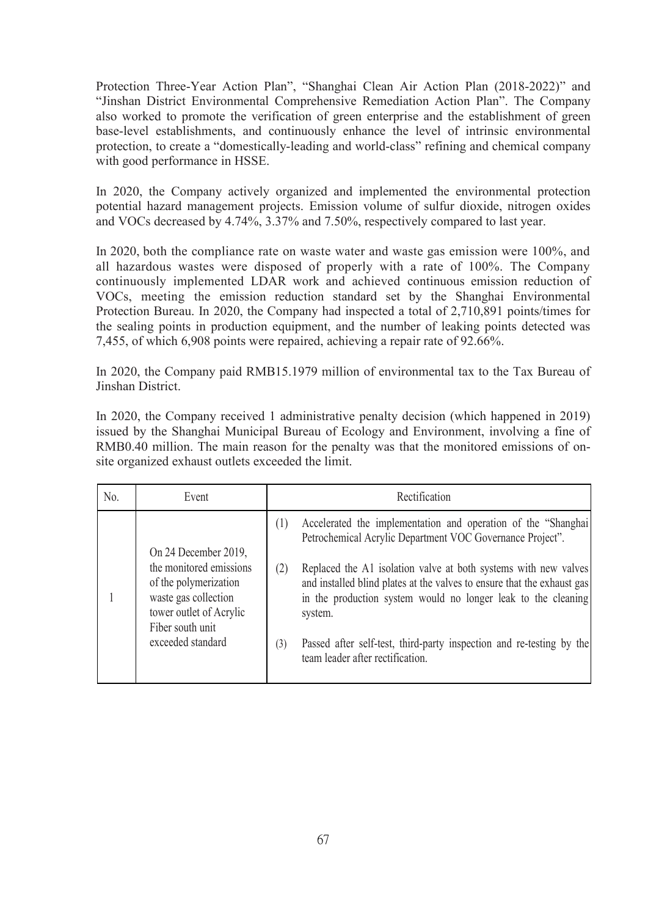Protection Three-Year Action Plan", "Shanghai Clean Air Action Plan (2018-2022)" and "Jinshan District Environmental Comprehensive Remediation Action Plan". The Company also worked to promote the verification of green enterprise and the establishment of green base-level establishments, and continuously enhance the level of intrinsic environmental protection, to create a "domestically-leading and world-class" refining and chemical company with good performance in HSSE.

In 2020, the Company actively organized and implemented the environmental protection potential hazard management projects. Emission volume of sulfur dioxide, nitrogen oxides and VOCs decreased by 4.74%, 3.37% and 7.50%, respectively compared to last year.

In 2020, both the compliance rate on waste water and waste gas emission were 100%, and all hazardous wastes were disposed of properly with a rate of 100%. The Company continuously implemented LDAR work and achieved continuous emission reduction of VOCs, meeting the emission reduction standard set by the Shanghai Environmental Protection Bureau. In 2020, the Company had inspected a total of 2,710,891 points/times for the sealing points in production equipment, and the number of leaking points detected was 7,455, of which 6,908 points were repaired, achieving a repair rate of 92.66%.

In 2020, the Company paid RMB15.1979 million of environmental tax to the Tax Bureau of Jinshan District.

In 2020, the Company received 1 administrative penalty decision (which happened in 2019) issued by the Shanghai Municipal Bureau of Ecology and Environment, involving a fine of RMB0.40 million. The main reason for the penalty was that the monitored emissions of on site organized exhaust outlets exceeded the limit.

| No. | Event                                                                                                                                        | Rectification                                                                                                                                                                                                                                                                                                                                    |  |  |
|-----|----------------------------------------------------------------------------------------------------------------------------------------------|--------------------------------------------------------------------------------------------------------------------------------------------------------------------------------------------------------------------------------------------------------------------------------------------------------------------------------------------------|--|--|
|     | On 24 December 2019,                                                                                                                         | Accelerated the implementation and operation of the "Shanghai<br>(1)<br>Petrochemical Acrylic Department VOC Governance Project".                                                                                                                                                                                                                |  |  |
|     | the monitored emissions<br>of the polymerization<br>waste gas collection<br>tower outlet of Acrylic<br>Fiber south unit<br>exceeded standard | Replaced the A1 isolation valve at both systems with new valves<br>(2)<br>and installed blind plates at the valves to ensure that the exhaust gas<br>in the production system would no longer leak to the cleaning<br>system.<br>Passed after self-test, third-party inspection and re-testing by the<br>(3)<br>team leader after rectification. |  |  |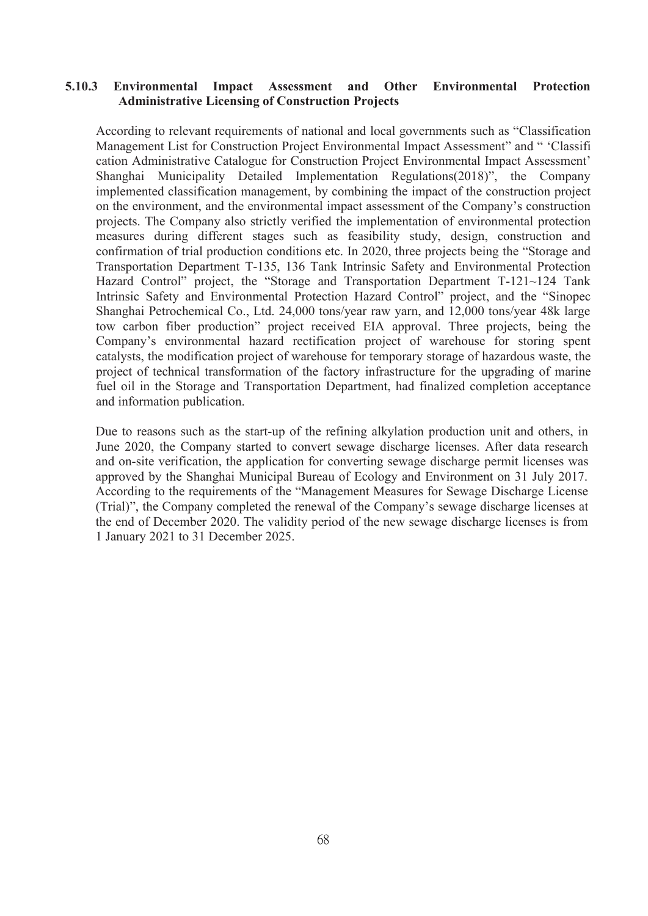### **5.10.3 Environmental Impact Assessment and Other Environmental Protection Administrative Licensing of Construction Projects**

According to relevant requirements of national and local governments such as "Classification Management List for Construction Project Environmental Impact Assessment" and " 'Classifi cation Administrative Catalogue for Construction Project Environmental Impact Assessment' Shanghai Municipality Detailed Implementation Regulations(2018)", the Company implemented classification management, by combining the impact of the construction project on the environment, and the environmental impact assessment of the Company's construction projects. The Company also strictly verified the implementation of environmental protection measures during different stages such as feasibility study, design, construction and confirmation of trial production conditions etc. In 2020, three projects being the "Storage and Transportation Department T-135, 136 Tank Intrinsic Safety and Environmental Protection Hazard Control" project, the "Storage and Transportation Department T-121~124 Tank Intrinsic Safety and Environmental Protection Hazard Control" project, and the "Sinopec Shanghai Petrochemical Co., Ltd. 24,000 tons/year raw yarn, and 12,000 tons/year 48k large tow carbon fiber production" project received EIA approval. Three projects, being the Company's environmental hazard rectification project of warehouse for storing spent catalysts, the modification project of warehouse for temporary storage of hazardous waste, the project of technical transformation of the factory infrastructure for the upgrading of marine fuel oil in the Storage and Transportation Department, had finalized completion acceptance and information publication.

Due to reasons such as the start-up of the refining alkylation production unit and others, in June 2020, the Company started to convert sewage discharge licenses. After data research and on-site verification, the application for converting sewage discharge permit licenses was approved by the Shanghai Municipal Bureau of Ecology and Environment on 31 July 2017. According to the requirements of the "Management Measures for Sewage Discharge License (Trial)", the Company completed the renewal of the Company's sewage discharge licenses at the end of December 2020. The validity period of the new sewage discharge licenses is from 1 January 2021 to 31 December 2025.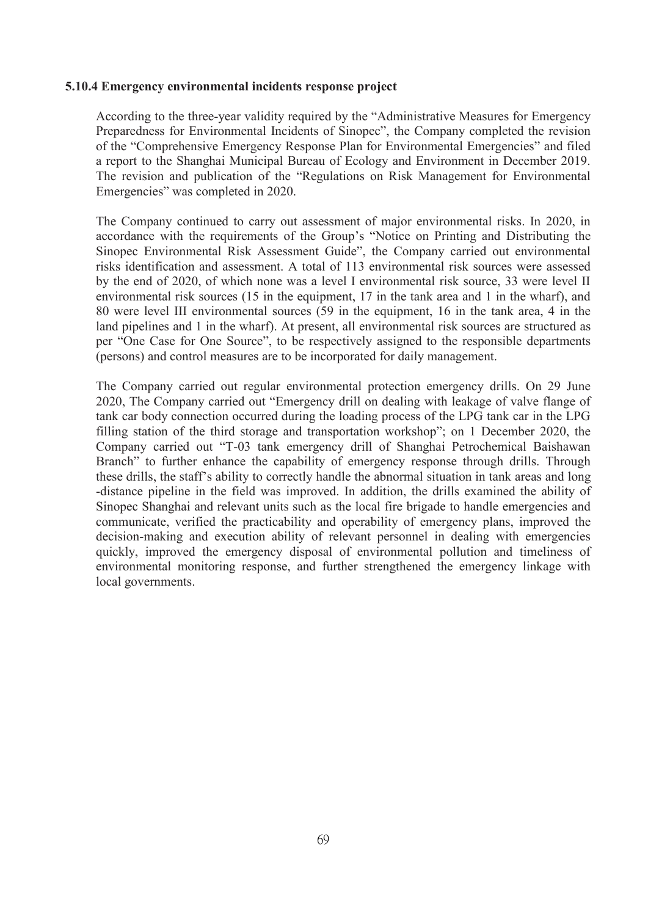#### **5.10.4 Emergency environmental incidents response project**

According to the three-year validity required by the "Administrative Measures for Emergency Preparedness for Environmental Incidents of Sinopec", the Company completed the revision of the "Comprehensive Emergency Response Plan for Environmental Emergencies" and filed a report to the Shanghai Municipal Bureau of Ecology and Environment in December 2019. The revision and publication of the "Regulations on Risk Management for Environmental Emergencies" was completed in 2020.

The Company continued to carry out assessment of major environmental risks. In 2020, in accordance with the requirements of the Group's "Notice on Printing and Distributing the Sinopec Environmental Risk Assessment Guide", the Company carried out environmental risks identification and assessment. A total of 113 environmental risk sources were assessed by the end of 2020, of which none was a level I environmental risk source, 33 were level II environmental risk sources  $(15 \text{ in the equipment}, 17 \text{ in the tank area and 1 in the what}),$  and 80 were level III environmental sources (59 in the equipment, 16 in the tank area, 4 in the land pipelines and 1 in the wharf). At present, all environmental risk sources are structured as per "One Case for One Source", to be respectively assigned to the responsible departments (persons) and control measures are to be incorporated for daily management.

The Company carried out regular environmental protection emergency drills. On 29 June 2020, The Company carried out "Emergency drill on dealing with leakage of valve flange of tank car body connection occurred during the loading process of the LPG tank car in the LPG filling station of the third storage and transportation workshop"; on 1 December 2020, the Company carried out "T-03 tank emergency drill of Shanghai Petrochemical Baishawan Branch" to further enhance the capability of emergency response through drills. Through these drills, the staff's ability to correctly handle the abnormal situation in tank areas and long -distance pipeline in the field was improved. In addition, the drills examined the ability of Sinopec Shanghai and relevant units such as the local fire brigade to handle emergencies and communicate, verified the practicability and operability of emergency plans, improved the decision-making and execution ability of relevant personnel in dealing with emergencies quickly, improved the emergency disposal of environmental pollution and timeliness of environmental monitoring response, and further strengthened the emergency linkage with local governments.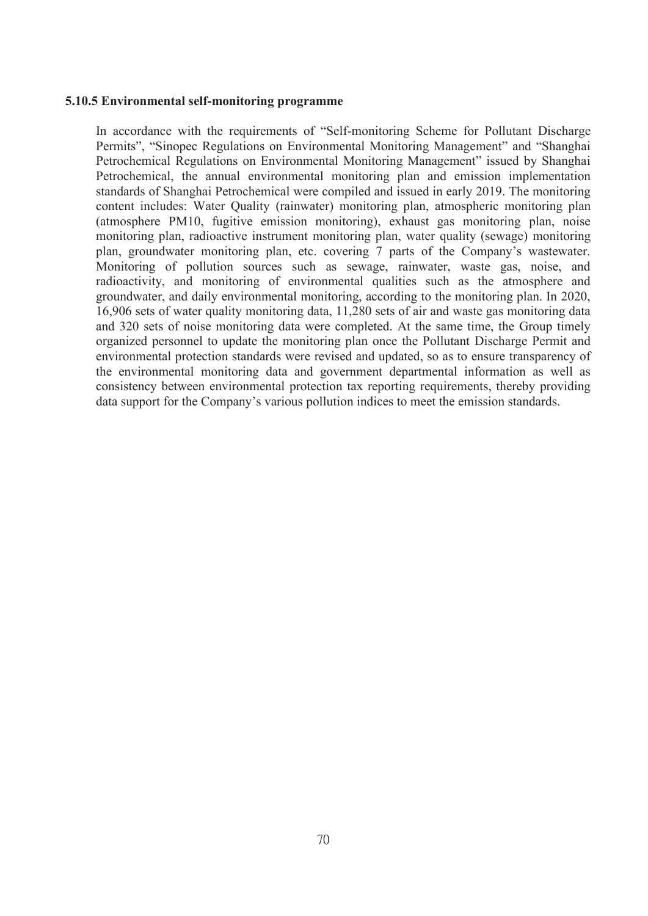#### **5.10.5 Environmental self-monitoring programme**

In accordance with the requirements of "Self-monitoring Scheme for Pollutant Discharge Permits", "Sinopec Regulations on Environmental Monitoring Management" and "Shanghai Petrochemical Regulations on Environmental Monitoring Management" issued by Shanghai Petrochemical, the annual environmental monitoring plan and emission implementation standards of Shanghai Petrochemical were compiled and issued in early 2019.The monitoring content includes: Water Quality (rainwater) monitoring plan, atmospheric monitoring plan (atmosphere PM10, fugitive emission monitoring), exhaust gas monitoring plan, noise monitoring plan, radioactive instrument monitoring plan, water quality (sewage) monitoring plan, groundwater monitoring plan, etc. covering 7 parts of the Company's wastewater. Monitoring of pollution sources such as sewage, rainwater, waste gas, noise, and radioactivity, and monitoring of environmental qualities such as the atmosphere and groundwater, and daily environmental monitoring, according to the monitoring plan. In 2020,  $16,906$  sets of water quality monitoring data,  $11,280$  sets of air and waste gas monitoring data and 320 sets of noise monitoring data were completed. At the same time, the Group timely organized personnel to update the monitoring plan once the Pollutant Discharge Permit and environmental protection standards were revised and updated, so as to ensure transparency of the environmental monitoring data and government departmental information as well as consistency between environmental protection tax reporting requirements, thereby providing data support for the Company's various pollution indices to meet the emission standards.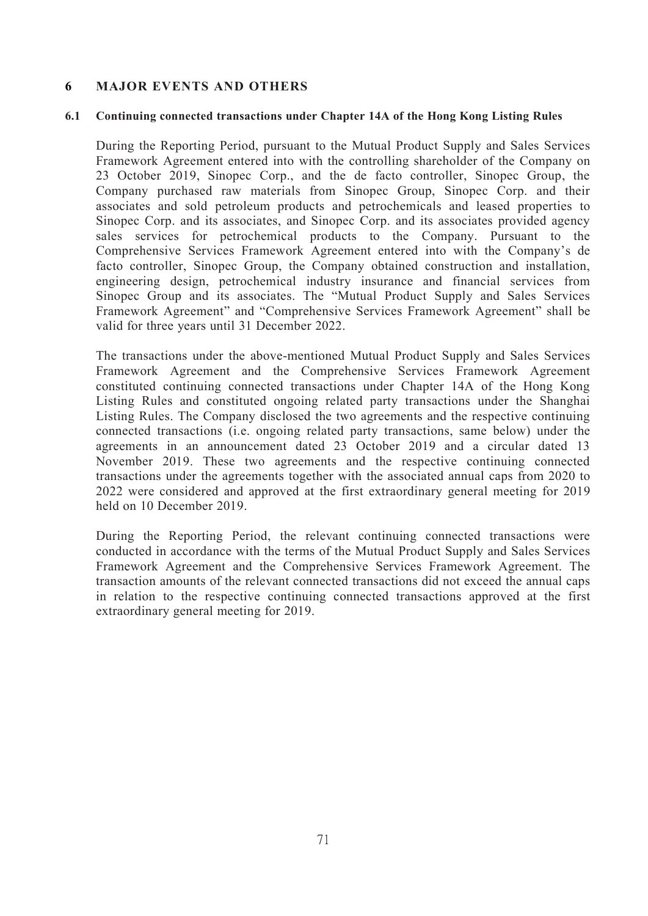## **6 MAJOR EVENTS AND OTHERS**

### **6.1 Continuing connected transactions under Chapter 14A of the Hong Kong Listing Rules**

During the Reporting Period, pursuant to the Mutual Product Supply and Sales Services Framework Agreement entered into with the controlling shareholder of the Company on 23 October 2019, Sinopec Corp., and the de facto controller, Sinopec Group, the Company purchased raw materials from Sinopec Group, Sinopec Corp. and their associates and sold petroleum products and petrochemicals and leased properties to Sinopec Corp. and its associates, and Sinopec Corp. and its associates provided agency sales services for petrochemical products to the Company. Pursuant to the Comprehensive Services Framework Agreement entered into with the Company's de facto controller, Sinopec Group, the Company obtained construction and installation, engineering design, petrochemical industry insurance and financial services from Sinopec Group and its associates. The "Mutual Product Supply and Sales Services Framework Agreement" and "Comprehensive Services Framework Agreement" shall be valid for three years until 31 December 2022.

The transactions under the above-mentioned Mutual Product Supply and Sales Services Framework Agreement and the Comprehensive Services Framework Agreement constituted continuing connected transactions under Chapter 14A of the Hong Kong Listing Rules and constituted ongoing related party transactions under the Shanghai Listing Rules. The Company disclosed the two agreements and the respective continuing connected transactions (i.e. ongoing related party transactions, same below) under the agreements in an announcement dated 23 October 2019 and a circular dated 13 November 2019. These two agreements and the respective continuing connected transactions under the agreements together with the associated annual caps from 2020 to 2022 were considered and approved at the first extraordinary general meeting for 2019 held on 10 December 2019.

During the Reporting Period, the relevant continuing connected transactions were conducted in accordance with the terms of the Mutual Product Supply and Sales Services Framework Agreement and the Comprehensive Services Framework Agreement. The transaction amounts of the relevant connected transactions did not exceed the annual caps in relation to the respective continuing connected transactions approved at the first extraordinary general meeting for 2019.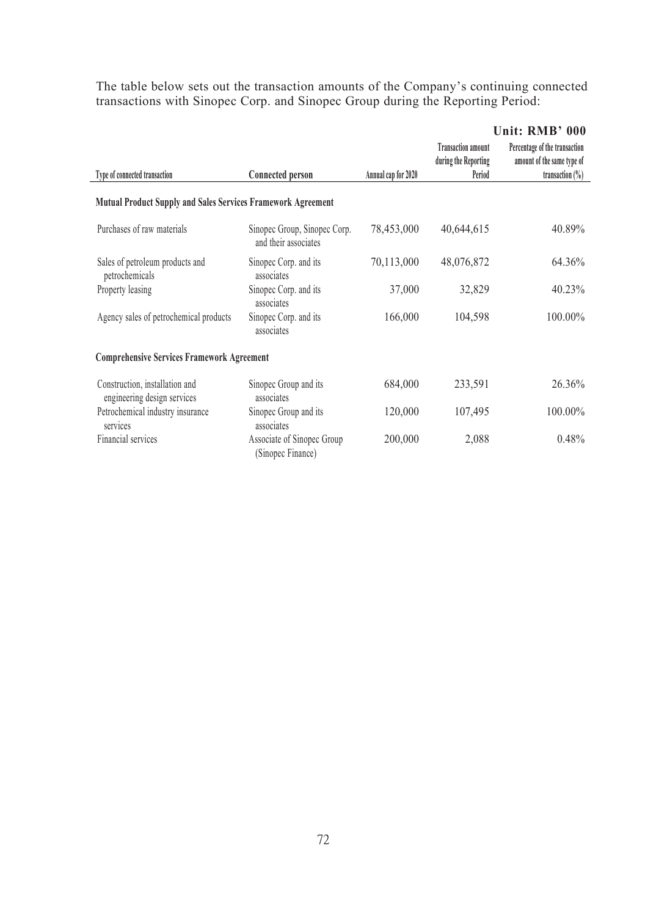The table below sets out the transaction amounts of the Company's continuing connected transactions with Sinopec Corp. and Sinopec Group during the Reporting Period:

|                                                                     |                                                      |                     | Unit: RMB' 000                                    |                                                             |  |
|---------------------------------------------------------------------|------------------------------------------------------|---------------------|---------------------------------------------------|-------------------------------------------------------------|--|
|                                                                     |                                                      |                     | <b>Transaction amount</b><br>during the Reporting | Percentage of the transaction<br>amount of the same type of |  |
| Type of connected transaction                                       | <b>Connected person</b>                              | Annual cap for 2020 | Period                                            | transaction $(\%)$                                          |  |
| <b>Mutual Product Supply and Sales Services Framework Agreement</b> |                                                      |                     |                                                   |                                                             |  |
| Purchases of raw materials                                          | Sinopec Group, Sinopec Corp.<br>and their associates | 78,453,000          | 40,644,615                                        | 40.89%                                                      |  |
| Sales of petroleum products and<br>petrochemicals                   | Sinopec Corp. and its<br>associates                  | 70,113,000          | 48,076,872                                        | 64.36%                                                      |  |
| Property leasing                                                    | Sinopec Corp. and its<br>associates                  | 37,000              | 32,829                                            | 40.23%                                                      |  |
| Agency sales of petrochemical products                              | Sinopec Corp. and its<br>associates                  | 166,000             | 104,598                                           | 100.00%                                                     |  |
| <b>Comprehensive Services Framework Agreement</b>                   |                                                      |                     |                                                   |                                                             |  |
| Construction, installation and<br>engineering design services       | Sinopec Group and its<br>associates                  | 684,000             | 233,591                                           | 26.36%                                                      |  |
| Petrochemical industry insurance<br>services                        | Sinopec Group and its<br>associates                  | 120,000             | 107,495                                           | 100.00%                                                     |  |
| Financial services                                                  | Associate of Sinopec Group<br>(Sinopec Finance)      | 200,000             | 2,088                                             | 0.48%                                                       |  |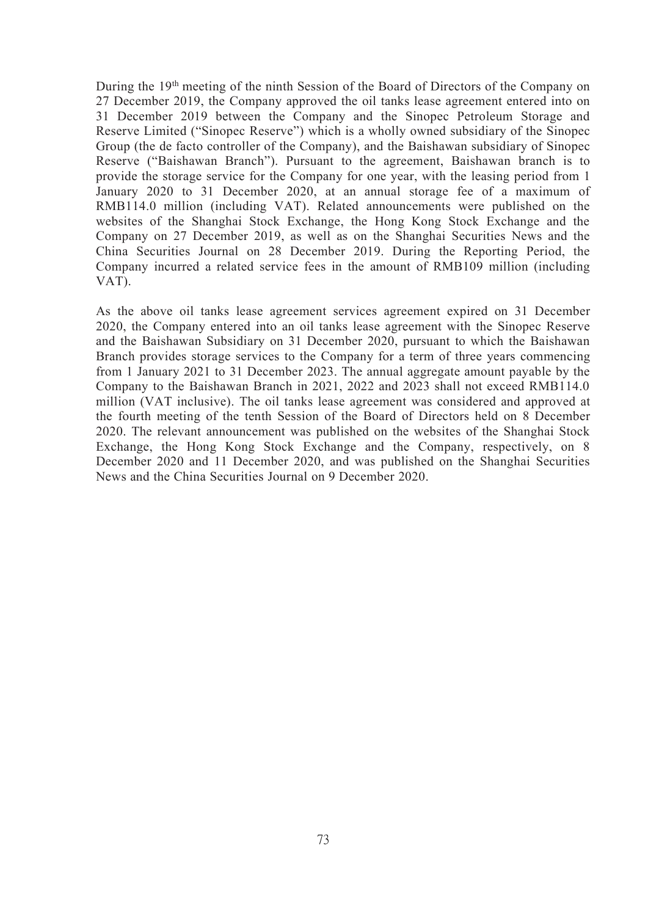During the 19<sup>th</sup> meeting of the ninth Session of the Board of Directors of the Company on 27 December 2019, the Company approved the oil tanks lease agreement entered into on 31 December 2019 between the Company and the Sinopec Petroleum Storage and Reserve Limited ("Sinopec Reserve") which is a wholly owned subsidiary of the Sinopec Group (the de facto controller of the Company), and the Baishawan subsidiary of Sinopec Reserve ("Baishawan Branch"). Pursuant to the agreement, Baishawan branch is to provide the storage service for the Company for one year, with the leasing period from 1 January 2020 to 31 December 2020, at an annual storage fee of a maximum of RMB114.0 million (including VAT). Related announcements were published on the websites of the Shanghai Stock Exchange, the Hong Kong Stock Exchange and the Company on 27 December 2019, as well as on the Shanghai Securities News and the China Securities Journal on 28 December 2019. During the Reporting Period, the Company incurred a related service fees in the amount of RMB109 million (including VAT).

As the above oil tanks lease agreement services agreement expired on 31 December 2020, the Company entered into an oil tanks lease agreement with the Sinopec Reserve and the Baishawan Subsidiary on 31 December 2020, pursuant to which the Baishawan Branch provides storage services to the Company for a term of three years commencing from 1 January 2021 to 31 December 2023. The annual aggregate amount payable by the Company to the Baishawan Branch in 2021, 2022 and 2023 shall not exceed RMB114.0 million (VAT inclusive). The oil tanks lease agreement was considered and approved at the fourth meeting of the tenth Session of the Board of Directors held on 8 December 2020. The relevant announcement was published on the websites of the Shanghai Stock Exchange, the Hong Kong Stock Exchange and the Company, respectively, on 8 December 2020 and 11 December 2020, and was published on the Shanghai Securities News and the China Securities Journal on 9 December 2020.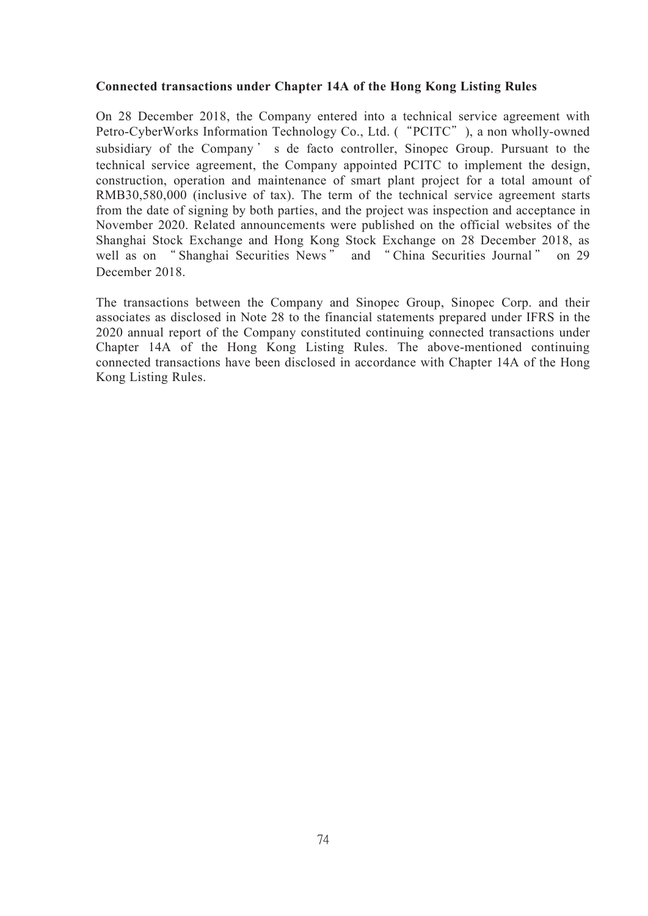# **Connected transactions under Chapter 14A of the Hong Kong Listing Rules**

On 28 December 2018, the Company entered into a technical service agreement with Petro-CyberWorks Information Technology Co., Ltd. ("PCITC"), a non wholly-owned subsidiary of the Company ' s de facto controller, Sinopec Group. Pursuant to the technical service agreement, the Company appointed PCITC to implement the design, construction, operation and maintenance of smart plant project for a total amount of RMB30,580,000 (inclusive of tax). The term of the technical service agreement starts from the date of signing by both parties, and the project was inspection and acceptance in November 2020. Related announcements were published on the official websites of the Shanghai Stock Exchange and Hong Kong Stock Exchange on 28 December 2018, as well as on " Shanghai Securities News" and " China Securities Journal" on 29 December 2018.

The transactions between the Company and Sinopec Group, Sinopec Corp. and their associates as disclosed in Note 28 to the financial statements prepared under IFRS in the 2020 annual report of the Company constituted continuing connected transactions under Chapter 14A of the Hong Kong Listing Rules. The above-mentioned continuing connected transactions have been disclosed in accordance with Chapter 14A of the Hong Kong Listing Rules.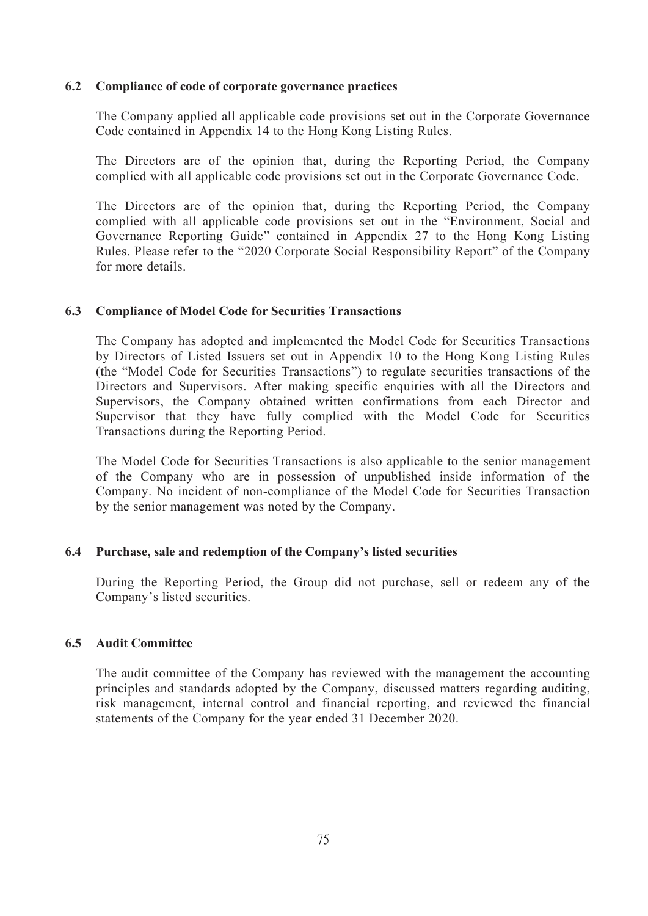## **6.2 Compliance of code of corporate governance practices**

The Company applied all applicable code provisions set out in the Corporate Governance Code contained in Appendix 14 to the Hong Kong Listing Rules.

The Directors are of the opinion that, during the Reporting Period, the Company complied with all applicable code provisions set out in the Corporate Governance Code.

The Directors are of the opinion that, during the Reporting Period, the Company complied with all applicable code provisions set out in the "Environment, Social and Governance Reporting Guide" contained in Appendix 27 to the Hong Kong Listing Rules. Please refer to the "2020 Corporate Social Responsibility Report" of the Company for more details.

## **6.3 Compliance of Model Code for Securities Transactions**

The Company has adopted and implemented the Model Code for Securities Transactions by Directors of Listed Issuers set out in Appendix 10 to the Hong Kong Listing Rules (the "Model Code for Securities Transactions") to regulate securities transactions of the Directors and Supervisors. After making specific enquiries with all the Directors and Supervisors, the Company obtained written confirmations from each Director and Supervisor that they have fully complied with the Model Code for Securities Transactions during the Reporting Period.

The Model Code for Securities Transactions is also applicable to the senior management of the Company who are in possession of unpublished inside information of the Company. No incident of non-compliance of the Model Code for Securities Transaction by the senior management was noted by the Company.

## **6.4 Purchase, sale and redemption of the Company's listed securities**

During the Reporting Period, the Group did not purchase, sell or redeem any of the Company's listed securities.

# **6.5 Audit Committee**

The audit committee of the Company has reviewed with the management the accounting principles and standards adopted by the Company, discussed matters regarding auditing, risk management, internal control and financial reporting, and reviewed the financial statements of the Company for the year ended 31 December 2020.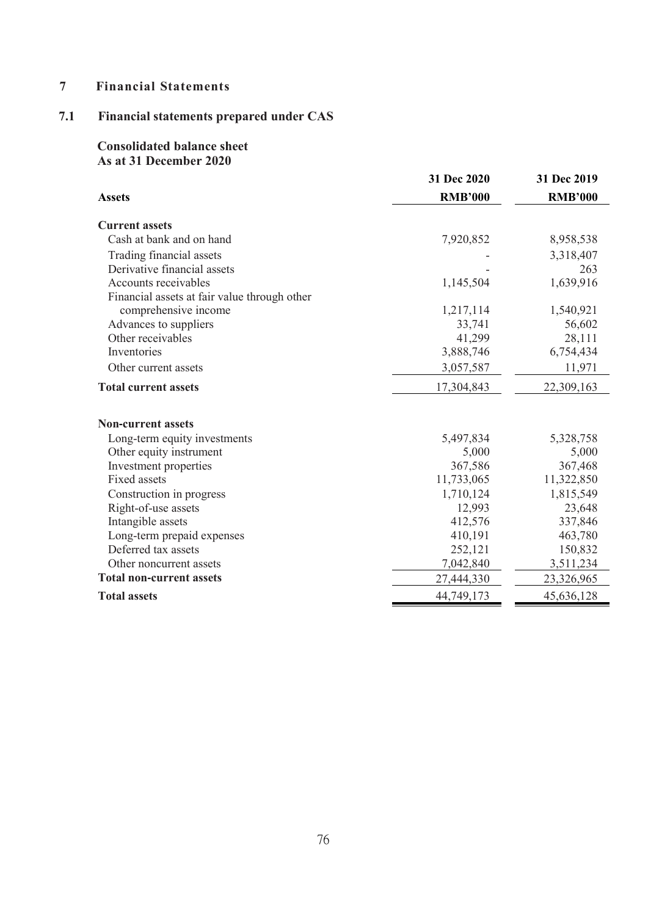# **7 Financial Statements**

# **7.1 Financial statements prepared under CAS**

# **Consolidated balance sheet As at 31 December 2020**

|                                              | 31 Dec 2020    | 31 Dec 2019    |
|----------------------------------------------|----------------|----------------|
| <b>Assets</b>                                | <b>RMB'000</b> | <b>RMB'000</b> |
| <b>Current assets</b>                        |                |                |
| Cash at bank and on hand                     | 7,920,852      | 8,958,538      |
| Trading financial assets                     |                | 3,318,407      |
| Derivative financial assets                  |                | 263            |
| Accounts receivables                         | 1,145,504      | 1,639,916      |
| Financial assets at fair value through other |                |                |
| comprehensive income                         | 1,217,114      | 1,540,921      |
| Advances to suppliers                        | 33,741         | 56,602         |
| Other receivables                            | 41,299         | 28,111         |
| Inventories                                  | 3,888,746      | 6,754,434      |
| Other current assets                         | 3,057,587      | 11,971         |
| <b>Total current assets</b>                  | 17,304,843     | 22,309,163     |
| <b>Non-current assets</b>                    |                |                |
| Long-term equity investments                 | 5,497,834      | 5,328,758      |
| Other equity instrument                      | 5,000          | 5,000          |
| Investment properties                        | 367,586        | 367,468        |
| Fixed assets                                 | 11,733,065     | 11,322,850     |
| Construction in progress                     | 1,710,124      | 1,815,549      |
| Right-of-use assets                          | 12,993         | 23,648         |
| Intangible assets                            | 412,576        | 337,846        |
| Long-term prepaid expenses                   | 410,191        | 463,780        |
| Deferred tax assets                          | 252,121        | 150,832        |
| Other noncurrent assets                      | 7,042,840      | 3,511,234      |
| <b>Total non-current assets</b>              | 27,444,330     | 23,326,965     |
| <b>Total assets</b>                          | 44,749,173     | 45,636,128     |
|                                              |                |                |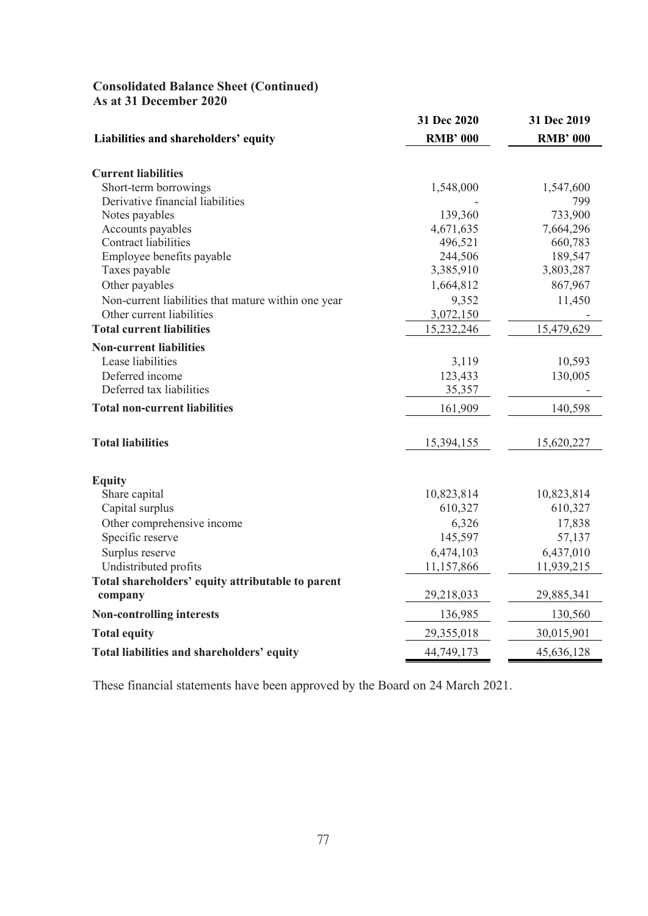# **Consolidated Balance Sheet (Continued) As at 31 December 2020**

|                                                     | 31 Dec 2020     | 31 Dec 2019     |
|-----------------------------------------------------|-----------------|-----------------|
| Liabilities and shareholders' equity                | <b>RMB' 000</b> | <b>RMB' 000</b> |
| <b>Current liabilities</b>                          |                 |                 |
| Short-term borrowings                               | 1,548,000       | 1,547,600       |
| Derivative financial liabilities                    |                 | 799             |
| Notes payables                                      | 139,360         | 733,900         |
| Accounts payables                                   | 4,671,635       | 7,664,296       |
| Contract liabilities                                | 496,521         | 660,783         |
| Employee benefits payable                           | 244,506         | 189,547         |
| Taxes payable                                       | 3,385,910       | 3,803,287       |
| Other payables                                      | 1,664,812       | 867,967         |
| Non-current liabilities that mature within one year | 9,352           | 11,450          |
| Other current liabilities                           | 3,072,150       |                 |
| <b>Total current liabilities</b>                    | 15,232,246      | 15,479,629      |
| <b>Non-current liabilities</b>                      |                 |                 |
| Lease liabilities                                   | 3,119           | 10,593          |
| Deferred income                                     | 123,433         | 130,005         |
| Deferred tax liabilities                            | 35,357          |                 |
| <b>Total non-current liabilities</b>                |                 |                 |
|                                                     | 161,909         | 140,598         |
| <b>Total liabilities</b>                            | 15,394,155      | 15,620,227      |
|                                                     |                 |                 |
| <b>Equity</b>                                       |                 |                 |
| Share capital                                       | 10,823,814      | 10,823,814      |
| Capital surplus                                     | 610,327         | 610,327         |
| Other comprehensive income                          | 6,326           | 17,838          |
| Specific reserve                                    | 145,597         | 57,137          |
| Surplus reserve                                     | 6,474,103       | 6,437,010       |
| Undistributed profits                               | 11,157,866      | 11,939,215      |
| Total shareholders' equity attributable to parent   |                 |                 |
| company                                             | 29,218,033      | 29,885,341      |
| <b>Non-controlling interests</b>                    | 136,985         | 130,560         |
| <b>Total equity</b>                                 | 29,355,018      | 30,015,901      |
| Total liabilities and shareholders' equity          | 44,749,173      | 45,636,128      |

These financial statements have been approved by the Board on 24 March 2021.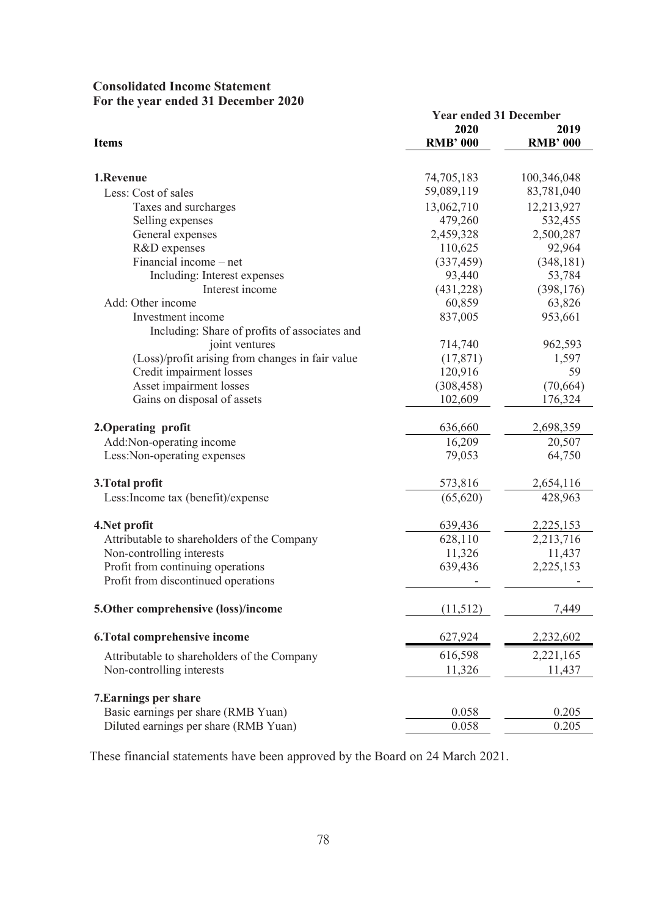| <b>Consolidated Income Statement</b> |  |
|--------------------------------------|--|
| For the year ended 31 December 2020  |  |

|                                                  | <b>Year ended 31 December</b> |                 |
|--------------------------------------------------|-------------------------------|-----------------|
|                                                  | 2020                          | 2019            |
| <b>Items</b>                                     | <b>RMB' 000</b>               | <b>RMB' 000</b> |
| 1.Revenue                                        | 74,705,183                    | 100,346,048     |
| Less: Cost of sales                              | 59,089,119                    | 83,781,040      |
| Taxes and surcharges                             | 13,062,710                    | 12,213,927      |
| Selling expenses                                 | 479,260                       | 532,455         |
| General expenses                                 | 2,459,328                     | 2,500,287       |
| R&D expenses                                     | 110,625                       | 92,964          |
| Financial income - net                           | (337, 459)                    | (348, 181)      |
| Including: Interest expenses                     | 93,440                        | 53,784          |
| Interest income                                  | (431, 228)                    | (398, 176)      |
| Add: Other income                                | 60,859                        | 63,826          |
| Investment income                                | 837,005                       | 953,661         |
| Including: Share of profits of associates and    |                               |                 |
| joint ventures                                   | 714,740                       | 962,593         |
| (Loss)/profit arising from changes in fair value | (17, 871)                     | 1,597           |
| Credit impairment losses                         | 120,916                       | 59              |
| Asset impairment losses                          | (308, 458)                    | (70, 664)       |
| Gains on disposal of assets                      | 102,609                       | 176,324         |
| 2. Operating profit                              | 636,660                       | 2,698,359       |
| Add:Non-operating income                         | 16,209                        | 20,507          |
| Less: Non-operating expenses                     | 79,053                        | 64,750          |
| 3. Total profit                                  | 573,816                       | 2,654,116       |
| Less: Income tax (benefit)/expense               | (65, 620)                     | 428,963         |
| 4. Net profit                                    | 639,436                       | 2,225,153       |
| Attributable to shareholders of the Company      | 628,110                       | 2,213,716       |
| Non-controlling interests                        | 11,326                        | 11,437          |
| Profit from continuing operations                | 639,436                       | 2,225,153       |
| Profit from discontinued operations              |                               |                 |
| 5. Other comprehensive (loss)/income             | (11,512)                      | 7,449           |
| 6. Total comprehensive income                    | 627,924                       | 2,232,602       |
| Attributable to shareholders of the Company      | 616,598                       | 2,221,165       |
| Non-controlling interests                        | 11,326                        | 11,437          |
| <b>7. Earnings per share</b>                     |                               |                 |
| Basic earnings per share (RMB Yuan)              | 0.058                         | 0.205           |
| Diluted earnings per share (RMB Yuan)            | 0.058                         | 0.205           |

These financial statements have been approved by the Board on 24 March 2021.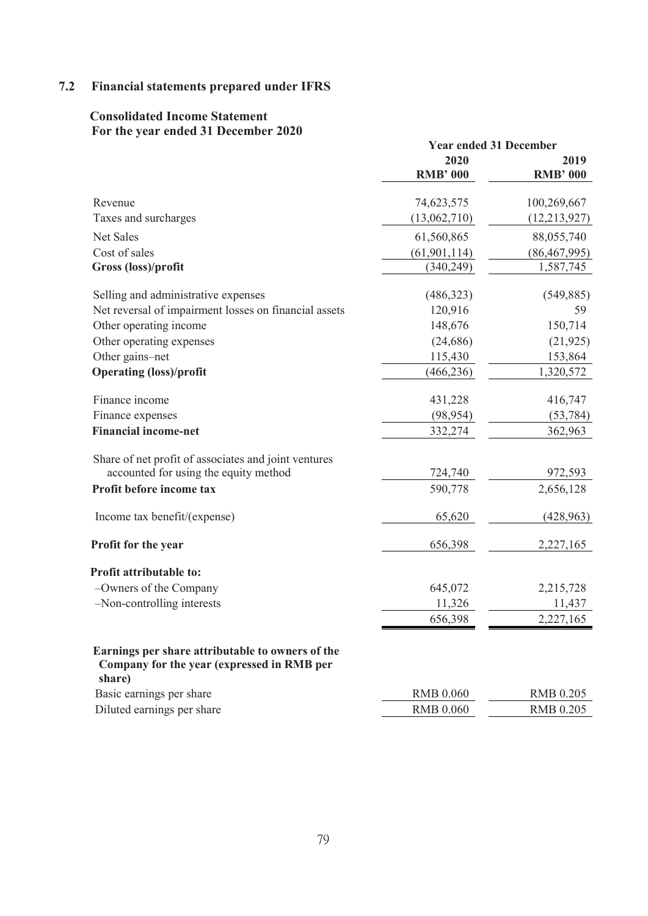# **7.2 Financial statements prepared under IFRS**

# **Consolidated Income Statement For the year ended 31 December 2020**

|                                                                                                          | <b>Year ended 31 December</b> |                         |
|----------------------------------------------------------------------------------------------------------|-------------------------------|-------------------------|
|                                                                                                          | 2020<br><b>RMB' 000</b>       | 2019<br><b>RMB' 000</b> |
| Revenue                                                                                                  | 74,623,575                    | 100,269,667             |
| Taxes and surcharges                                                                                     | (13,062,710)                  | (12, 213, 927)          |
| Net Sales                                                                                                | 61,560,865                    | 88,055,740              |
| Cost of sales                                                                                            | (61, 901, 114)                | (86, 467, 995)          |
| Gross (loss)/profit                                                                                      | (340,249)                     | 1,587,745               |
| Selling and administrative expenses                                                                      | (486,323)                     | (549, 885)              |
| Net reversal of impairment losses on financial assets                                                    | 120,916                       | 59                      |
| Other operating income                                                                                   | 148,676                       | 150,714                 |
| Other operating expenses                                                                                 | (24, 686)                     | (21, 925)               |
| Other gains-net                                                                                          | 115,430                       | 153,864                 |
| <b>Operating (loss)/profit</b>                                                                           | (466, 236)                    | 1,320,572               |
| Finance income                                                                                           | 431,228                       | 416,747                 |
| Finance expenses                                                                                         | (98, 954)                     | (53, 784)               |
| <b>Financial income-net</b>                                                                              | 332,274                       | 362,963                 |
| Share of net profit of associates and joint ventures                                                     |                               |                         |
| accounted for using the equity method                                                                    | 724,740                       | 972,593                 |
| Profit before income tax                                                                                 | 590,778                       | 2,656,128               |
| Income tax benefit/(expense)                                                                             | 65,620                        | (428, 963)              |
| Profit for the year                                                                                      | 656,398                       | 2,227,165               |
| Profit attributable to:                                                                                  |                               |                         |
| -Owners of the Company                                                                                   | 645,072                       | 2,215,728               |
| -Non-controlling interests                                                                               | 11,326                        | 11,437                  |
|                                                                                                          | 656,398                       | 2,227,165               |
| Earnings per share attributable to owners of the<br>Company for the year (expressed in RMB per<br>share) |                               |                         |
| Basic earnings per share                                                                                 | <b>RMB 0.060</b>              | <b>RMB 0.205</b>        |
| Diluted earnings per share                                                                               | <b>RMB 0.060</b>              | <b>RMB 0.205</b>        |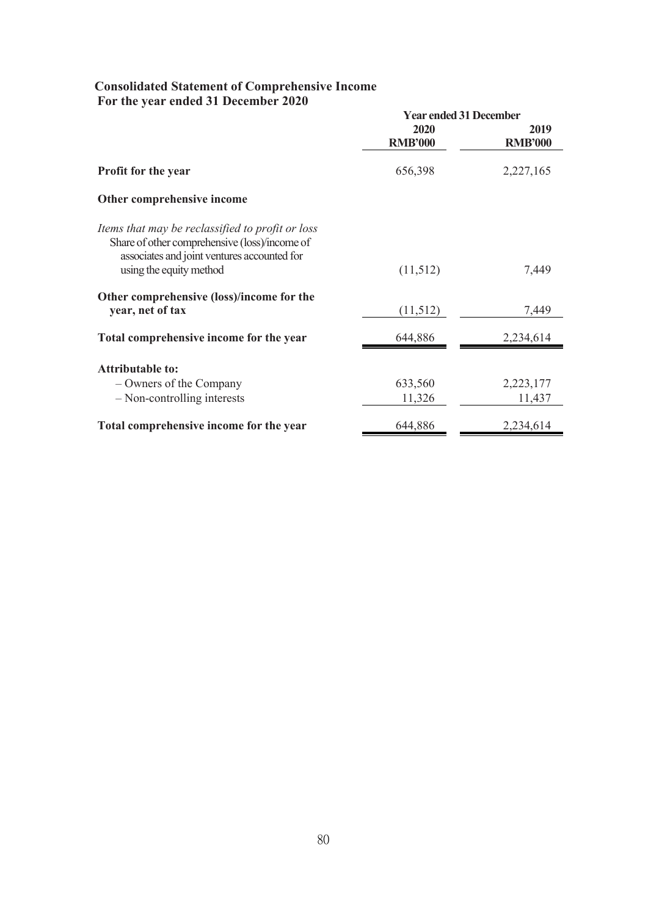# **Consolidated Statement of Comprehensive Income For the year ended 31 December 2020**

|                                                                                                                                                                             | <b>Year ended 31 December</b> |                        |
|-----------------------------------------------------------------------------------------------------------------------------------------------------------------------------|-------------------------------|------------------------|
|                                                                                                                                                                             | 2020<br><b>RMB'000</b>        | 2019<br><b>RMB'000</b> |
| <b>Profit for the year</b>                                                                                                                                                  | 656,398                       | 2,227,165              |
| Other comprehensive income                                                                                                                                                  |                               |                        |
| Items that may be reclassified to profit or loss<br>Share of other comprehensive (loss)/income of<br>associates and joint ventures accounted for<br>using the equity method | (11,512)                      | 7,449                  |
| Other comprehensive (loss)/income for the<br>year, net of tax                                                                                                               | (11,512)                      | 7,449                  |
| Total comprehensive income for the year                                                                                                                                     | 644,886                       | 2,234,614              |
| <b>Attributable to:</b>                                                                                                                                                     |                               |                        |
| – Owners of the Company                                                                                                                                                     | 633,560                       | 2,223,177              |
| $-$ Non-controlling interests                                                                                                                                               | 11,326                        | 11,437                 |
| Total comprehensive income for the year                                                                                                                                     | 644,886                       | 2,234,614              |
|                                                                                                                                                                             |                               |                        |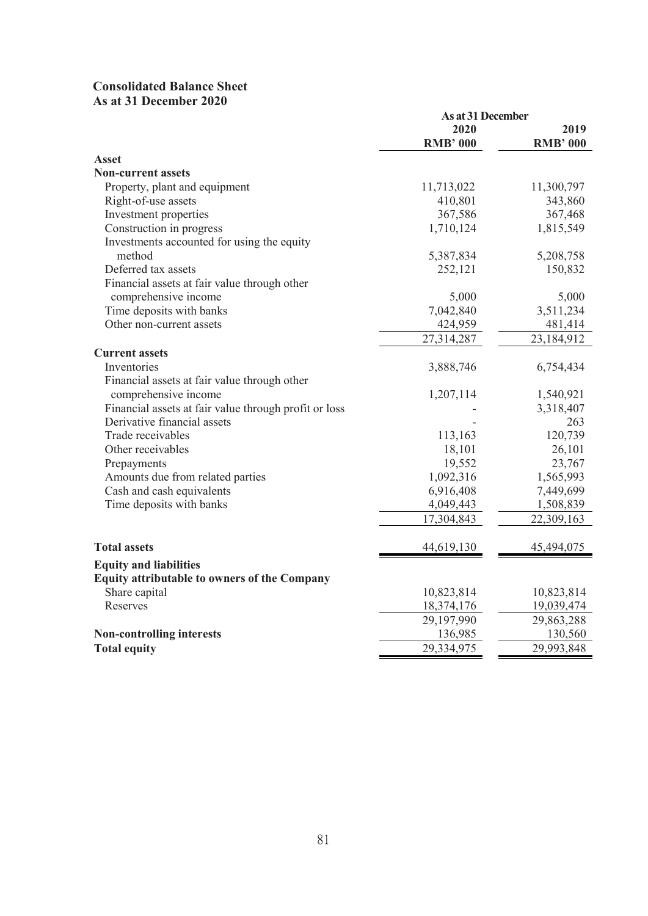# **Consolidated Balance Sheet As at 31 December 2020**

|                                                       | As at 31 December |                 |
|-------------------------------------------------------|-------------------|-----------------|
|                                                       | 2020              | 2019            |
|                                                       | <b>RMB' 000</b>   | <b>RMB' 000</b> |
| <b>Asset</b>                                          |                   |                 |
| <b>Non-current assets</b>                             |                   |                 |
| Property, plant and equipment                         | 11,713,022        | 11,300,797      |
| Right-of-use assets                                   | 410,801           | 343,860         |
| Investment properties                                 | 367,586           | 367,468         |
| Construction in progress                              | 1,710,124         | 1,815,549       |
| Investments accounted for using the equity            |                   |                 |
| method                                                | 5,387,834         | 5,208,758       |
| Deferred tax assets                                   | 252,121           | 150,832         |
| Financial assets at fair value through other          |                   |                 |
| comprehensive income                                  | 5,000             | 5,000           |
| Time deposits with banks                              | 7,042,840         | 3,511,234       |
| Other non-current assets                              | 424,959           | 481,414         |
|                                                       | 27,314,287        | 23,184,912      |
| <b>Current assets</b>                                 |                   |                 |
| Inventories                                           | 3,888,746         | 6,754,434       |
| Financial assets at fair value through other          |                   |                 |
| comprehensive income                                  | 1,207,114         | 1,540,921       |
| Financial assets at fair value through profit or loss |                   | 3,318,407       |
| Derivative financial assets                           |                   | 263             |
| Trade receivables                                     | 113,163           | 120,739         |
| Other receivables                                     | 18,101            | 26,101          |
| Prepayments                                           | 19,552            | 23,767          |
| Amounts due from related parties                      | 1,092,316         | 1,565,993       |
| Cash and cash equivalents                             | 6,916,408         | 7,449,699       |
| Time deposits with banks                              | 4,049,443         | 1,508,839       |
|                                                       | 17,304,843        | 22,309,163      |
| <b>Total assets</b>                                   | 44,619,130        | 45,494,075      |
| <b>Equity and liabilities</b>                         |                   |                 |
| Equity attributable to owners of the Company          |                   |                 |
| Share capital                                         | 10,823,814        | 10,823,814      |
| Reserves                                              | 18,374,176        | 19,039,474      |
|                                                       | 29,197,990        | 29,863,288      |
| <b>Non-controlling interests</b>                      | 136,985           | 130,560         |
| <b>Total equity</b>                                   | 29,334,975        | 29,993,848      |
|                                                       |                   |                 |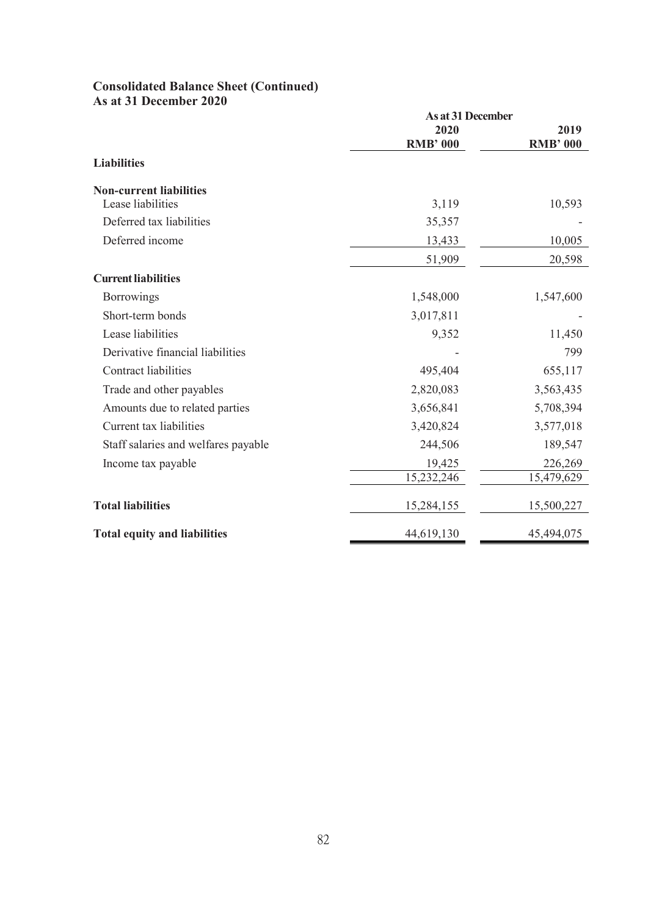## **Consolidated Balance Sheet (Continued) As at 31 December 2020**

|                                     | As at 31 December |                 |
|-------------------------------------|-------------------|-----------------|
|                                     | 2020              | 2019            |
|                                     | <b>RMB' 000</b>   | <b>RMB' 000</b> |
| <b>Liabilities</b>                  |                   |                 |
| <b>Non-current liabilities</b>      |                   |                 |
| Lease liabilities                   | 3,119             | 10,593          |
| Deferred tax liabilities            | 35,357            |                 |
| Deferred income                     | 13,433            | 10,005          |
|                                     | 51,909            | 20,598          |
| <b>Current liabilities</b>          |                   |                 |
| Borrowings                          | 1,548,000         | 1,547,600       |
| Short-term bonds                    | 3,017,811         |                 |
| Lease liabilities                   | 9,352             | 11,450          |
| Derivative financial liabilities    |                   | 799             |
| Contract liabilities                | 495,404           | 655,117         |
| Trade and other payables            | 2,820,083         | 3,563,435       |
| Amounts due to related parties      | 3,656,841         | 5,708,394       |
| Current tax liabilities             | 3,420,824         | 3,577,018       |
| Staff salaries and welfares payable | 244,506           | 189,547         |
| Income tax payable                  | 19,425            | 226,269         |
|                                     | 15,232,246        | 15,479,629      |
| <b>Total liabilities</b>            | 15,284,155        | 15,500,227      |
| <b>Total equity and liabilities</b> | 44,619,130        | 45,494,075      |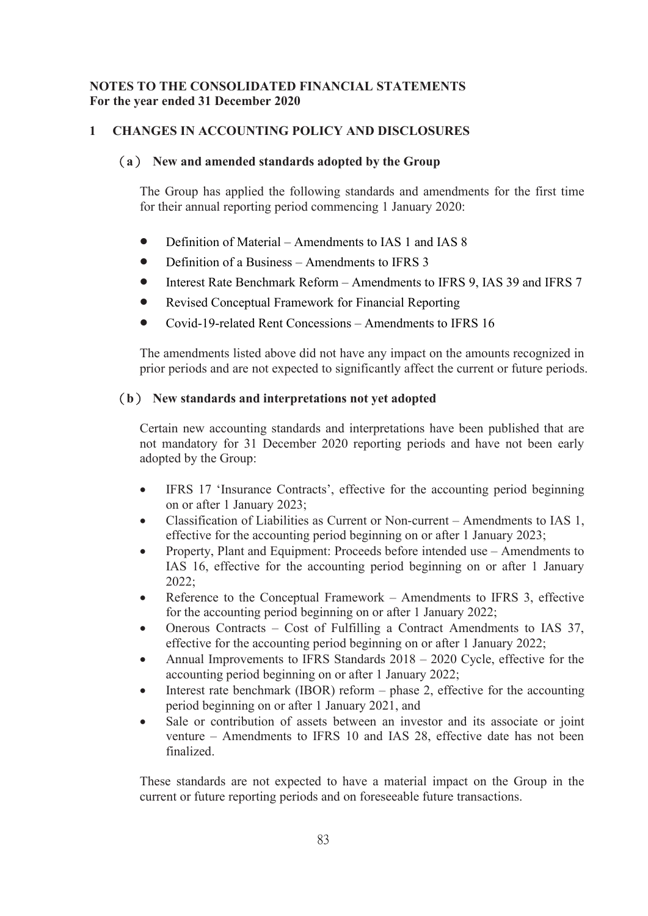# **NOTES TO THE CONSOLIDATED FINANCIAL STATEMENTS For the year ended 31 December 2020**

# **1 CHANGES IN ACCOUNTING POLICY AND DISCLOSURES**

## (**a**) **New and amendedstandards adopted by the Group**

The Group has applied the following standards and amendments for the first time for their annual reporting period commencing 1 January 2020:

- Definition of Material Amendments to IAS 1 and IAS 8
- Definition of a Business Amendments to IFRS 3
- Interest Rate Benchmark Reform Amendments to IFRS 9, IAS 39 and IFRS 7
- Revised Conceptual Framework for Financial Reporting
- Covid-19-related Rent Concessions Amendments to IFRS 16

The amendments listed above did not have any impact on the amounts recognized in prior periods and are not expected to significantly affect the current or future periods.

# (**b**) **New standards and interpretations not yet adopted**

Certain new accounting standards and interpretations have been published that are not mandatory for 31 December 2020 reporting periods and have not been early adopted by the Group:

- IFRS 17 'Insurance Contracts', effective for the accounting period beginning on or after 1 January 2023;
- Classification of Liabilities as Current or Non-current Amendments to IAS 1, effective for the accounting period beginning on or after 1 January 2023;
- Property, Plant and Equipment: Proceeds before intended use Amendments to IAS 16, effective for the accounting period beginning on or after 1 January 2022;
- Reference to the Conceptual Framework Amendments to IFRS 3, effective for the accounting period beginning on or after 1 January 2022;
- Onerous Contracts Cost of Fulfilling a Contract Amendments to IAS 37, effective for the accounting period beginning on or after 1 January 2022;
- Annual Improvements to IFRS Standards 2018 2020 Cycle, effective for the accounting period beginning on or after 1 January 2022;
- Interest rate benchmark (IBOR) reform  $-$  phase 2, effective for the accounting period beginning on or after 1 January 2021, and
- Sale or contribution of assets between an investor and its associate or joint venture – Amendments to IFRS 10 and IAS 28, effective date has not been finalized.

These standards are not expected to have a material impact on the Group in the current or future reporting periods and on foreseeable future transactions.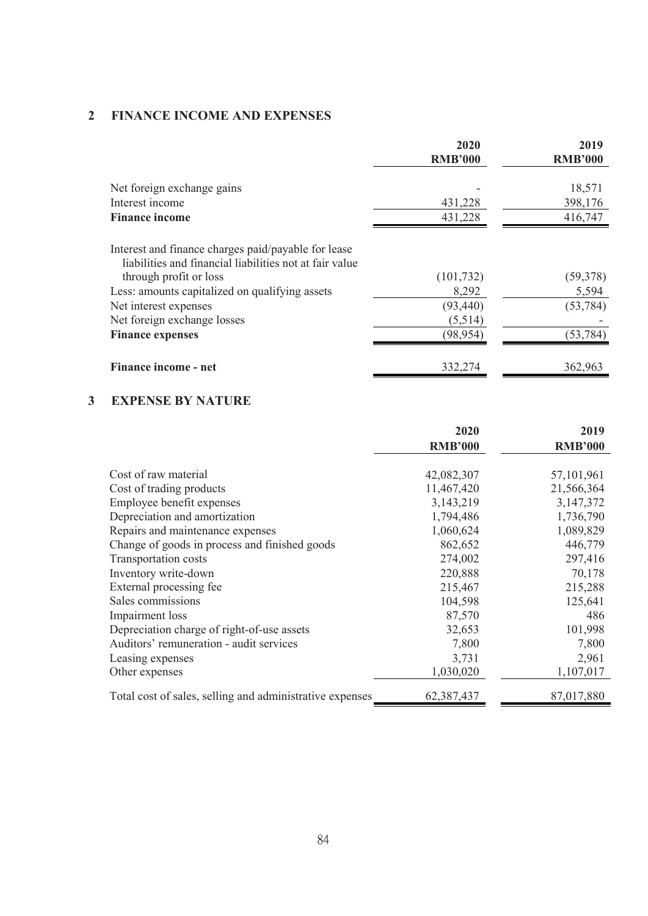# **2 FINANCE INCOME AND EXPENSES**

|                                                                                                                | 2020<br><b>RMB'000</b> | 2019<br><b>RMB'000</b> |
|----------------------------------------------------------------------------------------------------------------|------------------------|------------------------|
| Net foreign exchange gains                                                                                     |                        | 18,571                 |
| Interest income                                                                                                | 431,228                | 398,176                |
| <b>Finance income</b>                                                                                          | 431,228                | 416,747                |
| Interest and finance charges paid/payable for lease<br>liabilities and financial liabilities not at fair value |                        |                        |
| through profit or loss                                                                                         | (101, 732)             | (59, 378)              |
| Less: amounts capitalized on qualifying assets                                                                 | 8,292                  | 5,594                  |
| Net interest expenses                                                                                          | (93, 440)              | (53, 784)              |
| Net foreign exchange losses                                                                                    | (5,514)                |                        |
| <b>Finance expenses</b>                                                                                        | (98, 954)              | (53, 784)              |
| Finance income - net                                                                                           | 332,274                | 362,963                |

# **3 EXPENSE BY NATURE**

|                                                          | 2020           | 2019           |
|----------------------------------------------------------|----------------|----------------|
|                                                          | <b>RMB'000</b> | <b>RMB'000</b> |
| Cost of raw material                                     | 42,082,307     | 57, 101, 961   |
| Cost of trading products                                 | 11,467,420     | 21,566,364     |
| Employee benefit expenses                                | 3,143,219      | 3,147,372      |
| Depreciation and amortization                            | 1,794,486      | 1,736,790      |
| Repairs and maintenance expenses                         | 1,060,624      | 1,089,829      |
| Change of goods in process and finished goods            | 862,652        | 446,779        |
| Transportation costs                                     | 274,002        | 297,416        |
| Inventory write-down                                     | 220,888        | 70,178         |
| External processing fee                                  | 215,467        | 215,288        |
| Sales commissions                                        | 104,598        | 125,641        |
| Impairment loss                                          | 87,570         | 486            |
| Depreciation charge of right-of-use assets               | 32,653         | 101,998        |
| Auditors' remuneration - audit services                  | 7,800          | 7,800          |
| Leasing expenses                                         | 3,731          | 2,961          |
| Other expenses                                           | 1,030,020      | 1,107,017      |
| Total cost of sales, selling and administrative expenses | 62,387,437     | 87,017,880     |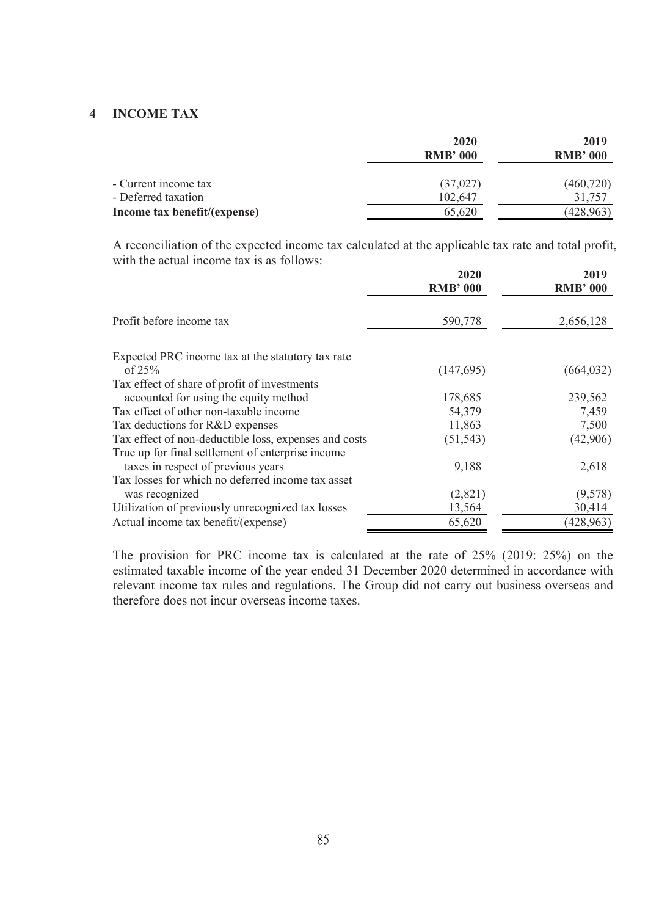# **4 INCOME TAX**

|                              | 2020            | 2019            |
|------------------------------|-----------------|-----------------|
|                              | <b>RMB' 000</b> | <b>RMB' 000</b> |
| - Current income tax         | (37, 027)       | (460, 720)      |
| - Deferred taxation          | 102,647         | 31,757          |
| Income tax benefit/(expense) | 65,620          | (428, 963)      |
|                              |                 |                 |

A reconciliation of the expected income tax calculated at the applicable tax rate and total profit, with the actual income tax is as follows:

|                                                       | 2020<br><b>RMB' 000</b> | 2019<br><b>RMB' 000</b> |
|-------------------------------------------------------|-------------------------|-------------------------|
| Profit before income tax                              | 590,778                 | 2,656,128               |
| Expected PRC income tax at the statutory tax rate     |                         |                         |
| of $25%$                                              | (147,695)               | (664, 032)              |
| Tax effect of share of profit of investments          |                         |                         |
| accounted for using the equity method                 | 178,685                 | 239,562                 |
| Tax effect of other non-taxable income                | 54,379                  | 7,459                   |
| Tax deductions for R&D expenses                       | 11,863                  | 7,500                   |
| Tax effect of non-deductible loss, expenses and costs | (51, 543)               | (42,906)                |
| True up for final settlement of enterprise income     |                         |                         |
| taxes in respect of previous years                    | 9,188                   | 2,618                   |
| Tax losses for which no deferred income tax asset     |                         |                         |
| was recognized                                        | (2,821)                 | (9,578)                 |
| Utilization of previously unrecognized tax losses     | 13,564                  | 30,414                  |
| Actual income tax benefit/(expense)                   | 65,620                  | (428, 963)              |

The provision for PRC income tax is calculated at the rate of 25% (2019: 25%) on the estimated taxable income of the year ended 31 December 2020 determined in accordance with relevant income tax rules and regulations. The Group did not carry out business overseas and therefore does not incur overseas income taxes.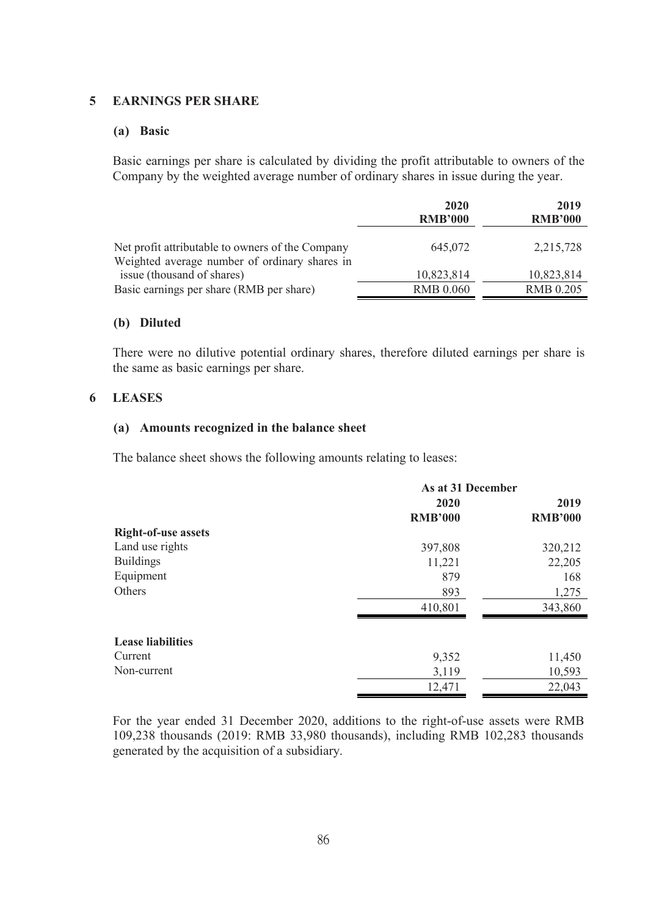#### **5 EARNINGS PER SHARE**

#### **(a) Basic**

Basic earnings per share is calculated by dividing the profit attributable to owners of the Company by the weighted average number of ordinary shares in issue during the year.

|                                                                                                   | 2020             | 2019             |  |
|---------------------------------------------------------------------------------------------------|------------------|------------------|--|
|                                                                                                   | <b>RMB'000</b>   | <b>RMB'000</b>   |  |
| Net profit attributable to owners of the Company<br>Weighted average number of ordinary shares in | 645,072          | 2,215,728        |  |
| issue (thousand of shares)                                                                        | 10,823,814       | 10,823,814       |  |
| Basic earnings per share (RMB per share)                                                          | <b>RMB 0.060</b> | <b>RMB 0.205</b> |  |
|                                                                                                   |                  |                  |  |

#### **(b) Diluted**

There were no dilutive potential ordinary shares, therefore diluted earnings per share is the same as basic earnings per share.

#### **6 LEASES**

#### **(a) Amounts recognized in the balance sheet**

The balance sheet shows the following amounts relating to leases:

|                            | As at 31 December |                |  |  |  |
|----------------------------|-------------------|----------------|--|--|--|
|                            | 2020              | 2019           |  |  |  |
|                            | <b>RMB'000</b>    | <b>RMB'000</b> |  |  |  |
| <b>Right-of-use assets</b> |                   |                |  |  |  |
| Land use rights            | 397,808           | 320,212        |  |  |  |
| <b>Buildings</b>           | 11,221            | 22,205         |  |  |  |
| Equipment                  | 879               | 168            |  |  |  |
| Others                     | 893               | 1,275          |  |  |  |
|                            | 410,801           | 343,860        |  |  |  |
| <b>Lease liabilities</b>   |                   |                |  |  |  |
| Current                    | 9,352             | 11,450         |  |  |  |
| Non-current                | 3,119             | 10,593         |  |  |  |
|                            | 12,471            | 22,043         |  |  |  |

For the year ended 31 December 2020, additions to the right-of-use assets were RMB 109,238 thousands (2019: RMB 33,980 thousands), including RMB 102,283 thousands generated by the acquisition of a subsidiary.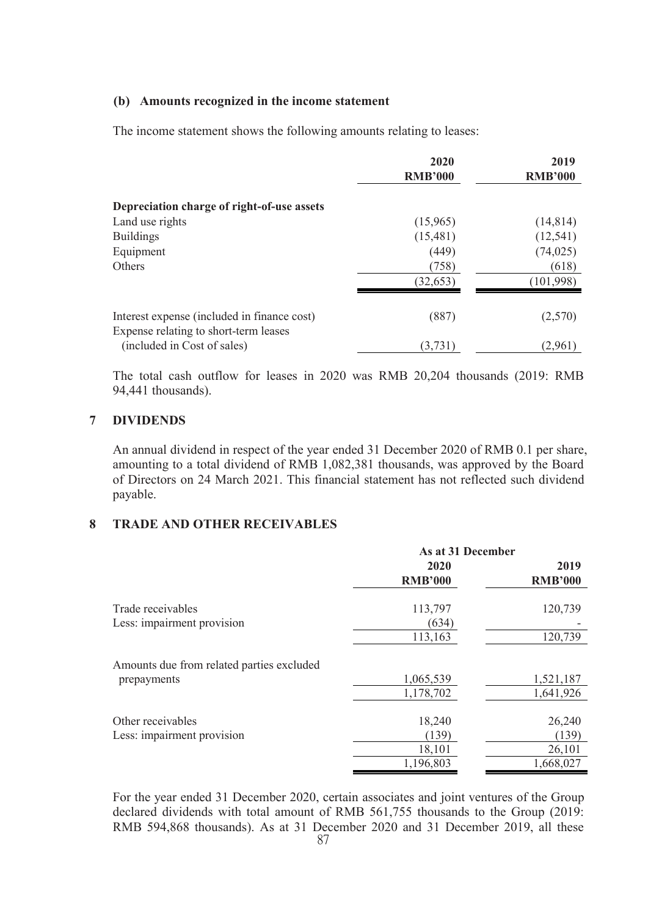# **(b) Amounts recognized in the income statement**

The income statement shows the following amounts relating to leases:

|                                             | 2020           | 2019           |
|---------------------------------------------|----------------|----------------|
|                                             | <b>RMB'000</b> | <b>RMB'000</b> |
| Depreciation charge of right-of-use assets  |                |                |
| Land use rights                             | (15,965)       | (14, 814)      |
| <b>Buildings</b>                            | (15,481)       | (12, 541)      |
| Equipment                                   | (449)          | (74, 025)      |
| Others                                      | (758)          | (618)          |
|                                             | (32, 653)      | (101,998)      |
| Interest expense (included in finance cost) | (887)          | (2,570)        |
| Expense relating to short-term leases       |                |                |
| (included in Cost of sales)                 | (3,731)        | (2,961)        |

The total cash outflow for leases in 2020 was RMB 20,204 thousands (2019: RMB 94,441 thousands).

#### **7 DIVIDENDS**

An annual dividend in respect of the year ended 31 December 2020 of RMB 0.1 per share, amounting to a total dividend of RMB 1,082,381 thousands, was approved by the Board of Directors on 24 March 2021. This financial statement has not reflected such dividend payable.

## **8 TRADE AND OTHER RECEIVABLES**

|                                           | As at 31 December      |                        |  |  |
|-------------------------------------------|------------------------|------------------------|--|--|
|                                           | 2020<br><b>RMB'000</b> | 2019<br><b>RMB'000</b> |  |  |
| Trade receivables                         | 113,797                | 120,739                |  |  |
| Less: impairment provision                | (634)                  |                        |  |  |
|                                           | 113,163                | 120,739                |  |  |
| Amounts due from related parties excluded |                        |                        |  |  |
| prepayments                               | 1,065,539              | 1,521,187              |  |  |
|                                           | 1,178,702              | 1,641,926              |  |  |
| Other receivables                         | 18,240                 | 26,240                 |  |  |
| Less: impairment provision                | (139)                  | (139)                  |  |  |
|                                           | 18,101                 | 26,101                 |  |  |
|                                           | 1,196,803              | 1,668,027              |  |  |

87 For the year ended 31 December 2020, certain associates and joint ventures of the Group declared dividends with total amount of RMB 561,755 thousands to the Group (2019: RMB 594,868 thousands). As at 31 December 2020 and 31 December 2019, all these  $\frac{87}{100}$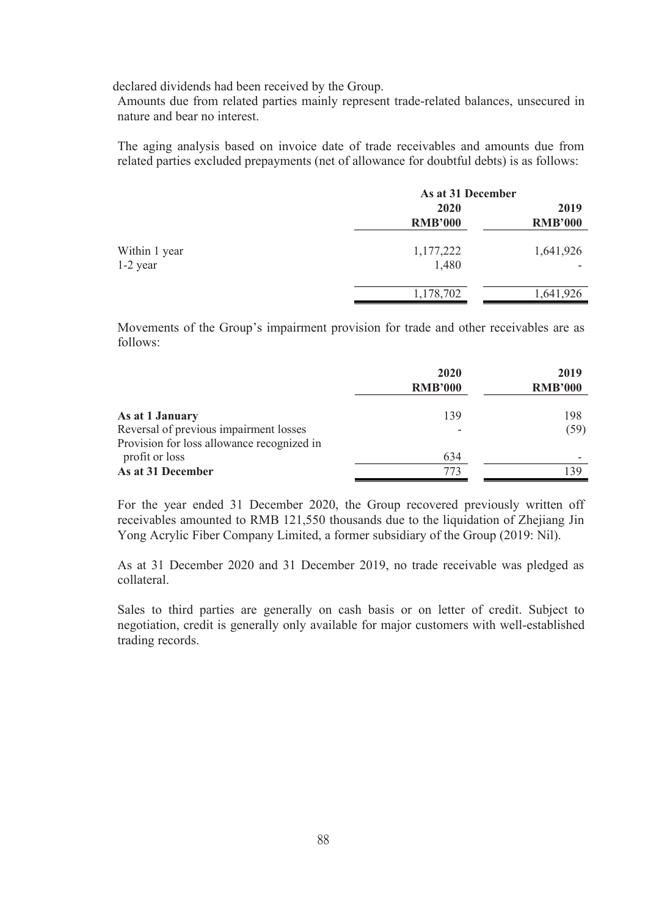declared dividends had been received by the Group.

Amounts due from related parties mainly represent trade-related balances, unsecured in nature and bear no interest.

The aging analysis based on invoice date of trade receivables and amounts due from related parties excluded prepayments (net of allowance for doubtful debts) is as follows:

|               | As at 31 December |                |  |  |  |
|---------------|-------------------|----------------|--|--|--|
|               | 2020              | 2019           |  |  |  |
|               | <b>RMB'000</b>    | <b>RMB'000</b> |  |  |  |
| Within 1 year | 1,177,222         | 1,641,926      |  |  |  |
| $1-2$ year    | 1,480             | ۰              |  |  |  |
|               | 1,178,702         | 1,641,926      |  |  |  |

Movements of the Group's impairment provision for trade and other receivables are as follows:

|                                            | 2020<br><b>RMB'000</b>   | 2019<br><b>RMB'000</b> |
|--------------------------------------------|--------------------------|------------------------|
| As at 1 January                            | 139                      | 198                    |
| Reversal of previous impairment losses     | $\overline{\phantom{a}}$ | (59)                   |
| Provision for loss allowance recognized in |                          |                        |
| profit or loss                             | 634                      |                        |
| As at 31 December                          |                          | 139                    |

For the year ended 31 December 2020, the Group recovered previously written off receivables amounted to RMB 121,550 thousands due to the liquidation of Zhejiang Jin Yong Acrylic Fiber Company Limited, a former subsidiary of the Group (2019: Nil).

As at 31 December 2020 and 31 December 2019, no trade receivable was pledged as collateral.

Sales to third parties are generally on cash basis or on letter of credit. Subject to negotiation, credit is generally only available for major customers with well-established trading records.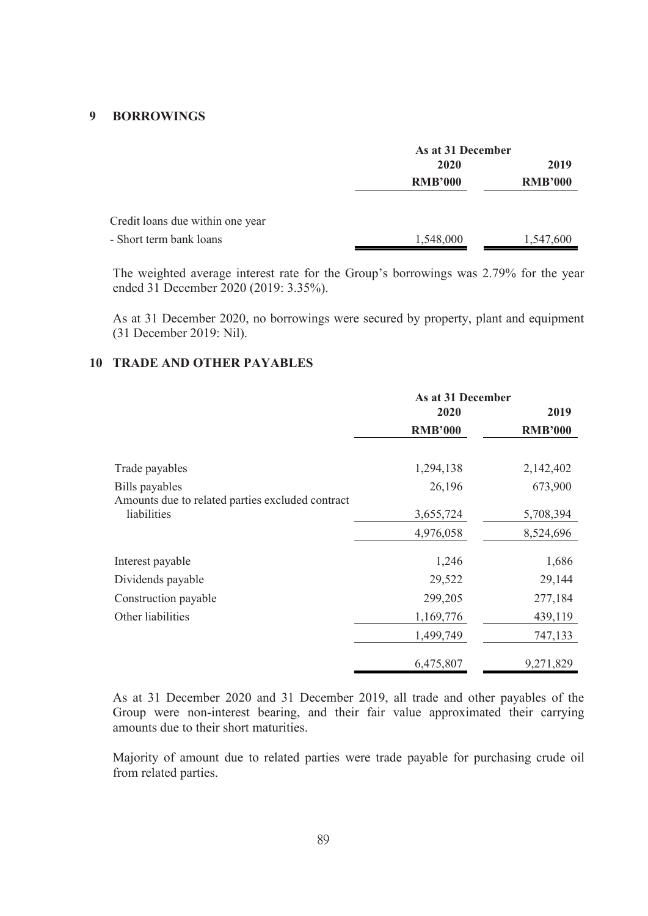### **9 BORROWINGS**

|                                  |                | As at 31 December |  |  |  |
|----------------------------------|----------------|-------------------|--|--|--|
|                                  | 2020           | 2019              |  |  |  |
|                                  | <b>RMB'000</b> | <b>RMB'000</b>    |  |  |  |
| Credit loans due within one year |                |                   |  |  |  |
| - Short term bank loans          | 1,548,000      | 1,547,600         |  |  |  |

The weighted average interest rate for the Group's borrowings was 2.79% for the year ended 31 December 2020 (2019: 3.35%).

As at 31 December 2020, no borrowings were secured by property, plant and equipment (31 December 2019: Nil).

# **10 TRADE AND OTHER PAYABLES**

|                                                                 | As at 31 December |                |  |  |  |
|-----------------------------------------------------------------|-------------------|----------------|--|--|--|
|                                                                 | 2020              | 2019           |  |  |  |
|                                                                 | <b>RMB'000</b>    | <b>RMB'000</b> |  |  |  |
| Trade payables                                                  | 1,294,138         | 2,142,402      |  |  |  |
| Bills payables                                                  | 26,196            | 673,900        |  |  |  |
| Amounts due to related parties excluded contract<br>liabilities | 3,655,724         | 5,708,394      |  |  |  |
|                                                                 | 4,976,058         | 8,524,696      |  |  |  |
| Interest payable                                                | 1,246             | 1,686          |  |  |  |
| Dividends payable                                               | 29,522            | 29,144         |  |  |  |
| Construction payable                                            | 299,205           | 277,184        |  |  |  |
| Other liabilities                                               | 1,169,776         | 439,119        |  |  |  |
|                                                                 | 1,499,749         | 747,133        |  |  |  |
|                                                                 | 6,475,807         | 9,271,829      |  |  |  |

As at 31 December 2020 and 31 December 2019, all trade and other payables of the Group were non-interest bearing, and their fair value approximated their carrying amounts due to their short maturities.

Majority of amount due to related parties were trade payable for purchasing crude oil from related parties.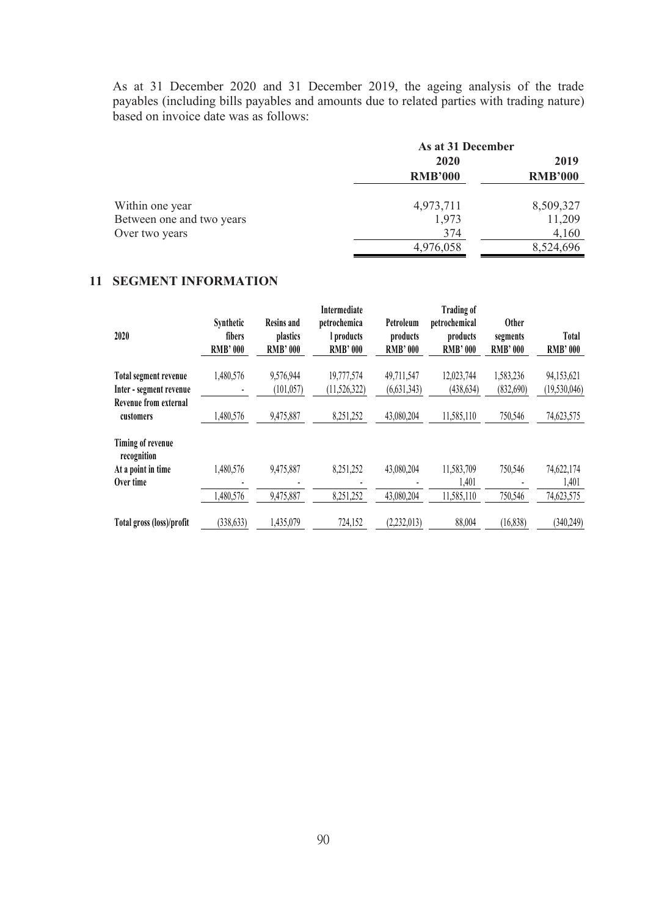As at 31 December 2020 and 31 December 2019, the ageing analysis of the trade payables (including bills payables and amounts due to related parties with trading nature) based on invoice date was as follows:

| As at 31 December |                        |  |  |  |
|-------------------|------------------------|--|--|--|
| <b>2020</b>       | 2019<br><b>RMB'000</b> |  |  |  |
| <b>RMB'000</b>    |                        |  |  |  |
| 4,973,711         | 8,509,327              |  |  |  |
| 1,973             | 11,209                 |  |  |  |
| 374               | 4,160                  |  |  |  |
| 4,976,058         | 8,524,696              |  |  |  |
|                   |                        |  |  |  |

# **11 SEGMENT INFORMATION**

| 2020                             | Synthetic<br>fibers<br><b>RMB' 000</b> | <b>Resins and</b><br>plastics<br><b>RMB'000</b> | Intermediate<br>petrochemica<br>l products<br><b>RMB'000</b> | Petroleum<br>products<br><b>RMB'000</b> | <b>Trading of</b><br>petrochemical<br>products<br><b>RMB' 000</b> | <b>Other</b><br>segments<br><b>RMB'000</b> | Total<br><b>RMB'000</b> |
|----------------------------------|----------------------------------------|-------------------------------------------------|--------------------------------------------------------------|-----------------------------------------|-------------------------------------------------------------------|--------------------------------------------|-------------------------|
| Total segment revenue            | 1,480,576                              | 9,576,944                                       | 19,777,574                                                   | 49,711,547                              | 12,023,744                                                        | 1,583,236                                  | 94,153,621              |
| Inter - segment revenue          |                                        | (101, 057)                                      | (11,526,322)                                                 | (6,631,343)                             | (438, 634)                                                        | (832,690)                                  | (19, 530, 046)          |
| Revenue from external            |                                        |                                                 |                                                              |                                         |                                                                   |                                            |                         |
| customers                        | 1,480,576                              | 9,475,887                                       | 8,251,252                                                    | 43,080,204                              | 11,585,110                                                        | 750,546                                    | 74,623,575              |
| Timing of revenue<br>recognition |                                        |                                                 |                                                              |                                         |                                                                   |                                            |                         |
| At a point in time               | 1,480,576                              | 9,475,887                                       | 8,251,252                                                    | 43,080,204                              | 11,583,709                                                        | 750,546                                    | 74,622,174              |
| Over time                        |                                        |                                                 |                                                              |                                         | 1,401                                                             |                                            | 1,401                   |
|                                  | 1,480,576                              | 9,475,887                                       | 8,251,252                                                    | 43,080,204                              | 11,585,110                                                        | 750,546                                    | 74,623,575              |
| Total gross (loss)/profit        | (338, 633)                             | 1,435,079                                       | 724,152                                                      | (2,232,013)                             | 88,004                                                            | (16, 838)                                  | (340,249)               |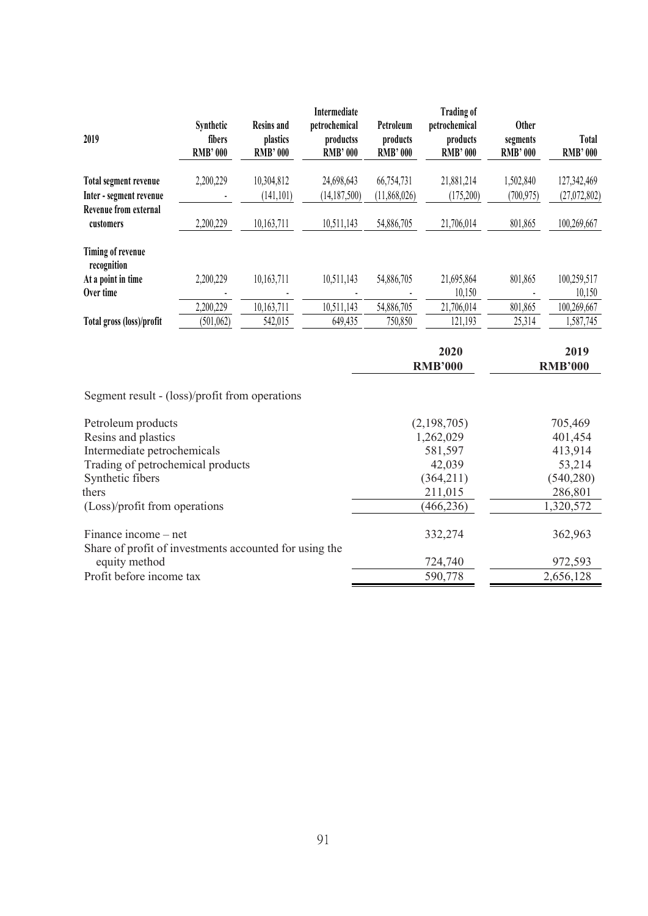| 2019                                                   | Synthetic<br>fibers<br><b>RMB' 000</b> | <b>Resins and</b><br>plastics<br><b>RMB' 000</b> | Intermediate<br>petrochemical<br>productss<br><b>RMB' 000</b> | Petroleum<br>products<br><b>RMB' 000</b> | <b>Trading of</b><br>petrochemical<br>products<br><b>RMB' 000</b> | <b>Other</b><br>segments<br><b>RMB' 000</b> | <b>Total</b><br><b>RMB'000</b> |
|--------------------------------------------------------|----------------------------------------|--------------------------------------------------|---------------------------------------------------------------|------------------------------------------|-------------------------------------------------------------------|---------------------------------------------|--------------------------------|
| Total segment revenue                                  | 2,200,229                              | 10,304,812                                       | 24,698,643                                                    | 66,754,731                               | 21,881,214                                                        | 1,502,840                                   | 127,342,469                    |
| Inter - segment revenue                                |                                        | (141, 101)                                       | (14, 187, 500)                                                | (11,868,026)                             | (175,200)                                                         | (700, 975)                                  | (27,072,802)                   |
| Revenue from external<br>customers                     | 2,200,229                              | 10,163,711                                       | 10,511,143                                                    | 54,886,705                               | 21,706,014                                                        | 801,865                                     | 100,269,667                    |
| Timing of revenue<br>recognition                       |                                        |                                                  |                                                               |                                          |                                                                   |                                             |                                |
| At a point in time                                     | 2,200,229                              | 10,163,711                                       | 10,511,143                                                    | 54,886,705                               | 21,695,864                                                        | 801,865                                     | 100,259,517                    |
| Over time                                              |                                        |                                                  |                                                               |                                          | 10,150                                                            |                                             | 10,150                         |
|                                                        | 2,200,229                              | 10,163,711                                       | 10,511,143                                                    | 54,886,705                               | 21,706,014                                                        | 801,865                                     | 100,269,667                    |
| Total gross (loss)/profit                              | (501, 062)                             | 542,015                                          | 649,435                                                       | 750,850                                  | 121,193                                                           | 25,314                                      | 1,587,745                      |
|                                                        |                                        |                                                  |                                                               |                                          | 2020                                                              |                                             | 2019                           |
|                                                        |                                        |                                                  |                                                               | <b>RMB'000</b>                           |                                                                   | <b>RMB'000</b>                              |                                |
| Segment result - (loss)/profit from operations         |                                        |                                                  |                                                               |                                          |                                                                   |                                             |                                |
| Petroleum products                                     |                                        |                                                  |                                                               |                                          | (2,198,705)                                                       |                                             | 705,469                        |
| Resins and plastics                                    |                                        |                                                  |                                                               |                                          | 1,262,029                                                         |                                             | 401,454                        |
| Intermediate petrochemicals                            |                                        |                                                  |                                                               |                                          | 581,597                                                           |                                             | 413,914                        |
| Trading of petrochemical products<br>Synthetic fibers  |                                        |                                                  |                                                               |                                          | 42,039<br>(364,211)                                               |                                             | 53,214                         |
| thers                                                  |                                        |                                                  |                                                               |                                          | 211,015                                                           |                                             | (540, 280)<br>286,801          |
| (Loss)/profit from operations                          |                                        |                                                  |                                                               |                                          | (466, 236)                                                        |                                             | 1,320,572                      |
|                                                        |                                        |                                                  |                                                               |                                          |                                                                   |                                             |                                |
| Finance income – net                                   |                                        |                                                  |                                                               |                                          | 332,274                                                           |                                             | 362,963                        |
| Share of profit of investments accounted for using the |                                        |                                                  |                                                               |                                          |                                                                   |                                             |                                |

Profit before income tax 590,778 2,656,128

equity method 872,593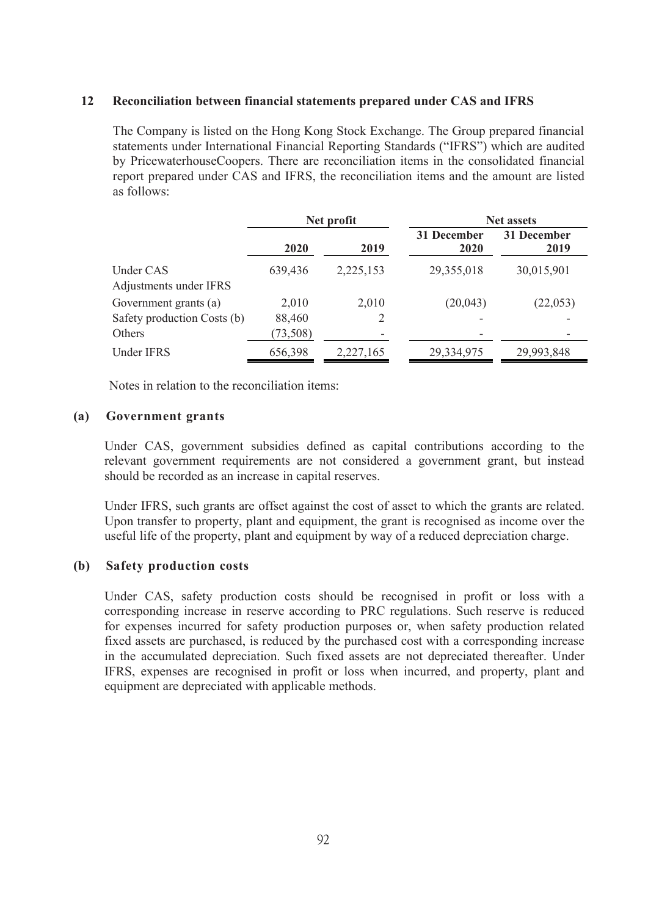### **12 Reconciliation between financial statements prepared under CAS and IFRS**

The Company is listed on the Hong Kong Stock Exchange. The Group prepared financial statements under International Financial Reporting Standards ("IFRS") which are audited by PricewaterhouseCoopers. There are reconciliation items in the consolidated financial report prepared under CAS and IFRS, the reconciliation items and the amount are listed as follows:

|                                     | Net profit |                          | <b>Net assets</b>   |                     |  |  |
|-------------------------------------|------------|--------------------------|---------------------|---------------------|--|--|
|                                     | 2020       | 2019                     | 31 December<br>2020 | 31 December<br>2019 |  |  |
| Under CAS<br>Adjustments under IFRS | 639,436    | 2,225,153                | 29,355,018          | 30,015,901          |  |  |
| Government grants (a)               | 2,010      | 2,010                    | (20,043)            | (22,053)            |  |  |
| Safety production Costs (b)         | 88,460     |                          |                     |                     |  |  |
| Others                              | (73,508)   | $\overline{\phantom{0}}$ | -                   |                     |  |  |
| <b>Under IFRS</b>                   | 656,398    | 2,227,165                | 29,334,975          | 29,993,848          |  |  |

Notes in relation to the reconciliation items:

### **(a) Government grants**

Under CAS, government subsidies defined as capital contributions according to the relevant government requirements are not considered a government grant, but instead should be recorded as an increase in capital reserves.

Under IFRS, such grants are offset against the cost of asset to which the grants are related. Upon transfer to property, plant and equipment, the grant is recognised as income over the useful life of the property, plant and equipment by way of a reduced depreciation charge.

## **(b) Safety production costs**

Under CAS, safety production costs should be recognised in profit or loss with a corresponding increase in reserve according to PRC regulations. Such reserve is reduced for expenses incurred for safety production purposes or, when safety production related fixed assets are purchased, is reduced by the purchased cost with a corresponding increase in the accumulated depreciation. Such fixed assets are not depreciated thereafter. Under IFRS, expenses are recognised in profit or loss when incurred, and property, plant and equipment are depreciated with applicable methods.